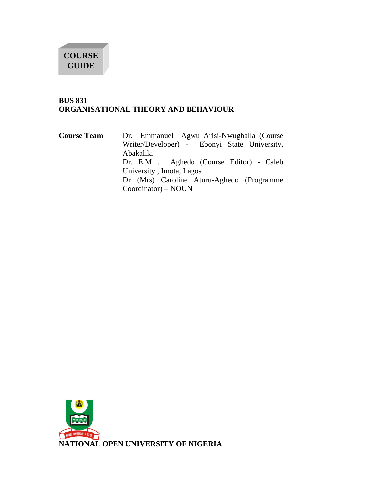# **COURSE GUIDE**

í

# **BUS 831 ORGANISATIONAL THEORY AND BEHAVIOUR**

### **Course Team** Dr. Emmanuel Agwu Arisi-Nwugballa (Course Writer/Developer) - Ebonyi State University, Abakaliki Dr. E.M . Aghedo (Course Editor) - Caleb University , Imota, Lagos Dr (Mrs) Caroline Aturu-Aghedo (Programme Coordinator) – NOUN

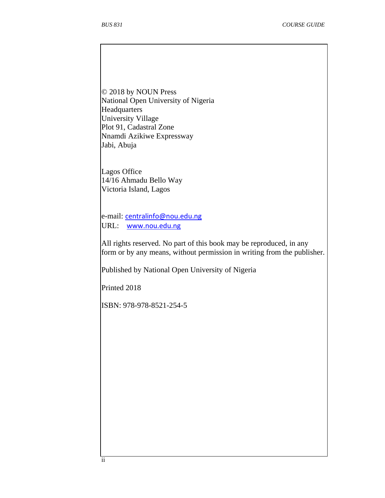© 2018 by NOUN Press National Open University of Nigeria **Headquarters** University Village Plot 91, Cadastral Zone Nnamdi Azikiwe Expressway Jabi, Abuja

Lagos Office 14/16 Ahmadu Bello Way Victoria Island, Lagos

e-mail: centralinfo@nou.edu.ng URL: www.nou.edu.ng

All rights reserved. No part of this book may be reproduced, in any form or by any means, without permission in writing from the publisher.

Published by National Open University of Nigeria

Printed 2018

ISBN: 978-978-8521-254-5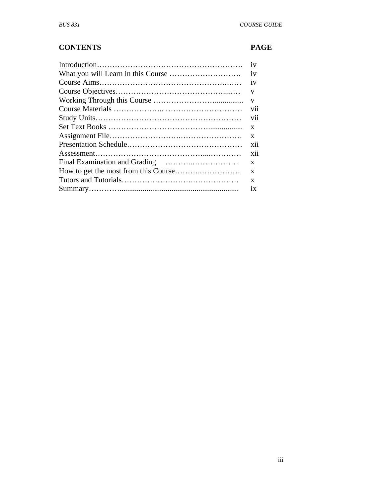# **CONTENTS PAGE**

| 1V         |
|------------|
| iv         |
| 1V         |
| V          |
| V          |
| V11        |
| V11        |
| X          |
| X          |
| <b>X11</b> |
| <b>X11</b> |
| X          |
| X          |
| X          |
| 1X         |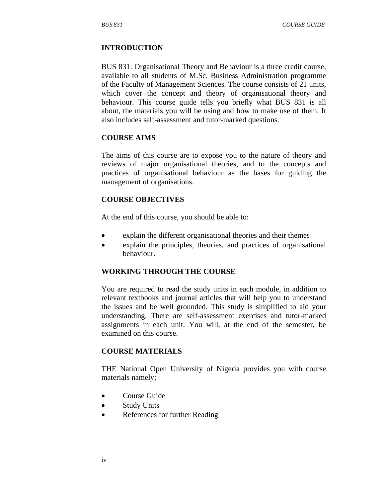#### **INTRODUCTION**

BUS 831: Organisational Theory and Behaviour is a three credit course, available to all students of M.Sc. Business Administration programme of the Faculty of Management Sciences. The course consists of 21 units, which cover the concept and theory of organisational theory and behaviour. This course guide tells you briefly what BUS 831 is all about, the materials you will be using and how to make use of them. It also includes self-assessment and tutor-marked questions.

#### **COURSE AIMS**

The aims of this course are to expose you to the nature of theory and reviews of major organisational theories, and to the concepts and practices of organisational behaviour as the bases for guiding the management of organisations.

#### **COURSE OBJECTIVES**

At the end of this course, you should be able to:

- explain the different organisational theories and their themes
- explain the principles, theories, and practices of organisational behaviour.

#### **WORKING THROUGH THE COURSE**

You are required to read the study units in each module, in addition to relevant textbooks and journal articles that will help you to understand the issues and be well grounded. This study is simplified to aid your understanding. There are self-assessment exercises and tutor-marked assignments in each unit. You will, at the end of the semester, be examined on this course.

#### **COURSE MATERIALS**

THE National Open University of Nigeria provides you with course materials namely;

- Course Guide
- Study Units
- References for further Reading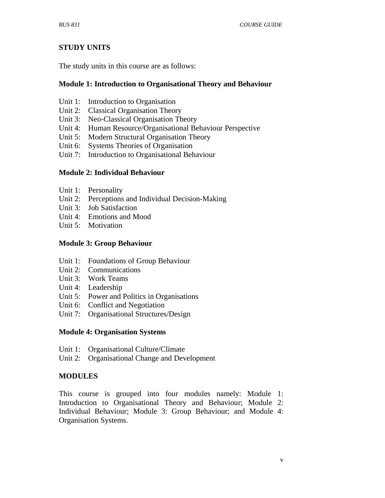# **STUDY UNITS**

The study units in this course are as follows:

#### **Module 1: Introduction to Organisational Theory and Behaviour**

- Unit 1: Introduction to Organisation
- Unit 2: Classical Organisation Theory
- Unit 3: Neo-Classical Organisation Theory
- Unit 4: Human Resource/Organisational Behaviour Perspective
- Unit 5: Modern Structural Organisation Theory
- Unit 6: Systems Theories of Organisation
- Unit 7: Introduction to Organisational Behaviour

#### **Module 2: Individual Behaviour**

- Unit 1: Personality
- Unit 2: Perceptions and Individual Decision-Making
- Unit 3: Job Satisfaction
- Unit 4: Emotions and Mood
- Unit 5: Motivation

#### **Module 3: Group Behaviour**

- Unit 1: Foundations of Group Behaviour
- Unit 2: Communications
- Unit 3: Work Teams
- Unit 4: Leadership
- Unit 5: Power and Politics in Organisations
- Unit 6: Conflict and Negotiation
- Unit 7: Organisational Structures/Design

#### **Module 4: Organisation Systems**

- Unit 1: Organisational Culture/Climate
- Unit 2: Organisational Change and Development

### **MODULES**

This course is grouped into four modules namely: Module 1: Introduction to Organisational Theory and Behaviour; Module 2: Individual Behaviour; Module 3: Group Behaviour; and Module 4: Organisation Systems.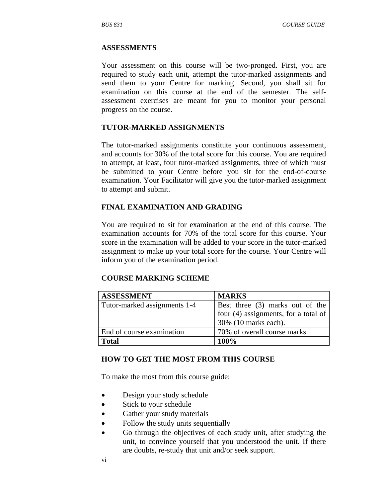#### **ASSESSMENTS**

Your assessment on this course will be two-pronged. First, you are required to study each unit, attempt the tutor-marked assignments and send them to your Centre for marking. Second, you shall sit for examination on this course at the end of the semester. The selfassessment exercises are meant for you to monitor your personal progress on the course.

#### **TUTOR-MARKED ASSIGNMENTS**

The tutor-marked assignments constitute your continuous assessment, and accounts for 30% of the total score for this course. You are required to attempt, at least, four tutor-marked assignments, three of which must be submitted to your Centre before you sit for the end-of-course examination. Your Facilitator will give you the tutor-marked assignment to attempt and submit.

### **FINAL EXAMINATION AND GRADING**

You are required to sit for examination at the end of this course. The examination accounts for 70% of the total score for this course. Your score in the examination will be added to your score in the tutor-marked assignment to make up your total score for the course. Your Centre will inform you of the examination period.

#### **COURSE MARKING SCHEME**

| <b>ASSESSMENT</b>            | <b>MARKS</b>                           |
|------------------------------|----------------------------------------|
| Tutor-marked assignments 1-4 | Best three (3) marks out of the        |
|                              | four $(4)$ assignments, for a total of |
|                              | 30% (10 marks each).                   |
| End of course examination    | 70% of overall course marks            |
| Total                        | 100%                                   |

#### **HOW TO GET THE MOST FROM THIS COURSE**

To make the most from this course guide:

- Design your study schedule
- Stick to your schedule
- Gather your study materials
- Follow the study units sequentially
- Go through the objectives of each study unit, after studying the unit, to convince yourself that you understood the unit. If there are doubts, re-study that unit and/or seek support.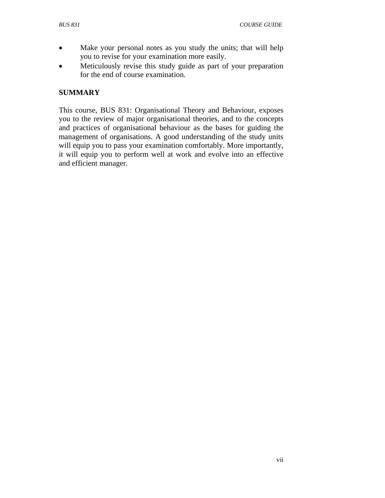- Make your personal notes as you study the units; that will help you to revise for your examination more easily.
- Meticulously revise this study guide as part of your preparation for the end of course examination.

# **SUMMARY**

This course, BUS 831: Organisational Theory and Behaviour, exposes you to the review of major organisational theories, and to the concepts and practices of organisational behaviour as the bases for guiding the management of organisations. A good understanding of the study units will equip you to pass your examination comfortably. More importantly, it will equip you to perform well at work and evolve into an effective and efficient manager.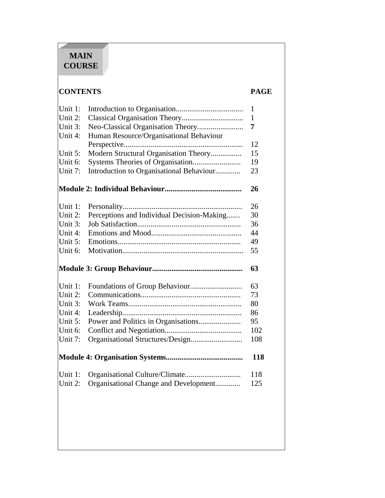# **MAIN COURSE**

í

# **CONTENTS PAGE**

| Unit 1: |                                               | 1   |
|---------|-----------------------------------------------|-----|
| Unit 2: |                                               | 1   |
| Unit 3: | Neo-Classical Organisation Theory             | 7   |
| Unit 4: | Human Resource/Organisational Behaviour       |     |
|         |                                               | 12  |
| Unit 5: | Modern Structural Organisation Theory         | 15  |
| Unit 6: | Systems Theories of Organisation              | 19  |
| Unit 7: | Introduction to Organisational Behaviour      | 23  |
|         |                                               | 26  |
| Unit 1: |                                               | 26  |
| Unit 2: | Perceptions and Individual Decision-Making    | 30  |
| Unit 3: |                                               | 36  |
| Unit 4: |                                               | 44  |
| Unit 5: |                                               | 49  |
| Unit 6: |                                               | 55  |
|         |                                               | 63  |
| Unit 1: |                                               | 63  |
| Unit 2: |                                               | 73  |
| Unit 3: |                                               | 80  |
| Unit 4: |                                               | 86  |
| Unit 5: | Power and Politics in Organisations           | 95  |
| Unit 6: |                                               | 102 |
| Unit 7: |                                               | 108 |
|         |                                               | 118 |
| Unit 1: |                                               | 118 |
|         | Unit 2: Organisational Change and Development | 125 |
|         |                                               |     |
|         |                                               |     |
|         |                                               |     |
|         |                                               |     |
|         |                                               |     |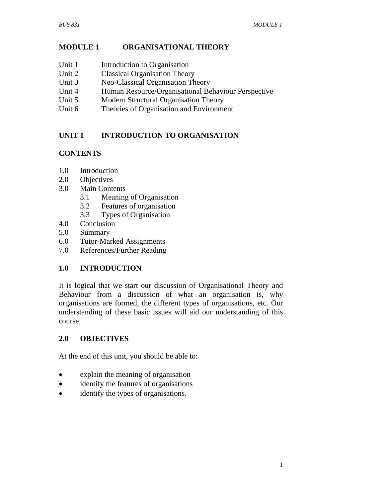# **MODULE 1 ORGANISATIONAL THEORY**

- Unit 1 Introduction to Organisation
- Unit 2 Classical Organisation Theory
- Unit 3 Neo-Classical Organisation Theory
- Unit 4 Human Resource/Organisational Behaviour Perspective
- Unit 5 Modern Structural Organisation Theory
- Unit 6 Theories of Organisation and Environment

# **UNIT 1 INTRODUCTION TO ORGANISATION**

# **CONTENTS**

- 1.0 Introduction
- 2.0 Objectives
- 3.0 Main Contents
	- 3.1 Meaning of Organisation
	- 3.2 Features of organisation
	- 3.3 Types of Organisation
- 4.0 Conclusion
- 5.0 Summary
- 6.0 Tutor-Marked Assignments
- 7.0 References/Further Reading

# **1.0 INTRODUCTION**

It is logical that we start our discussion of Organisational Theory and Behaviour from a discussion of what an organisation is, why organisations are formed, the different types of organisations, etc. Our understanding of these basic issues will aid our understanding of this course.

# **2.0 OBJECTIVES**

At the end of this unit, you should be able to:

- explain the meaning of organisation
- identify the features of organisations
- identify the types of organisations.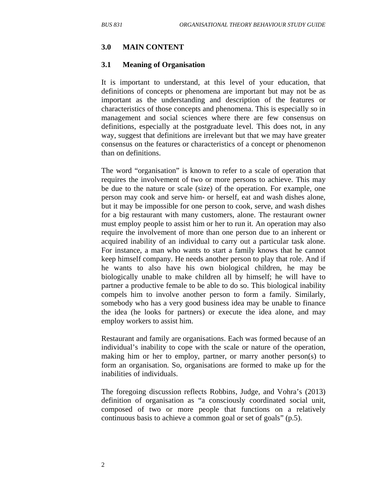#### **3.0 MAIN CONTENT**

#### **3.1 Meaning of Organisation**

It is important to understand, at this level of your education, that definitions of concepts or phenomena are important but may not be as important as the understanding and description of the features or characteristics of those concepts and phenomena. This is especially so in management and social sciences where there are few consensus on definitions, especially at the postgraduate level. This does not, in any way, suggest that definitions are irrelevant but that we may have greater consensus on the features or characteristics of a concept or phenomenon than on definitions.

The word "organisation" is known to refer to a scale of operation that requires the involvement of two or more persons to achieve. This may be due to the nature or scale (size) of the operation. For example, one person may cook and serve him- or herself, eat and wash dishes alone, but it may be impossible for one person to cook, serve, and wash dishes for a big restaurant with many customers, alone. The restaurant owner must employ people to assist him or her to run it. An operation may also require the involvement of more than one person due to an inherent or acquired inability of an individual to carry out a particular task alone. For instance, a man who wants to start a family knows that he cannot keep himself company. He needs another person to play that role. And if he wants to also have his own biological children, he may be biologically unable to make children all by himself; he will have to partner a productive female to be able to do so. This biological inability compels him to involve another person to form a family. Similarly, somebody who has a very good business idea may be unable to finance the idea (he looks for partners) or execute the idea alone, and may employ workers to assist him.

Restaurant and family are organisations. Each was formed because of an individual's inability to cope with the scale or nature of the operation, making him or her to employ, partner, or marry another person(s) to form an organisation. So, organisations are formed to make up for the inabilities of individuals.

The foregoing discussion reflects Robbins, Judge, and Vohra's (2013) definition of organisation as "a consciously coordinated social unit, composed of two or more people that functions on a relatively continuous basis to achieve a common goal or set of goals" (p.5).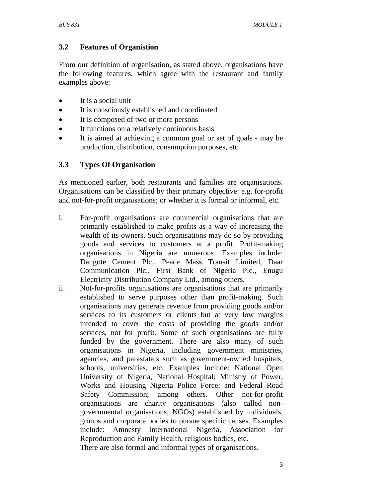# **3.2 Features of Organistion**

From our definition of organisation, as stated above, organisations have the following features, which agree with the restaurant and family examples above:

- It is a social unit
- It is consciously established and coordinated
- It is composed of two or more persons
- It functions on a relatively continuous basis
- It is aimed at achieving a common goal or set of goals may be production, distribution, consumption purposes, etc.

### **3.3 Types Of Organisation**

As mentioned earlier, both restaurants and families are organisations. Organisations can be classified by their primary objective: e.g. for-profit and not-for-profit organisations; or whether it is formal or informal, etc.

- i. For-profit organisations are commercial organisations that are primarily established to make profits as a way of increasing the wealth of its owners. Such organisations may do so by providing goods and services to customers at a profit. Profit-making organisations in Nigeria are numerous. Examples include: Dangote Cement Plc., Peace Mass Transit Limited, Daar Communication Plc., First Bank of Nigeria Plc., Enugu Electricity Distribution Company Ltd., among others.
- ii. Not-for-profits organisations are organisations that are primarily established to serve purposes other than profit-making. Such organisations may generate revenue from providing goods and/or services to its customers or clients but at very low margins intended to cover the costs of providing the goods and/or services, not for profit. Some of such organisations are fully funded by the government. There are also many of such organisations in Nigeria, including government ministries, agencies, and parastatals such as government-owned hospitals, schools, universities, etc. Examples include: National Open University of Nigeria, National Hospital; Ministry of Power, Works and Housing Nigeria Police Force; and Federal Road Safety Commission; among others. Other not-for-profit organisations are charity organisations (also called nongovernmental organisations, NGOs) established by individuals, groups and corporate bodies to pursue specific causes. Examples include: Amnesty International Nigeria, Association for Reproduction and Family Health, religious bodies, etc.

There are also formal and informal types of organisations.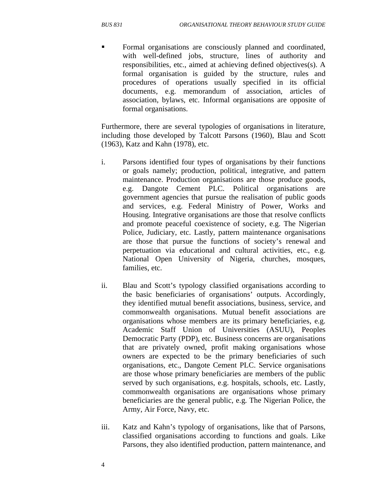Formal organisations are consciously planned and coordinated, with well-defined jobs, structure, lines of authority and responsibilities, etc., aimed at achieving defined objectives(s). A formal organisation is guided by the structure, rules and procedures of operations usually specified in its official documents, e.g. memorandum of association, articles of association, bylaws, etc. Informal organisations are opposite of formal organisations.

Furthermore, there are several typologies of organisations in literature, including those developed by Talcott Parsons (1960), Blau and Scott (1963), Katz and Kahn (1978), etc.

- i. Parsons identified four types of organisations by their functions or goals namely; production, political, integrative, and pattern maintenance. Production organisations are those produce goods, e.g. Dangote Cement PLC. Political organisations are government agencies that pursue the realisation of public goods and services, e.g. Federal Ministry of Power, Works and Housing. Integrative organisations are those that resolve conflicts and promote peaceful coexistence of society, e.g. The Nigerian Police, Judiciary, etc. Lastly, pattern maintenance organisations are those that pursue the functions of society's renewal and perpetuation via educational and cultural activities, etc., e.g. National Open University of Nigeria, churches, mosques, families, etc.
- ii. Blau and Scott's typology classified organisations according to the basic beneficiaries of organisations' outputs. Accordingly, they identified mutual benefit associations, business, service, and commonwealth organisations. Mutual benefit associations are organisations whose members are its primary beneficiaries, e.g. Academic Staff Union of Universities (ASUU), Peoples Democratic Party (PDP), etc. Business concerns are organisations that are privately owned, profit making organisations whose owners are expected to be the primary beneficiaries of such organisations, etc., Dangote Cement PLC. Service organisations are those whose primary beneficiaries are members of the public served by such organisations, e.g. hospitals, schools, etc. Lastly, commonwealth organisations are organisations whose primary beneficiaries are the general public, e.g. The Nigerian Police, the Army, Air Force, Navy, etc.
- iii. Katz and Kahn's typology of organisations, like that of Parsons, classified organisations according to functions and goals. Like Parsons, they also identified production, pattern maintenance, and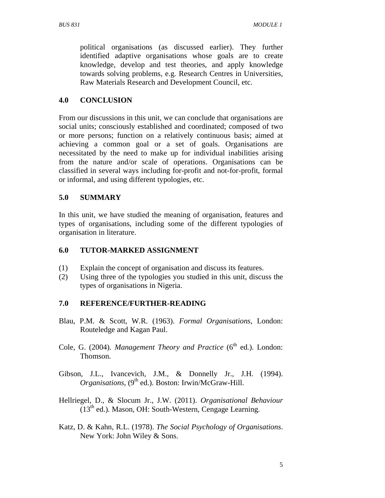political organisations (as discussed earlier). They further identified adaptive organisations whose goals are to create knowledge, develop and test theories, and apply knowledge towards solving problems, e.g. Research Centres in Universities, Raw Materials Research and Development Council, etc.

# **4.0 CONCLUSION**

From our discussions in this unit, we can conclude that organisations are social units; consciously established and coordinated; composed of two or more persons; function on a relatively continuous basis; aimed at achieving a common goal or a set of goals. Organisations are necessitated by the need to make up for individual inabilities arising from the nature and/or scale of operations. Organisations can be classified in several ways including for-profit and not-for-profit, formal or informal, and using different typologies, etc.

# **5.0 SUMMARY**

In this unit, we have studied the meaning of organisation, features and types of organisations, including some of the different typologies of organisation in literature.

### **6.0 TUTOR-MARKED ASSIGNMENT**

- (1) Explain the concept of organisation and discuss its features.
- (2) Using three of the typologies you studied in this unit, discuss the types of organisations in Nigeria.

### **7.0 REFERENCE/FURTHER-READING**

- Blau, P.M. & Scott, W.R. (1963). *Formal Organisations*, London: Routeledge and Kagan Paul.
- Cole, G. (2004). *Management Theory and Practice* (6<sup>th</sup> ed.). London: Thomson.
- Gibson, J.L., Ivancevich, J.M., & Donnelly Jr., J.H. (1994). *Organisations*,  $(9<sup>th</sup>$  ed.). Boston: Irwin/McGraw-Hill.
- Hellriegel, D., & Slocum Jr., J.W. (2011). *Organisational Behaviour*  $(13<sup>th</sup>$  ed.). Mason, OH: South-Western, Cengage Learning.
- Katz, D. & Kahn, R.L. (1978). *The Social Psychology of Organisations*. New York: John Wiley & Sons.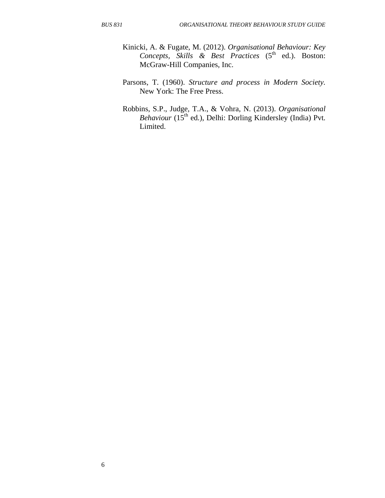- Kinicki, A. & Fugate, M. (2012). *Organisational Behaviour: Key Concepts, Skills & Best Practices* (5<sup>th</sup> ed.). Boston: McGraw-Hill Companies, Inc.
- Parsons, T. (1960). *Structure and process in Modern Society.* New York: The Free Press.
- Robbins, S.P., Judge, T.A., & Vohra, N. (2013). *Organisational Behaviour* (15<sup>th</sup> ed.), Delhi: Dorling Kindersley (India) Pvt. Limited.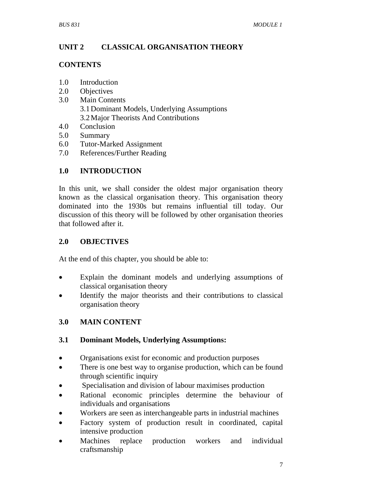# **UNIT 2 CLASSICAL ORGANISATION THEORY**

#### **CONTENTS**

- 1.0 Introduction
- 2.0 Objectives
- 3.0 Main Contents 3.1Dominant Models, Underlying Assumptions 3.2Major Theorists And Contributions
- 4.0 Conclusion
- 5.0 Summary
- 6.0 Tutor-Marked Assignment
- 7.0 References/Further Reading

# **1.0 INTRODUCTION**

In this unit, we shall consider the oldest major organisation theory known as the classical organisation theory. This organisation theory dominated into the 1930s but remains influential till today. Our discussion of this theory will be followed by other organisation theories that followed after it.

# **2.0 OBJECTIVES**

At the end of this chapter, you should be able to:

- Explain the dominant models and underlying assumptions of classical organisation theory
- Identify the major theorists and their contributions to classical organisation theory

# **3.0 MAIN CONTENT**

### **3.1 Dominant Models, Underlying Assumptions:**

- Organisations exist for economic and production purposes
- There is one best way to organise production, which can be found through scientific inquiry
- Specialisation and division of labour maximises production
- Rational economic principles determine the behaviour of individuals and organisations
- Workers are seen as interchangeable parts in industrial machines
- Factory system of production result in coordinated, capital intensive production
- Machines replace production workers and individual craftsmanship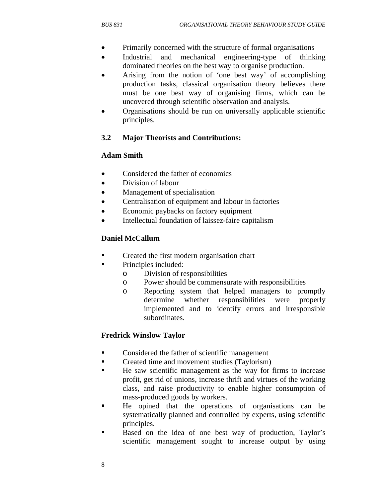- Primarily concerned with the structure of formal organisations
- Industrial and mechanical engineering-type of thinking dominated theories on the best way to organise production.
- Arising from the notion of 'one best way' of accomplishing production tasks, classical organisation theory believes there must be one best way of organising firms, which can be uncovered through scientific observation and analysis.
- Organisations should be run on universally applicable scientific principles.

# **3.2 Major Theorists and Contributions:**

# **Adam Smith**

- Considered the father of economics
- Division of labour
- Management of specialisation
- Centralisation of equipment and labour in factories
- Economic paybacks on factory equipment
- Intellectual foundation of laissez-faire capitalism

# **Daniel McCallum**

- Created the first modern organisation chart
- **•** Principles included:
	- o Division of responsibilities
	- o Power should be commensurate with responsibilities
	- o Reporting system that helped managers to promptly determine whether responsibilities were properly implemented and to identify errors and irresponsible subordinates.

# **Fredrick Winslow Taylor**

- Considered the father of scientific management
- **•** Created time and movement studies (Taylorism)
- He saw scientific management as the way for firms to increase profit, get rid of unions, increase thrift and virtues of the working class, and raise productivity to enable higher consumption of mass-produced goods by workers.
- He opined that the operations of organisations can be systematically planned and controlled by experts, using scientific principles.
- Based on the idea of one best way of production, Taylor's scientific management sought to increase output by using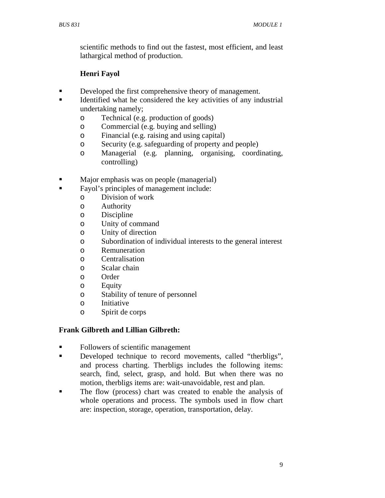scientific methods to find out the fastest, most efficient, and least lathargical method of production.

# **Henri Fayol**

- Developed the first comprehensive theory of management.
- Identified what he considered the key activities of any industrial undertaking namely;
	- o Technical (e.g. production of goods)
	- o Commercial (e.g. buying and selling)
	- o Financial (e.g. raising and using capital)
	- o Security (e.g. safeguarding of property and people)
	- o Managerial (e.g. planning, organising, coordinating, controlling)
- Major emphasis was on people (managerial)
- Fayol's principles of management include:
	- o Division of work
	- o Authority
	- o Discipline
	- o Unity of command
	- o Unity of direction
	- o Subordination of individual interests to the general interest
	- o Remuneration
	- o Centralisation
	- o Scalar chain
	- o Order
	- o Equity
	- o Stability of tenure of personnel
	- o Initiative
	- o Spirit de corps

# **Frank Gilbreth and Lillian Gilbreth:**

- Followers of scientific management
- Developed technique to record movements, called "therbligs", and process charting. Therbligs includes the following items: search, find, select, grasp, and hold. But when there was no motion, therbligs items are: wait-unavoidable, rest and plan.
- The flow (process) chart was created to enable the analysis of whole operations and process. The symbols used in flow chart are: inspection, storage, operation, transportation, delay.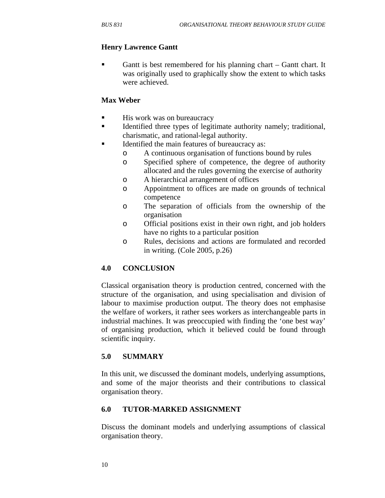# **Henry Lawrence Gantt**

Gantt is best remembered for his planning chart – Gantt chart. It was originally used to graphically show the extent to which tasks were achieved.

#### **Max Weber**

- **His work was on bureaucracy**
- Identified three types of legitimate authority namely; traditional, charismatic, and rational-legal authority.
- Identified the main features of bureaucracy as:
	- o A continuous organisation of functions bound by rules
	- o Specified sphere of competence, the degree of authority allocated and the rules governing the exercise of authority
	- o A hierarchical arrangement of offices
	- o Appointment to offices are made on grounds of technical competence
	- o The separation of officials from the ownership of the organisation
	- o Official positions exist in their own right, and job holders have no rights to a particular position
	- o Rules, decisions and actions are formulated and recorded in writing. (Cole 2005, p.26)

### **4.0 CONCLUSION**

Classical organisation theory is production centred, concerned with the structure of the organisation, and using specialisation and division of labour to maximise production output. The theory does not emphasise the welfare of workers, it rather sees workers as interchangeable parts in industrial machines. It was preoccupied with finding the 'one best way' of organising production, which it believed could be found through scientific inquiry.

### **5.0 SUMMARY**

In this unit, we discussed the dominant models, underlying assumptions, and some of the major theorists and their contributions to classical organisation theory.

### **6.0 TUTOR-MARKED ASSIGNMENT**

Discuss the dominant models and underlying assumptions of classical organisation theory.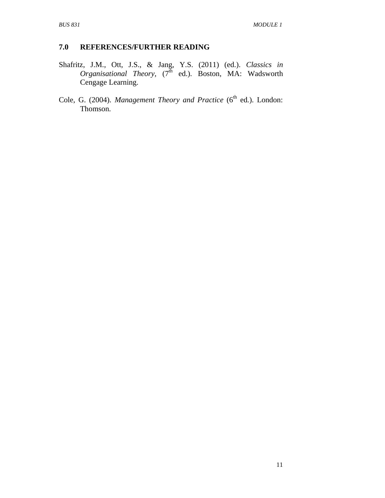# **7.0 REFERENCES/FURTHER READING**

- Shafritz, J.M., Ott, J.S., & Jang, Y.S. (2011) (ed.). *Classics in Organisational Theory,*  $(7^{\bar{h}}$  ed.). Boston, MA: Wadsworth Cengage Learning.
- Cole, G. (2004). *Management Theory and Practice* (6<sup>th</sup> ed.). London: Thomson.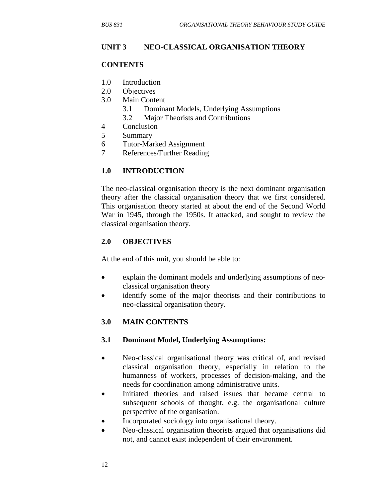#### **UNIT 3 NEO-CLASSICAL ORGANISATION THEORY**

#### **CONTENTS**

- 1.0 Introduction
- 2.0 Objectives
- 3.0 Main Content
	- 3.1 Dominant Models, Underlying Assumptions
	- 3.2 Major Theorists and Contributions
- 4 Conclusion
- 5 Summary
- 6 Tutor-Marked Assignment
- 7 References/Further Reading

#### **1.0 INTRODUCTION**

The neo-classical organisation theory is the next dominant organisation theory after the classical organisation theory that we first considered. This organisation theory started at about the end of the Second World War in 1945, through the 1950s. It attacked, and sought to review the classical organisation theory.

#### **2.0 OBJECTIVES**

At the end of this unit, you should be able to:

- explain the dominant models and underlying assumptions of neoclassical organisation theory
- identify some of the major theorists and their contributions to neo-classical organisation theory.

#### **3.0 MAIN CONTENTS**

#### **3.1 Dominant Model, Underlying Assumptions:**

- Neo-classical organisational theory was critical of, and revised classical organisation theory, especially in relation to the humanness of workers, processes of decision-making, and the needs for coordination among administrative units.
- Initiated theories and raised issues that became central to subsequent schools of thought, e.g. the organisational culture perspective of the organisation.
- Incorporated sociology into organisational theory.
- Neo-classical organisation theorists argued that organisations did not, and cannot exist independent of their environment.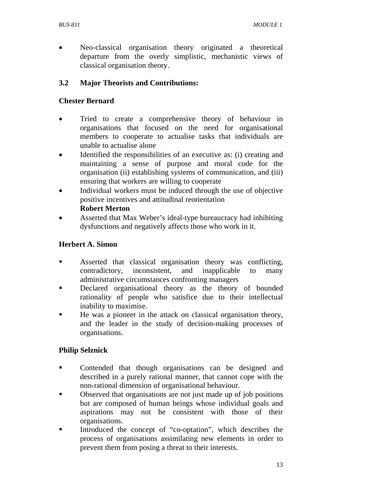• Neo-classical organisation theory originated a theoretical departure from the overly simplistic, mechanistic views of classical organisation theory.

# **3.2 Major Theorists and Contributions:**

## **Chester Bernard**

- Tried to create a comprehensive theory of behaviour in organisations that focused on the need for organisational members to cooperate to actualise tasks that individuals are unable to actualise alone
- Identified the responsibilities of an executive as: (i) creating and maintaining a sense of purpose and moral code for the organisation (ii) establishing systems of communication, and (iii) ensuring that workers are willing to cooperate
- Individual workers must be induced through the use of objective positive incentives and attitudinal reorientation

### **Robert Merton**

• Asserted that Max Weber's ideal-type bureaucracy had inhibiting dysfunctions and negatively affects those who work in it.

# **Herbert A. Simon**

- Asserted that classical organisation theory was conflicting, contradictory, inconsistent, and inapplicable to many administrative circumstances confronting managers
- **Declared organisational theory as the theory of bounded** rationality of people who satisfice due to their intellectual inability to maximise.
- He was a pioneer in the attack on classical organisation theory, and the leader in the study of decision-making processes of organisations.

# **Philip Selznick**

- Contended that though organisations can be designed and described in a purely rational manner, that cannot cope with the non-rational dimension of organisational behaviour.
- Observed that organisations are not just made up of job positions but are composed of human beings whose individual goals and aspirations may not be consistent with those of their organisations.
- Introduced the concept of "co-optation", which describes the process of organisations assimilating new elements in order to prevent them from posing a threat to their interests.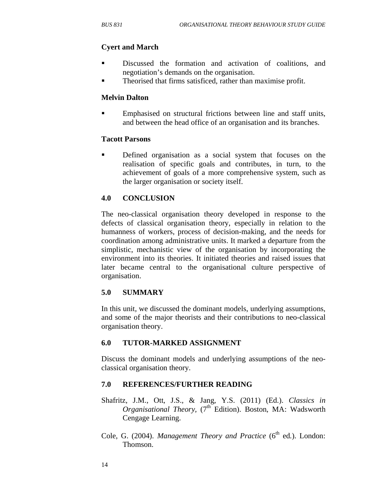# **Cyert and March**

- Discussed the formation and activation of coalitions, and negotiation's demands on the organisation.
- Theorised that firms satisficed, rather than maximise profit.

#### **Melvin Dalton**

 Emphasised on structural frictions between line and staff units, and between the head office of an organisation and its branches.

#### **Tacott Parsons**

 Defined organisation as a social system that focuses on the realisation of specific goals and contributes, in turn, to the achievement of goals of a more comprehensive system, such as the larger organisation or society itself.

### **4.0 CONCLUSION**

The neo-classical organisation theory developed in response to the defects of classical organisation theory, especially in relation to the humanness of workers, process of decision-making, and the needs for coordination among administrative units. It marked a departure from the simplistic, mechanistic view of the organisation by incorporating the environment into its theories. It initiated theories and raised issues that later became central to the organisational culture perspective of organisation.

### **5.0 SUMMARY**

In this unit, we discussed the dominant models, underlying assumptions, and some of the major theorists and their contributions to neo-classical organisation theory.

### **6.0 TUTOR-MARKED ASSIGNMENT**

Discuss the dominant models and underlying assumptions of the neoclassical organisation theory.

### **7.0 REFERENCES/FURTHER READING**

- Shafritz, J.M., Ott, J.S., & Jang, Y.S. (2011) (Ed.). *Classics in Organisational Theory,* (7<sup>th</sup> Edition). Boston, MA: Wadsworth Cengage Learning.
- Cole, G. (2004). *Management Theory and Practice* (6<sup>th</sup> ed.). London: Thomson.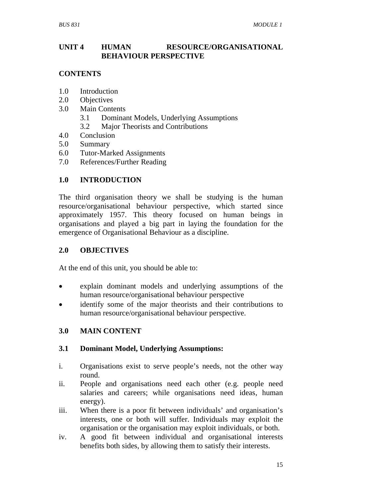### **UNIT 4 HUMAN RESOURCE/ORGANISATIONAL BEHAVIOUR PERSPECTIVE**

### **CONTENTS**

- 1.0 Introduction
- 2.0 Objectives
- 3.0 Main Contents
	- 3.1 Dominant Models, Underlying Assumptions
	- 3.2 Major Theorists and Contributions
- 4.0 Conclusion
- 5.0 Summary
- 6.0 Tutor-Marked Assignments
- 7.0 References/Further Reading

### **1.0 INTRODUCTION**

The third organisation theory we shall be studying is the human resource/organisational behaviour perspective, which started since approximately 1957. This theory focused on human beings in organisations and played a big part in laying the foundation for the emergence of Organisational Behaviour as a discipline.

#### **2.0 OBJECTIVES**

At the end of this unit, you should be able to:

- explain dominant models and underlying assumptions of the human resource/organisational behaviour perspective
- identify some of the major theorists and their contributions to human resource/organisational behaviour perspective.

### **3.0 MAIN CONTENT**

#### **3.1 Dominant Model, Underlying Assumptions:**

- i. Organisations exist to serve people's needs, not the other way round.
- ii. People and organisations need each other (e.g. people need salaries and careers; while organisations need ideas, human energy).
- iii. When there is a poor fit between individuals' and organisation's interests, one or both will suffer. Individuals may exploit the organisation or the organisation may exploit individuals, or both.
- iv. A good fit between individual and organisational interests benefits both sides, by allowing them to satisfy their interests.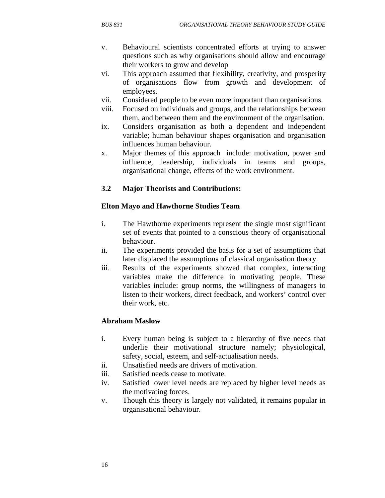- v. Behavioural scientists concentrated efforts at trying to answer questions such as why organisations should allow and encourage their workers to grow and develop
- vi. This approach assumed that flexibility, creativity, and prosperity of organisations flow from growth and development of employees.
- vii. Considered people to be even more important than organisations.
- viii. Focused on individuals and groups, and the relationships between them, and between them and the environment of the organisation.
- ix. Considers organisation as both a dependent and independent variable; human behaviour shapes organisation and organisation influences human behaviour.
- x. Major themes of this approach include: motivation, power and influence, leadership, individuals in teams and groups, organisational change, effects of the work environment.

### **3.2 Major Theorists and Contributions:**

#### **Elton Mayo and Hawthorne Studies Team**

- i. The Hawthorne experiments represent the single most significant set of events that pointed to a conscious theory of organisational behaviour.
- ii. The experiments provided the basis for a set of assumptions that later displaced the assumptions of classical organisation theory.
- iii. Results of the experiments showed that complex, interacting variables make the difference in motivating people. These variables include: group norms, the willingness of managers to listen to their workers, direct feedback, and workers' control over their work, etc.

#### **Abraham Maslow**

- i. Every human being is subject to a hierarchy of five needs that underlie their motivational structure namely; physiological, safety, social, esteem, and self-actualisation needs.
- ii. Unsatisfied needs are drivers of motivation.
- iii. Satisfied needs cease to motivate.
- iv. Satisfied lower level needs are replaced by higher level needs as the motivating forces.
- v. Though this theory is largely not validated, it remains popular in organisational behaviour.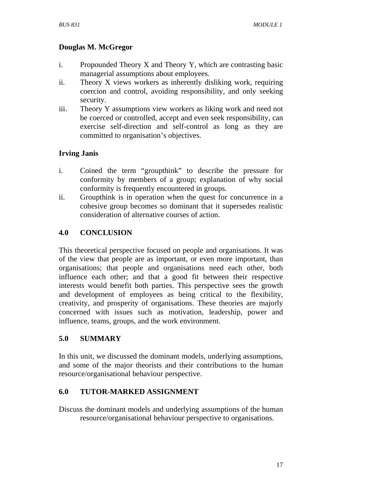# **Douglas M. McGregor**

- i. Propounded Theory X and Theory Y, which are contrasting basic managerial assumptions about employees.
- ii. Theory X views workers as inherently disliking work, requiring coercion and control, avoiding responsibility, and only seeking security.
- iii. Theory Y assumptions view workers as liking work and need not be coerced or controlled, accept and even seek responsibility, can exercise self-direction and self-control as long as they are committed to organisation's objectives.

# **Irving Janis**

- i. Coined the term "groupthink" to describe the pressure for conformity by members of a group; explanation of why social conformity is frequently encountered in groups.
- ii. Groupthink is in operation when the quest for concurrence in a cohesive group becomes so dominant that it supersedes realistic consideration of alternative courses of action.

# **4.0 CONCLUSION**

This theoretical perspective focused on people and organisations. It was of the view that people are as important, or even more important, than organisations; that people and organisations need each other, both influence each other; and that a good fit between their respective interests would benefit both parties. This perspective sees the growth and development of employees as being critical to the flexibility, creativity, and prosperity of organisations. These theories are majorly concerned with issues such as motivation, leadership, power and influence, teams, groups, and the work environment.

### **5.0 SUMMARY**

In this unit, we discussed the dominant models, underlying assumptions, and some of the major theorists and their contributions to the human resource/organisational behaviour perspective.

### **6.0 TUTOR-MARKED ASSIGNMENT**

Discuss the dominant models and underlying assumptions of the human resource/organisational behaviour perspective to organisations.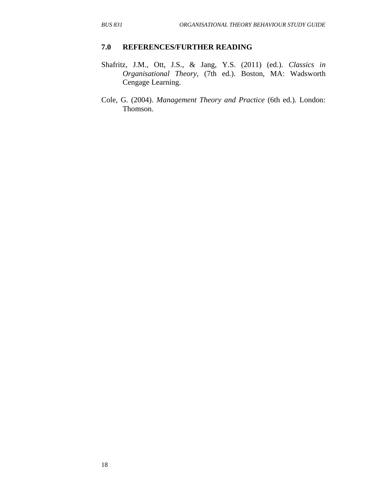#### **7.0 REFERENCES/FURTHER READING**

- Shafritz, J.M., Ott, J.S., & Jang, Y.S. (2011) (ed.). *Classics in Organisational Theory,* (7th ed.). Boston, MA: Wadsworth Cengage Learning.
- Cole, G. (2004). *Management Theory and Practice* (6th ed.). London: Thomson.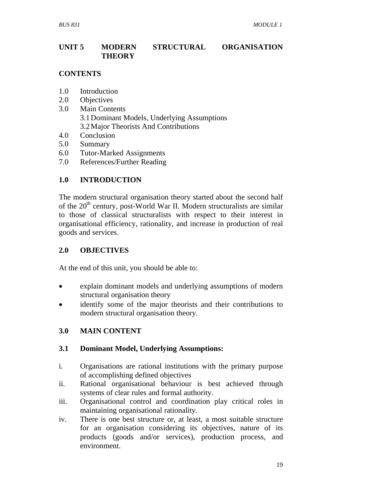# **UNIT 5 MODERN STRUCTURAL ORGANISATION THEORY**

### **CONTENTS**

- 1.0 Introduction
- 2.0 Objectives
- 3.0 Main Contents 3.1Dominant Models, Underlying Assumptions 3.2Major Theorists And Contributions
- 4.0 Conclusion
- 5.0 Summary
- 6.0 Tutor-Marked Assignments
- 7.0 References/Further Reading

# **1.0 INTRODUCTION**

The modern structural organisation theory started about the second half of the  $20<sup>th</sup>$  century, post-World War II. Modern structuralists are similar to those of classical structuralists with respect to their interest in organisational efficiency, rationality, and increase in production of real goods and services.

#### **2.0 OBJECTIVES**

At the end of this unit, you should be able to:

- explain dominant models and underlying assumptions of modern structural organisation theory
- identify some of the major theorists and their contributions to modern structural organisation theory.

### **3.0 MAIN CONTENT**

#### **3.1 Dominant Model, Underlying Assumptions:**

- i. Organisations are rational institutions with the primary purpose of accomplishing defined objectives
- ii. Rational organisational behaviour is best achieved through systems of clear rules and formal authority.
- iii. Organisational control and coordination play critical roles in maintaining organisational rationality.
- iv. There is one best structure or, at least, a most suitable structure for an organisation considering its objectives, nature of its products (goods and/or services), production process, and environment.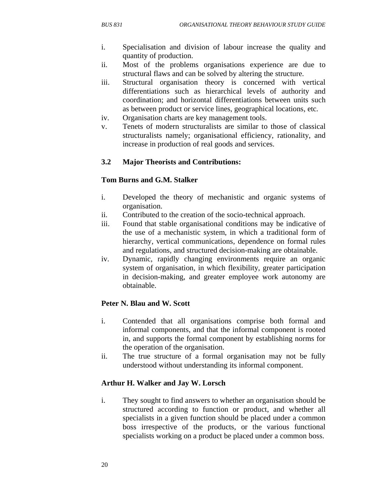- i. Specialisation and division of labour increase the quality and quantity of production.
- ii. Most of the problems organisations experience are due to structural flaws and can be solved by altering the structure.
- iii. Structural organisation theory is concerned with vertical differentiations such as hierarchical levels of authority and coordination; and horizontal differentiations between units such as between product or service lines, geographical locations, etc.
- iv. Organisation charts are key management tools.
- v. Tenets of modern structuralists are similar to those of classical structuralists namely; organisational efficiency, rationality, and increase in production of real goods and services.

# **3.2 Major Theorists and Contributions:**

### **Tom Burns and G.M. Stalker**

- i. Developed the theory of mechanistic and organic systems of organisation.
- ii. Contributed to the creation of the socio-technical approach.
- iii. Found that stable organisational conditions may be indicative of the use of a mechanistic system, in which a traditional form of hierarchy, vertical communications, dependence on formal rules and regulations, and structured decision-making are obtainable.
- iv. Dynamic, rapidly changing environments require an organic system of organisation, in which flexibility, greater participation in decision-making, and greater employee work autonomy are obtainable.

### **Peter N. Blau and W. Scott**

- i. Contended that all organisations comprise both formal and informal components, and that the informal component is rooted in, and supports the formal component by establishing norms for the operation of the organisation.
- ii. The true structure of a formal organisation may not be fully understood without understanding its informal component.

### **Arthur H. Walker and Jay W. Lorsch**

i. They sought to find answers to whether an organisation should be structured according to function or product, and whether all specialists in a given function should be placed under a common boss irrespective of the products, or the various functional specialists working on a product be placed under a common boss.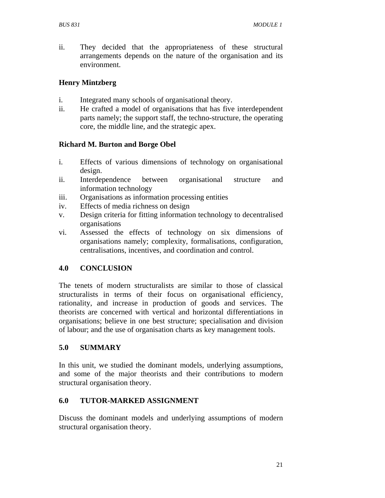ii. They decided that the appropriateness of these structural arrangements depends on the nature of the organisation and its environment.

## **Henry Mintzberg**

- i. Integrated many schools of organisational theory.
- ii. He crafted a model of organisations that has five interdependent parts namely; the support staff, the techno-structure, the operating core, the middle line, and the strategic apex.

# **Richard M. Burton and Borge Obel**

- i. Effects of various dimensions of technology on organisational design.
- ii. Interdependence between organisational structure and information technology
- iii. Organisations as information processing entities
- iv. Effects of media richness on design
- v. Design criteria for fitting information technology to decentralised organisations
- vi. Assessed the effects of technology on six dimensions of organisations namely; complexity, formalisations, configuration, centralisations, incentives, and coordination and control.

# **4.0 CONCLUSION**

The tenets of modern structuralists are similar to those of classical structuralists in terms of their focus on organisational efficiency, rationality, and increase in production of goods and services. The theorists are concerned with vertical and horizontal differentiations in organisations; believe in one best structure; specialisation and division of labour; and the use of organisation charts as key management tools.

# **5.0 SUMMARY**

In this unit, we studied the dominant models, underlying assumptions, and some of the major theorists and their contributions to modern structural organisation theory.

### **6.0 TUTOR-MARKED ASSIGNMENT**

Discuss the dominant models and underlying assumptions of modern structural organisation theory.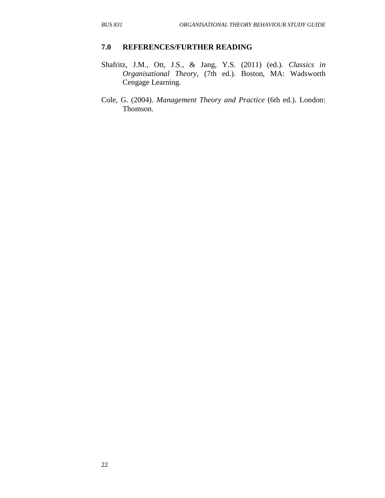#### **7.0 REFERENCES/FURTHER READING**

- Shafritz, J.M., Ott, J.S., & Jang, Y.S. (2011) (ed.). *Classics in Organisational Theory,* (7th ed.). Boston, MA: Wadsworth Cengage Learning.
- Cole, G. (2004). *Management Theory and Practice* (6th ed.). London: Thomson.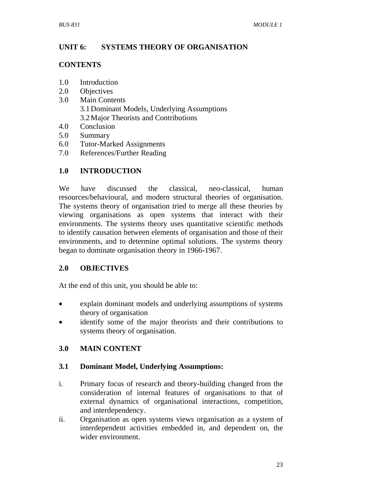# **UNIT 6: SYSTEMS THEORY OF ORGANISATION**

#### **CONTENTS**

- 1.0 Introduction
- 2.0 Objectives
- 3.0 Main Contents 3.1Dominant Models, Underlying Assumptions 3.2Major Theorists and Contributions
- 4.0 Conclusion
- 5.0 Summary
- 6.0 Tutor-Marked Assignments
- 7.0 References/Further Reading

# **1.0 INTRODUCTION**

We have discussed the classical, neo-classical, human resources/behavioural, and modern structural theories of organisation. The systems theory of organisation tried to merge all these theories by viewing organisations as open systems that interact with their environments. The systems theory uses quantitative scientific methods to identify causation between elements of organisation and those of their environments, and to determine optimal solutions. The systems theory began to dominate organisation theory in 1966-1967.

### **2.0 OBJECTIVES**

At the end of this unit, you should be able to:

- explain dominant models and underlying assumptions of systems theory of organisation
- identify some of the major theorists and their contributions to systems theory of organisation.

### **3.0 MAIN CONTENT**

### **3.1 Dominant Model, Underlying Assumptions:**

- i. Primary focus of research and theory-building changed from the consideration of internal features of organisations to that of external dynamics of organisational interactions, competition, and interdependency.
- ii. Organisation as open systems views organisation as a system of interdependent activities embedded in, and dependent on, the wider environment.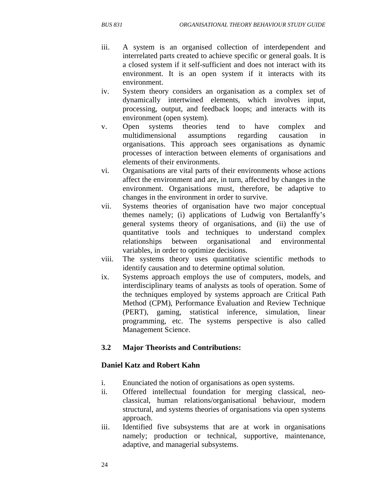- iii. A system is an organised collection of interdependent and interrelated parts created to achieve specific or general goals. It is a closed system if it self-sufficient and does not interact with its environment. It is an open system if it interacts with its environment.
- iv. System theory considers an organisation as a complex set of dynamically intertwined elements, which involves input, processing, output, and feedback loops; and interacts with its environment (open system).
- v. Open systems theories tend to have complex and multidimensional assumptions regarding causation in organisations. This approach sees organisations as dynamic processes of interaction between elements of organisations and elements of their environments.
- vi. Organisations are vital parts of their environments whose actions affect the environment and are, in turn, affected by changes in the environment. Organisations must, therefore, be adaptive to changes in the environment in order to survive.
- vii. Systems theories of organisation have two major conceptual themes namely; (i) applications of Ludwig von Bertalanffy's general systems theory of organisations, and (ii) the use of quantitative tools and techniques to understand complex relationships between organisational and environmental variables, in order to optimize decisions.
- viii. The systems theory uses quantitative scientific methods to identify causation and to determine optimal solution.
- ix. Systems approach employs the use of computers, models, and interdisciplinary teams of analysts as tools of operation. Some of the techniques employed by systems approach are Critical Path Method (CPM), Performance Evaluation and Review Technique (PERT), gaming, statistical inference, simulation, linear programming, etc. The systems perspective is also called Management Science.

### **3.2 Major Theorists and Contributions:**

#### **Daniel Katz and Robert Kahn**

- i. Enunciated the notion of organisations as open systems.
- ii. Offered intellectual foundation for merging classical, neoclassical, human relations/organisational behaviour, modern structural, and systems theories of organisations via open systems approach.
- iii. Identified five subsystems that are at work in organisations namely; production or technical, supportive, maintenance, adaptive, and managerial subsystems.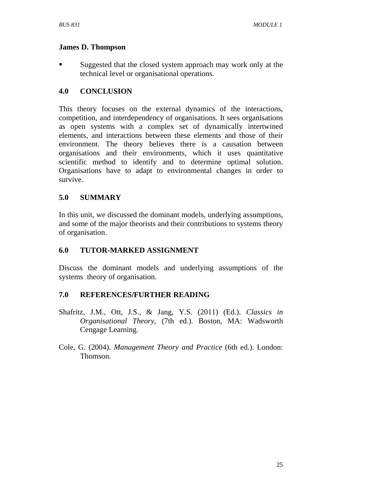## **James D. Thompson**

**Suggested that the closed system approach may work only at the** technical level or organisational operations.

# **4.0 CONCLUSION**

This theory focuses on the external dynamics of the interactions, competition, and interdependency of organisations. It sees organisations as open systems with a complex set of dynamically intertwined elements, and interactions between these elements and those of their environment. The theory believes there is a causation between organisations and their environments, which it uses quantitative scientific method to identify and to determine optimal solution. Organisations have to adapt to environmental changes in order to survive.

# **5.0 SUMMARY**

In this unit, we discussed the dominant models, underlying assumptions, and some of the major theorists and their contributions to systems theory of organisation.

### **6.0 TUTOR-MARKED ASSIGNMENT**

Discuss the dominant models and underlying assumptions of the systems theory of organisation.

### **7.0 REFERENCES/FURTHER READING**

- Shafritz, J.M., Ott, J.S., & Jang, Y.S. (2011) (Ed.). *Classics in Organisational Theory,* (7th ed.). Boston, MA: Wadsworth Cengage Learning.
- Cole, G. (2004). *Management Theory and Practice* (6th ed.). London: Thomson.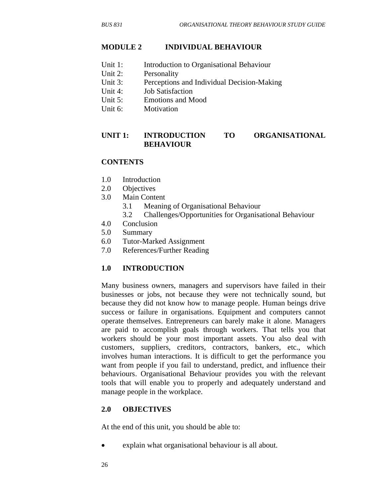#### **MODULE 2 INDIVIDUAL BEHAVIOUR**

- Unit 1: Introduction to Organisational Behaviour
- Unit 2: Personality
- Unit 3: Perceptions and Individual Decision-Making
- Unit 4: Job Satisfaction
- Unit 5: Emotions and Mood
- Unit 6: Motivation

#### **UNIT 1: INTRODUCTION TO ORGANISATIONAL BEHAVIOUR**

#### **CONTENTS**

- 1.0 Introduction
- 2.0 Objectives
- 3.0 Main Content
	- 3.1 Meaning of Organisational Behaviour
	- 3.2 Challenges/Opportunities for Organisational Behaviour
- 4.0 Conclusion
- 5.0 Summary
- 6.0 Tutor-Marked Assignment
- 7.0 References/Further Reading

#### **1.0 INTRODUCTION**

Many business owners, managers and supervisors have failed in their businesses or jobs, not because they were not technically sound, but because they did not know how to manage people. Human beings drive success or failure in organisations. Equipment and computers cannot operate themselves. Entrepreneurs can barely make it alone. Managers are paid to accomplish goals through workers. That tells you that workers should be your most important assets. You also deal with customers, suppliers, creditors, contractors, bankers, etc., which involves human interactions. It is difficult to get the performance you want from people if you fail to understand, predict, and influence their behaviours. Organisational Behaviour provides you with the relevant tools that will enable you to properly and adequately understand and manage people in the workplace.

#### **2.0 OBJECTIVES**

At the end of this unit, you should be able to:

• explain what organisational behaviour is all about.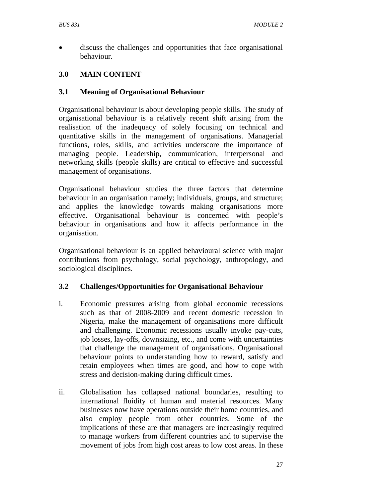• discuss the challenges and opportunities that face organisational behaviour.

# **3.0 MAIN CONTENT**

# **3.1 Meaning of Organisational Behaviour**

Organisational behaviour is about developing people skills. The study of organisational behaviour is a relatively recent shift arising from the realisation of the inadequacy of solely focusing on technical and quantitative skills in the management of organisations. Managerial functions, roles, skills, and activities underscore the importance of managing people. Leadership, communication, interpersonal and networking skills (people skills) are critical to effective and successful management of organisations.

Organisational behaviour studies the three factors that determine behaviour in an organisation namely; individuals, groups, and structure; and applies the knowledge towards making organisations more effective. Organisational behaviour is concerned with people's behaviour in organisations and how it affects performance in the organisation.

Organisational behaviour is an applied behavioural science with major contributions from psychology, social psychology, anthropology, and sociological disciplines.

### **3.2 Challenges/Opportunities for Organisational Behaviour**

- i. Economic pressures arising from global economic recessions such as that of 2008-2009 and recent domestic recession in Nigeria, make the management of organisations more difficult and challenging. Economic recessions usually invoke pay-cuts, job losses, lay-offs, downsizing, etc., and come with uncertainties that challenge the management of organisations. Organisational behaviour points to understanding how to reward, satisfy and retain employees when times are good, and how to cope with stress and decision-making during difficult times.
- ii. Globalisation has collapsed national boundaries, resulting to international fluidity of human and material resources. Many businesses now have operations outside their home countries, and also employ people from other countries. Some of the implications of these are that managers are increasingly required to manage workers from different countries and to supervise the movement of jobs from high cost areas to low cost areas. In these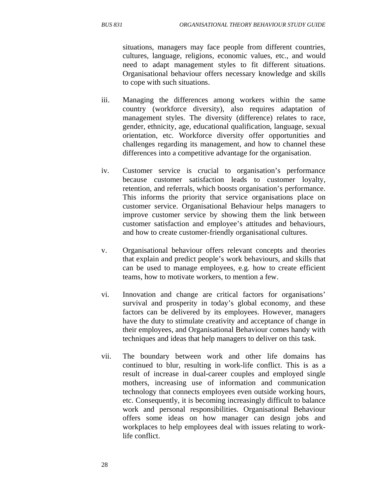situations, managers may face people from different countries, cultures, language, religions, economic values, etc., and would need to adapt management styles to fit different situations. Organisational behaviour offers necessary knowledge and skills to cope with such situations.

- iii. Managing the differences among workers within the same country (workforce diversity), also requires adaptation of management styles. The diversity (difference) relates to race, gender, ethnicity, age, educational qualification, language, sexual orientation, etc. Workforce diversity offer opportunities and challenges regarding its management, and how to channel these differences into a competitive advantage for the organisation.
- iv. Customer service is crucial to organisation's performance because customer satisfaction leads to customer loyalty, retention, and referrals, which boosts organisation's performance. This informs the priority that service organisations place on customer service. Organisational Behaviour helps managers to improve customer service by showing them the link between customer satisfaction and employee's attitudes and behaviours, and how to create customer-friendly organisational cultures.
- v. Organisational behaviour offers relevant concepts and theories that explain and predict people's work behaviours, and skills that can be used to manage employees, e.g. how to create efficient teams, how to motivate workers, to mention a few.
- vi. Innovation and change are critical factors for organisations' survival and prosperity in today's global economy, and these factors can be delivered by its employees. However, managers have the duty to stimulate creativity and acceptance of change in their employees, and Organisational Behaviour comes handy with techniques and ideas that help managers to deliver on this task.
- vii. The boundary between work and other life domains has continued to blur, resulting in work-life conflict. This is as a result of increase in dual-career couples and employed single mothers, increasing use of information and communication technology that connects employees even outside working hours, etc. Consequently, it is becoming increasingly difficult to balance work and personal responsibilities. Organisational Behaviour offers some ideas on how manager can design jobs and workplaces to help employees deal with issues relating to worklife conflict.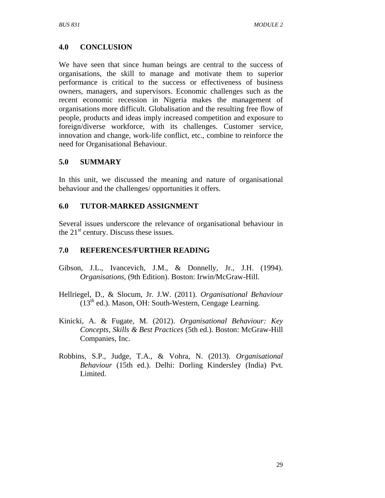## **4.0 CONCLUSION**

We have seen that since human beings are central to the success of organisations, the skill to manage and motivate them to superior performance is critical to the success or effectiveness of business owners, managers, and supervisors. Economic challenges such as the recent economic recession in Nigeria makes the management of organisations more difficult. Globalisation and the resulting free flow of people, products and ideas imply increased competition and exposure to foreign/diverse workforce, with its challenges. Customer service, innovation and change, work-life conflict, etc., combine to reinforce the need for Organisational Behaviour.

## **5.0 SUMMARY**

In this unit, we discussed the meaning and nature of organisational behaviour and the challenges/ opportunities it offers.

## **6.0 TUTOR-MARKED ASSIGNMENT**

Several issues underscore the relevance of organisational behaviour in the  $21<sup>st</sup>$  century. Discuss these issues.

## **7.0 REFERENCES/FURTHER READING**

- Gibson, J.L., Ivancevich, J.M., & Donnelly, Jr., J.H. (1994). *Organisations*, (9th Edition). Boston: Irwin/McGraw-Hill.
- Hellriegel, D., & Slocum, Jr. J.W. (2011). *Organisational Behaviour*  $(13<sup>th</sup>$  ed.). Mason, OH: South-Western, Cengage Learning.
- Kinicki, A. & Fugate, M. (2012). *Organisational Behaviour: Key Concepts, Skills & Best Practices* (5th ed.). Boston: McGraw-Hill Companies, Inc.
- Robbins, S.P., Judge, T.A., & Vohra, N. (2013). *Organisational Behaviour* (15th ed.). Delhi: Dorling Kindersley (India) Pvt. Limited.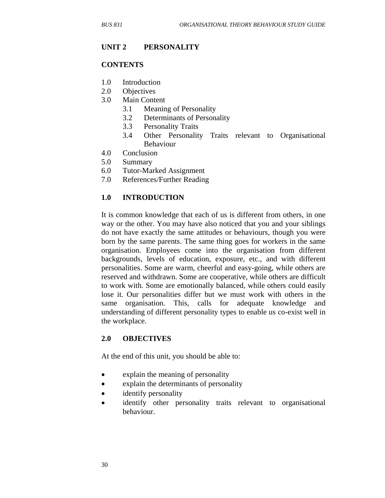#### **UNIT 2 PERSONALITY**

#### **CONTENTS**

- 1.0 Introduction
- 2.0 Objectives
- 3.0 Main Content
	- 3.1 Meaning of Personality
	- 3.2 Determinants of Personality
	- 3.3 Personality Traits
	- 3.4 Other Personality Traits relevant to Organisational Behaviour
- 4.0 Conclusion
- 5.0 Summary
- 6.0 Tutor-Marked Assignment
- 7.0 References/Further Reading

#### **1.0 INTRODUCTION**

It is common knowledge that each of us is different from others, in one way or the other. You may have also noticed that you and your siblings do not have exactly the same attitudes or behaviours, though you were born by the same parents. The same thing goes for workers in the same organisation. Employees come into the organisation from different backgrounds, levels of education, exposure, etc., and with different personalities. Some are warm, cheerful and easy-going, while others are reserved and withdrawn. Some are cooperative, while others are difficult to work with. Some are emotionally balanced, while others could easily lose it. Our personalities differ but we must work with others in the same organisation. This, calls for adequate knowledge and understanding of different personality types to enable us co-exist well in the workplace.

#### **2.0 OBJECTIVES**

At the end of this unit, you should be able to:

- explain the meaning of personality
- explain the determinants of personality
- identify personality
- identify other personality traits relevant to organisational behaviour.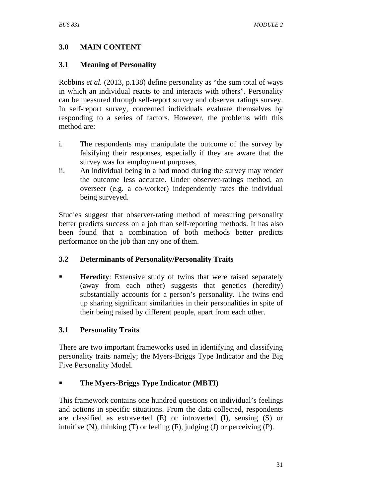# **3.0 MAIN CONTENT**

## **3.1 Meaning of Personality**

Robbins *et al.* (2013, p.138) define personality as "the sum total of ways in which an individual reacts to and interacts with others". Personality can be measured through self-report survey and observer ratings survey. In self-report survey, concerned individuals evaluate themselves by responding to a series of factors. However, the problems with this method are:

- i. The respondents may manipulate the outcome of the survey by falsifying their responses, especially if they are aware that the survey was for employment purposes,
- ii. An individual being in a bad mood during the survey may render the outcome less accurate. Under observer-ratings method, an overseer (e.g. a co-worker) independently rates the individual being surveyed.

Studies suggest that observer-rating method of measuring personality better predicts success on a job than self-reporting methods. It has also been found that a combination of both methods better predicts performance on the job than any one of them.

## **3.2 Determinants of Personality/Personality Traits**

**Heredity:** Extensive study of twins that were raised separately (away from each other) suggests that genetics (heredity) substantially accounts for a person's personality. The twins end up sharing significant similarities in their personalities in spite of their being raised by different people, apart from each other.

# **3.1 Personality Traits**

There are two important frameworks used in identifying and classifying personality traits namely; the Myers-Briggs Type Indicator and the Big Five Personality Model.

# **The Myers-Briggs Type Indicator (MBTI)**

This framework contains one hundred questions on individual's feelings and actions in specific situations. From the data collected, respondents are classified as extraverted (E) or introverted (I), sensing (S) or intuitive  $(N)$ , thinking  $(T)$  or feeling  $(F)$ , judging  $(J)$  or perceiving  $(P)$ .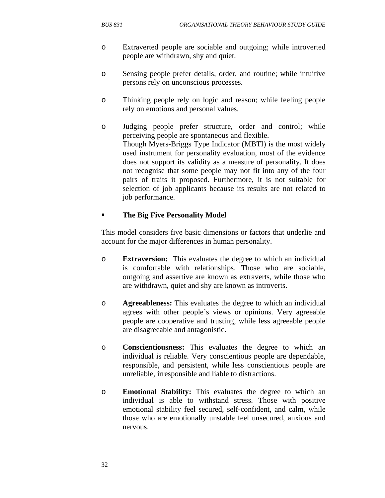- o Extraverted people are sociable and outgoing; while introverted people are withdrawn, shy and quiet.
- o Sensing people prefer details, order, and routine; while intuitive persons rely on unconscious processes.
- o Thinking people rely on logic and reason; while feeling people rely on emotions and personal values.
- o Judging people prefer structure, order and control; while perceiving people are spontaneous and flexible. Though Myers-Briggs Type Indicator (MBTI) is the most widely used instrument for personality evaluation, most of the evidence does not support its validity as a measure of personality. It does not recognise that some people may not fit into any of the four pairs of traits it proposed. Furthermore, it is not suitable for selection of job applicants because its results are not related to job performance.

# **The Big Five Personality Model**

This model considers five basic dimensions or factors that underlie and account for the major differences in human personality.

- o **Extraversion:** This evaluates the degree to which an individual is comfortable with relationships. Those who are sociable, outgoing and assertive are known as extraverts, while those who are withdrawn, quiet and shy are known as introverts.
- o **Agreeableness:** This evaluates the degree to which an individual agrees with other people's views or opinions. Very agreeable people are cooperative and trusting, while less agreeable people are disagreeable and antagonistic.
- o **Conscientiousness:** This evaluates the degree to which an individual is reliable. Very conscientious people are dependable, responsible, and persistent, while less conscientious people are unreliable, irresponsible and liable to distractions.
- o **Emotional Stability:** This evaluates the degree to which an individual is able to withstand stress. Those with positive emotional stability feel secured, self-confident, and calm, while those who are emotionally unstable feel unsecured, anxious and nervous.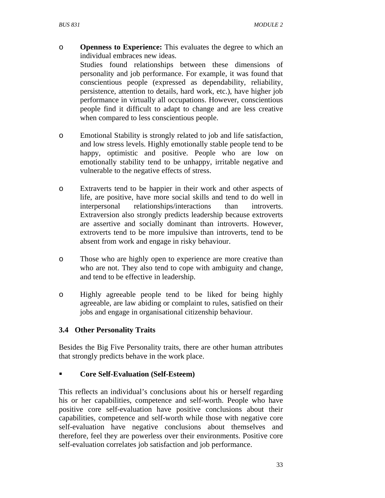- o **Openness to Experience:** This evaluates the degree to which an individual embraces new ideas. Studies found relationships between these dimensions of personality and job performance. For example, it was found that conscientious people (expressed as dependability, reliability, persistence, attention to details, hard work, etc.), have higher job performance in virtually all occupations. However, conscientious people find it difficult to adapt to change and are less creative
- o Emotional Stability is strongly related to job and life satisfaction, and low stress levels. Highly emotionally stable people tend to be happy, optimistic and positive. People who are low on emotionally stability tend to be unhappy, irritable negative and vulnerable to the negative effects of stress.

when compared to less conscientious people.

- o Extraverts tend to be happier in their work and other aspects of life, are positive, have more social skills and tend to do well in interpersonal relationships/interactions than introverts. Extraversion also strongly predicts leadership because extroverts are assertive and socially dominant than introverts. However, extroverts tend to be more impulsive than introverts, tend to be absent from work and engage in risky behaviour.
- o Those who are highly open to experience are more creative than who are not. They also tend to cope with ambiguity and change, and tend to be effective in leadership.
- o Highly agreeable people tend to be liked for being highly agreeable, are law abiding or complaint to rules, satisfied on their jobs and engage in organisational citizenship behaviour.

## **3.4 Other Personality Traits**

Besides the Big Five Personality traits, there are other human attributes that strongly predicts behave in the work place.

## **Core Self-Evaluation (Self-Esteem)**

This reflects an individual's conclusions about his or herself regarding his or her capabilities, competence and self-worth. People who have positive core self-evaluation have positive conclusions about their capabilities, competence and self-worth while those with negative core self-evaluation have negative conclusions about themselves and therefore, feel they are powerless over their environments. Positive core self-evaluation correlates job satisfaction and job performance.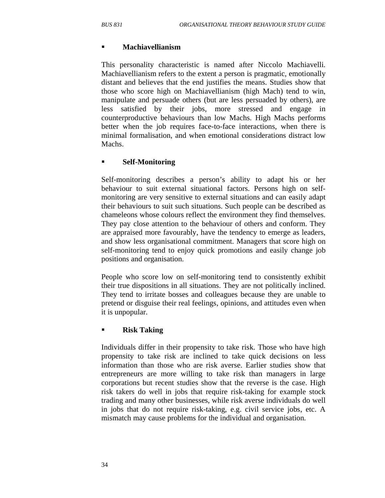#### **Machiavellianism**

This personality characteristic is named after Niccolo Machiavelli. Machiavellianism refers to the extent a person is pragmatic, emotionally distant and believes that the end justifies the means. Studies show that those who score high on Machiavellianism (high Mach) tend to win, manipulate and persuade others (but are less persuaded by others), are less satisfied by their jobs, more stressed and engage in counterproductive behaviours than low Machs. High Machs performs better when the job requires face-to-face interactions, when there is minimal formalisation, and when emotional considerations distract low Machs.

## **Self-Monitoring**

Self-monitoring describes a person's ability to adapt his or her behaviour to suit external situational factors. Persons high on selfmonitoring are very sensitive to external situations and can easily adapt their behaviours to suit such situations. Such people can be described as chameleons whose colours reflect the environment they find themselves. They pay close attention to the behaviour of others and conform. They are appraised more favourably, have the tendency to emerge as leaders, and show less organisational commitment. Managers that score high on self-monitoring tend to enjoy quick promotions and easily change job positions and organisation.

People who score low on self-monitoring tend to consistently exhibit their true dispositions in all situations. They are not politically inclined. They tend to irritate bosses and colleagues because they are unable to pretend or disguise their real feelings, opinions, and attitudes even when it is unpopular.

## **Risk Taking**

Individuals differ in their propensity to take risk. Those who have high propensity to take risk are inclined to take quick decisions on less information than those who are risk averse. Earlier studies show that entrepreneurs are more willing to take risk than managers in large corporations but recent studies show that the reverse is the case. High risk takers do well in jobs that require risk-taking for example stock trading and many other businesses, while risk averse individuals do well in jobs that do not require risk-taking, e.g. civil service jobs, etc. A mismatch may cause problems for the individual and organisation.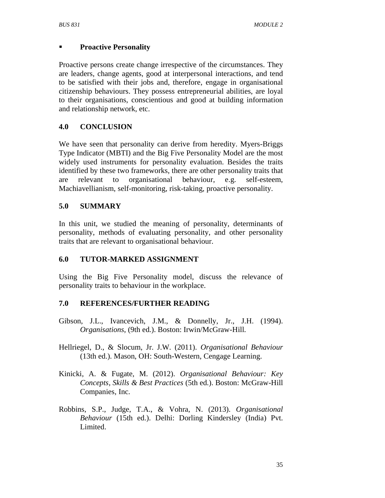## **Proactive Personality**

Proactive persons create change irrespective of the circumstances. They are leaders, change agents, good at interpersonal interactions, and tend to be satisfied with their jobs and, therefore, engage in organisational citizenship behaviours. They possess entrepreneurial abilities, are loyal to their organisations, conscientious and good at building information and relationship network, etc.

## **4.0 CONCLUSION**

We have seen that personality can derive from heredity. Myers-Briggs Type Indicator (MBTI) and the Big Five Personality Model are the most widely used instruments for personality evaluation. Besides the traits identified by these two frameworks, there are other personality traits that are relevant to organisational behaviour, e.g. self-esteem, Machiavellianism, self-monitoring, risk-taking, proactive personality.

## **5.0 SUMMARY**

In this unit, we studied the meaning of personality, determinants of personality, methods of evaluating personality, and other personality traits that are relevant to organisational behaviour.

#### **6.0 TUTOR-MARKED ASSIGNMENT**

Using the Big Five Personality model, discuss the relevance of personality traits to behaviour in the workplace.

#### **7.0 REFERENCES/FURTHER READING**

- Gibson, J.L., Ivancevich, J.M., & Donnelly, Jr., J.H. (1994). *Organisations*, (9th ed.). Boston: Irwin/McGraw-Hill.
- Hellriegel, D., & Slocum, Jr. J.W. (2011). *Organisational Behaviour* (13th ed.). Mason, OH: South-Western, Cengage Learning.
- Kinicki, A. & Fugate, M. (2012). *Organisational Behaviour: Key Concepts, Skills & Best Practices* (5th ed.). Boston: McGraw-Hill Companies, Inc.
- Robbins, S.P., Judge, T.A., & Vohra, N. (2013). *Organisational Behaviour* (15th ed.). Delhi: Dorling Kindersley (India) Pvt. Limited.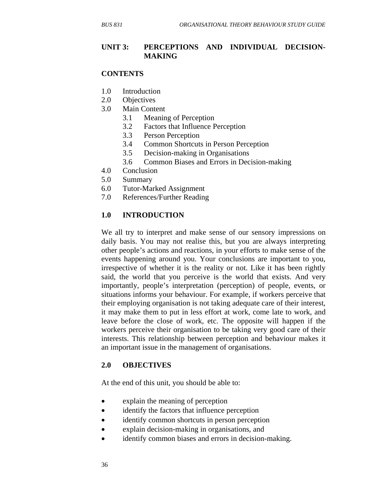#### **UNIT 3: PERCEPTIONS AND INDIVIDUAL DECISION-MAKING**

#### **CONTENTS**

- 1.0 Introduction
- 2.0 Objectives
- 3.0 Main Content
	- 3.1 Meaning of Perception
	- 3.2 Factors that Influence Perception
	- 3.3 Person Perception
	- 3.4 Common Shortcuts in Person Perception
	- 3.5 Decision-making in Organisations
	- 3.6 Common Biases and Errors in Decision-making
- 4.0 Conclusion
- 5.0 Summary
- 6.0 Tutor-Marked Assignment
- 7.0 References/Further Reading

#### **1.0 INTRODUCTION**

We all try to interpret and make sense of our sensory impressions on daily basis. You may not realise this, but you are always interpreting other people's actions and reactions, in your efforts to make sense of the events happening around you. Your conclusions are important to you, irrespective of whether it is the reality or not. Like it has been rightly said, the world that you perceive is the world that exists. And very importantly, people's interpretation (perception) of people, events, or situations informs your behaviour. For example, if workers perceive that their employing organisation is not taking adequate care of their interest, it may make them to put in less effort at work, come late to work, and leave before the close of work, etc. The opposite will happen if the workers perceive their organisation to be taking very good care of their interests. This relationship between perception and behaviour makes it an important issue in the management of organisations.

#### **2.0 OBJECTIVES**

At the end of this unit, you should be able to:

- explain the meaning of perception
- identify the factors that influence perception
- identify common shortcuts in person perception
- explain decision-making in organisations, and
- identify common biases and errors in decision-making.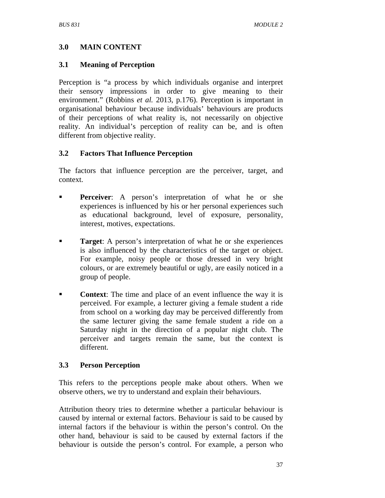## **3.0 MAIN CONTENT**

#### **3.1 Meaning of Perception**

Perception is "a process by which individuals organise and interpret their sensory impressions in order to give meaning to their environment." (Robbins *et al.* 2013, p.176). Perception is important in organisational behaviour because individuals' behaviours are products of their perceptions of what reality is, not necessarily on objective reality. An individual's perception of reality can be, and is often different from objective reality.

## **3.2 Factors That Influence Perception**

The factors that influence perception are the perceiver, target, and context.

- **Perceiver:** A person's interpretation of what he or she experiences is influenced by his or her personal experiences such as educational background, level of exposure, personality, interest, motives, expectations.
- **Target**: A person's interpretation of what he or she experiences is also influenced by the characteristics of the target or object. For example, noisy people or those dressed in very bright colours, or are extremely beautiful or ugly, are easily noticed in a group of people.
- **Context**: The time and place of an event influence the way it is perceived. For example, a lecturer giving a female student a ride from school on a working day may be perceived differently from the same lecturer giving the same female student a ride on a Saturday night in the direction of a popular night club. The perceiver and targets remain the same, but the context is different.

## **3.3 Person Perception**

This refers to the perceptions people make about others. When we observe others, we try to understand and explain their behaviours.

Attribution theory tries to determine whether a particular behaviour is caused by internal or external factors. Behaviour is said to be caused by internal factors if the behaviour is within the person's control. On the other hand, behaviour is said to be caused by external factors if the behaviour is outside the person's control. For example, a person who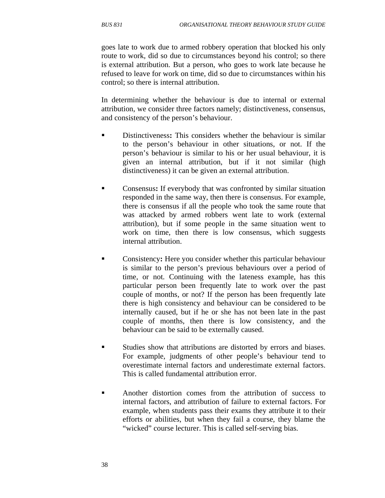goes late to work due to armed robbery operation that blocked his only route to work, did so due to circumstances beyond his control; so there is external attribution. But a person, who goes to work late because he refused to leave for work on time, did so due to circumstances within his control; so there is internal attribution.

In determining whether the behaviour is due to internal or external attribution, we consider three factors namely; distinctiveness, consensus, and consistency of the person's behaviour.

- Distinctiveness**:** This considers whether the behaviour is similar to the person's behaviour in other situations, or not. If the person's behaviour is similar to his or her usual behaviour, it is given an internal attribution, but if it not similar (high distinctiveness) it can be given an external attribution.
- Consensus**:** If everybody that was confronted by similar situation responded in the same way, then there is consensus. For example, there is consensus if all the people who took the same route that was attacked by armed robbers went late to work (external attribution), but if some people in the same situation went to work on time, then there is low consensus, which suggests internal attribution.
- Consistency**:** Here you consider whether this particular behaviour is similar to the person's previous behaviours over a period of time, or not. Continuing with the lateness example, has this particular person been frequently late to work over the past couple of months, or not? If the person has been frequently late there is high consistency and behaviour can be considered to be internally caused, but if he or she has not been late in the past couple of months, then there is low consistency, and the behaviour can be said to be externally caused.
- Studies show that attributions are distorted by errors and biases. For example, judgments of other people's behaviour tend to overestimate internal factors and underestimate external factors. This is called fundamental attribution error.
- Another distortion comes from the attribution of success to internal factors, and attribution of failure to external factors. For example, when students pass their exams they attribute it to their efforts or abilities, but when they fail a course, they blame the "wicked" course lecturer. This is called self-serving bias.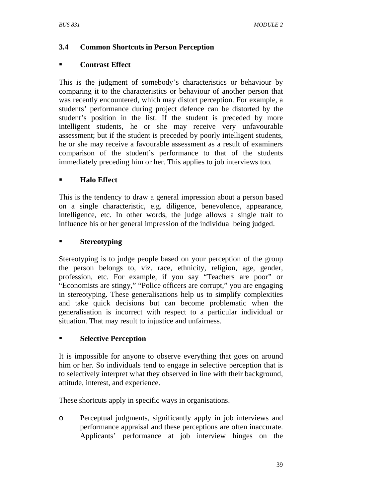# **3.4 Common Shortcuts in Person Perception**

## **Contrast Effect**

This is the judgment of somebody's characteristics or behaviour by comparing it to the characteristics or behaviour of another person that was recently encountered, which may distort perception. For example, a students' performance during project defence can be distorted by the student's position in the list. If the student is preceded by more intelligent students, he or she may receive very unfavourable assessment; but if the student is preceded by poorly intelligent students, he or she may receive a favourable assessment as a result of examiners comparison of the student's performance to that of the students immediately preceding him or her. This applies to job interviews too.

# **Halo Effect**

This is the tendency to draw a general impression about a person based on a single characteristic, e.g. diligence, benevolence, appearance, intelligence, etc. In other words, the judge allows a single trait to influence his or her general impression of the individual being judged.

## **Stereotyping**

Stereotyping is to judge people based on your perception of the group the person belongs to, viz. race, ethnicity, religion, age, gender, profession, etc. For example, if you say "Teachers are poor" or "Economists are stingy," "Police officers are corrupt," you are engaging in stereotyping. These generalisations help us to simplify complexities and take quick decisions but can become problematic when the generalisation is incorrect with respect to a particular individual or situation. That may result to injustice and unfairness.

## **Selective Perception**

It is impossible for anyone to observe everything that goes on around him or her. So individuals tend to engage in selective perception that is to selectively interpret what they observed in line with their background, attitude, interest, and experience.

These shortcuts apply in specific ways in organisations.

o Perceptual judgments, significantly apply in job interviews and performance appraisal and these perceptions are often inaccurate. Applicants' performance at job interview hinges on the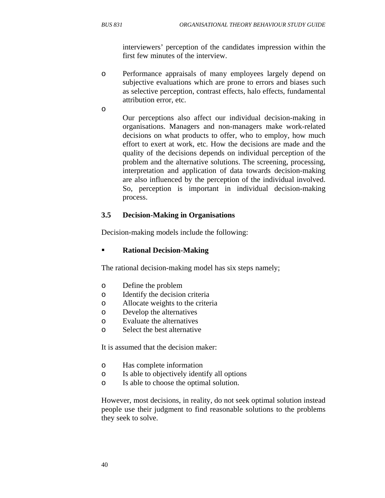interviewers' perception of the candidates impression within the first few minutes of the interview.

o Performance appraisals of many employees largely depend on subjective evaluations which are prone to errors and biases such as selective perception, contrast effects, halo effects, fundamental attribution error, etc.

o

Our perceptions also affect our individual decision-making in organisations. Managers and non-managers make work-related decisions on what products to offer, who to employ, how much effort to exert at work, etc. How the decisions are made and the quality of the decisions depends on individual perception of the problem and the alternative solutions. The screening, processing, interpretation and application of data towards decision-making are also influenced by the perception of the individual involved. So, perception is important in individual decision-making process.

## **3.5 Decision-Making in Organisations**

Decision-making models include the following:

#### **Rational Decision-Making**

The rational decision-making model has six steps namely;

- o Define the problem
- o Identify the decision criteria
- o Allocate weights to the criteria
- o Develop the alternatives
- o Evaluate the alternatives
- o Select the best alternative

It is assumed that the decision maker:

- o Has complete information
- o Is able to objectively identify all options
- o Is able to choose the optimal solution.

However, most decisions, in reality, do not seek optimal solution instead people use their judgment to find reasonable solutions to the problems they seek to solve.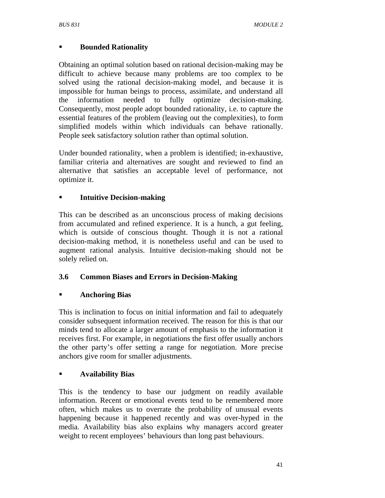# **Bounded Rationality**

Obtaining an optimal solution based on rational decision-making may be difficult to achieve because many problems are too complex to be solved using the rational decision-making model, and because it is impossible for human beings to process, assimilate, and understand all the information needed to fully optimize decision-making. Consequently, most people adopt bounded rationality, i.e. to capture the essential features of the problem (leaving out the complexities), to form simplified models within which individuals can behave rationally. People seek satisfactory solution rather than optimal solution.

Under bounded rationality, when a problem is identified; in-exhaustive, familiar criteria and alternatives are sought and reviewed to find an alternative that satisfies an acceptable level of performance, not optimize it.

## **Intuitive Decision-making**

This can be described as an unconscious process of making decisions from accumulated and refined experience. It is a hunch, a gut feeling, which is outside of conscious thought. Though it is not a rational decision-making method, it is nonetheless useful and can be used to augment rational analysis. Intuitive decision-making should not be solely relied on.

## **3.6 Common Biases and Errors in Decision-Making**

## **Anchoring Bias**

This is inclination to focus on initial information and fail to adequately consider subsequent information received. The reason for this is that our minds tend to allocate a larger amount of emphasis to the information it receives first. For example, in negotiations the first offer usually anchors the other party's offer setting a range for negotiation. More precise anchors give room for smaller adjustments.

## **Availability Bias**

This is the tendency to base our judgment on readily available information. Recent or emotional events tend to be remembered more often, which makes us to overrate the probability of unusual events happening because it happened recently and was over-hyped in the media. Availability bias also explains why managers accord greater weight to recent employees' behaviours than long past behaviours.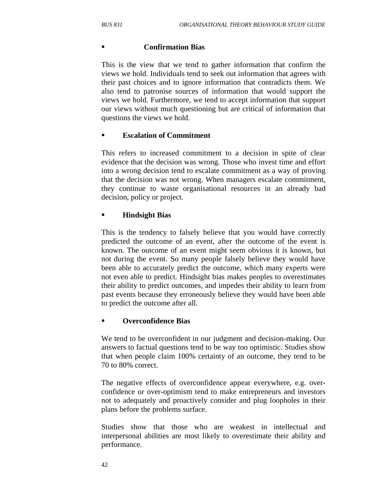#### **Confirmation Bias**

This is the view that we tend to gather information that confirm the views we hold. Individuals tend to seek out information that agrees with their past choices and to ignore information that contradicts them. We also tend to patronise sources of information that would support the views we hold. Furthermore, we tend to accept information that support our views without much questioning but are critical of information that questions the views we hold.

## **Escalation of Commitment**

This refers to increased commitment to a decision in spite of clear evidence that the decision was wrong. Those who invest time and effort into a wrong decision tend to escalate commitment as a way of proving that the decision was not wrong. When managers escalate commitment, they continue to waste organisational resources in an already bad decision, policy or project.

## **Hindsight Bias**

This is the tendency to falsely believe that you would have correctly predicted the outcome of an event, after the outcome of the event is known. The outcome of an event might seem obvious it is known, but not during the event. So many people falsely believe they would have been able to accurately predict the outcome, which many experts were not even able to predict. Hindsight bias makes peoples to overestimates their ability to predict outcomes, and impedes their ability to learn from past events because they erroneously believe they would have been able to predict the outcome after all.

## **Overconfidence Bias**

We tend to be overconfident in our judgment and decision-making. Our answers to factual questions tend to be way too optimistic. Studies show that when people claim 100% certainty of an outcome, they tend to be 70 to 80% correct.

The negative effects of overconfidence appear everywhere, e.g. overconfidence or over-optimism tend to make entrepreneurs and investors not to adequately and proactively consider and plug loopholes in their plans before the problems surface.

Studies show that those who are weakest in intellectual and interpersonal abilities are most likely to overestimate their ability and performance.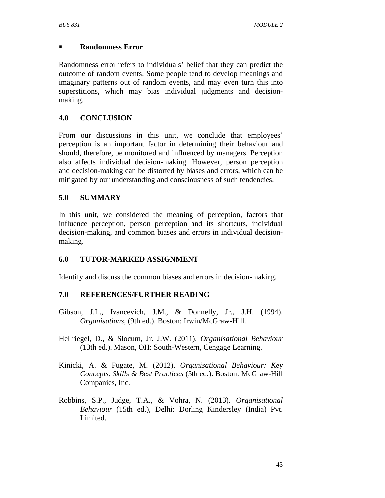#### **Randomness Error**

Randomness error refers to individuals' belief that they can predict the outcome of random events. Some people tend to develop meanings and imaginary patterns out of random events, and may even turn this into superstitions, which may bias individual judgments and decisionmaking.

## **4.0 CONCLUSION**

From our discussions in this unit, we conclude that employees' perception is an important factor in determining their behaviour and should, therefore, be monitored and influenced by managers. Perception also affects individual decision-making. However, person perception and decision-making can be distorted by biases and errors, which can be mitigated by our understanding and consciousness of such tendencies.

## **5.0 SUMMARY**

In this unit, we considered the meaning of perception, factors that influence perception, person perception and its shortcuts, individual decision-making, and common biases and errors in individual decisionmaking.

## **6.0 TUTOR-MARKED ASSIGNMENT**

Identify and discuss the common biases and errors in decision-making.

## **7.0 REFERENCES/FURTHER READING**

- Gibson, J.L., Ivancevich, J.M., & Donnelly, Jr., J.H. (1994). *Organisations*, (9th ed.). Boston: Irwin/McGraw-Hill.
- Hellriegel, D., & Slocum, Jr. J.W. (2011). *Organisational Behaviour* (13th ed.). Mason, OH: South-Western, Cengage Learning.
- Kinicki, A. & Fugate, M. (2012). *Organisational Behaviour: Key Concepts, Skills & Best Practices* (5th ed.). Boston: McGraw-Hill Companies, Inc.
- Robbins, S.P., Judge, T.A., & Vohra, N. (2013). *Organisational Behaviour* (15th ed.), Delhi: Dorling Kindersley (India) Pvt. Limited.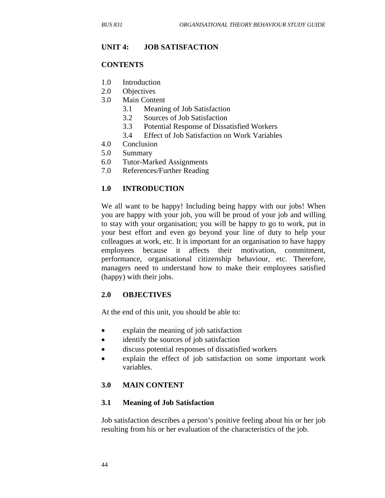#### **UNIT 4: JOB SATISFACTION**

#### **CONTENTS**

- 1.0 Introduction
- 2.0 Objectives
- 3.0 Main Content
	- 3.1 Meaning of Job Satisfaction
	- 3.2 Sources of Job Satisfaction
	- 3.3 Potential Response of Dissatisfied Workers
	- 3.4 Effect of Job Satisfaction on Work Variables
- 4.0 Conclusion
- 5.0 Summary
- 6.0 Tutor-Marked Assignments
- 7.0 References/Further Reading

#### **1.0 INTRODUCTION**

We all want to be happy! Including being happy with our jobs! When you are happy with your job, you will be proud of your job and willing to stay with your organisation; you will be happy to go to work, put in your best effort and even go beyond your line of duty to help your colleagues at work, etc. It is important for an organisation to have happy employees because it affects their motivation, commitment, performance, organisational citizenship behaviour, etc. Therefore, managers need to understand how to make their employees satisfied (happy) with their jobs.

#### **2.0 OBJECTIVES**

At the end of this unit, you should be able to:

- explain the meaning of job satisfaction
- identify the sources of job satisfaction
- discuss potential responses of dissatisfied workers
- explain the effect of job satisfaction on some important work variables.

#### **3.0 MAIN CONTENT**

#### **3.1 Meaning of Job Satisfaction**

Job satisfaction describes a person's positive feeling about his or her job resulting from his or her evaluation of the characteristics of the job.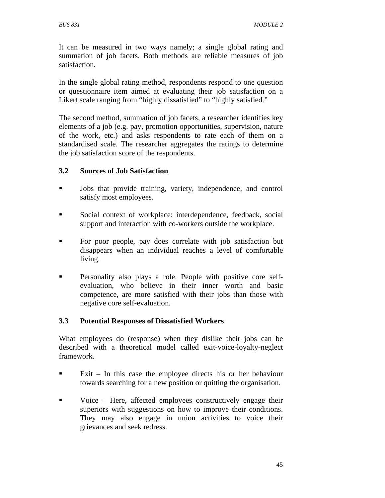It can be measured in two ways namely; a single global rating and summation of job facets. Both methods are reliable measures of job satisfaction.

In the single global rating method, respondents respond to one question or questionnaire item aimed at evaluating their job satisfaction on a Likert scale ranging from "highly dissatisfied" to "highly satisfied."

The second method, summation of job facets, a researcher identifies key elements of a job (e.g. pay, promotion opportunities, supervision, nature of the work, etc.) and asks respondents to rate each of them on a standardised scale. The researcher aggregates the ratings to determine the job satisfaction score of the respondents.

## **3.2 Sources of Job Satisfaction**

- Iobs that provide training, variety, independence, and control satisfy most employees.
- Social context of workplace: interdependence, feedback, social support and interaction with co-workers outside the workplace.
- For poor people, pay does correlate with job satisfaction but disappears when an individual reaches a level of comfortable living.
- **Personality also plays a role. People with positive core self**evaluation, who believe in their inner worth and basic competence, are more satisfied with their jobs than those with negative core self-evaluation.

## **3.3 Potential Responses of Dissatisfied Workers**

What employees do (response) when they dislike their jobs can be described with a theoretical model called exit-voice-loyalty-neglect framework.

- Exit In this case the employee directs his or her behaviour towards searching for a new position or quitting the organisation.
- Voice Here, affected employees constructively engage their superiors with suggestions on how to improve their conditions. They may also engage in union activities to voice their grievances and seek redress.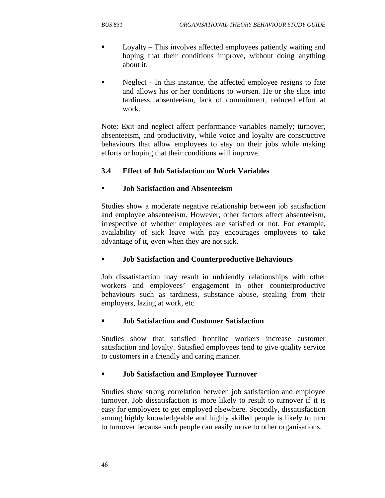- Loyalty This involves affected employees patiently waiting and hoping that their conditions improve, without doing anything about it.
- Neglect In this instance, the affected employee resigns to fate and allows his or her conditions to worsen. He or she slips into tardiness, absenteeism, lack of commitment, reduced effort at work.

Note: Exit and neglect affect performance variables namely; turnover, absenteeism, and productivity, while voice and loyalty are constructive behaviours that allow employees to stay on their jobs while making efforts or hoping that their conditions will improve.

# **3.4 Effect of Job Satisfaction on Work Variables**

## **Job Satisfaction and Absenteeism**

Studies show a moderate negative relationship between job satisfaction and employee absenteeism. However, other factors affect absenteeism, irrespective of whether employees are satisfied or not. For example, availability of sick leave with pay encourages employees to take advantage of it, even when they are not sick.

# **Job Satisfaction and Counterproductive Behaviours**

Job dissatisfaction may result in unfriendly relationships with other workers and employees' engagement in other counterproductive behaviours such as tardiness, substance abuse, stealing from their employers, lazing at work, etc.

## **Job Satisfaction and Customer Satisfaction**

Studies show that satisfied frontline workers increase customer satisfaction and loyalty. Satisfied employees tend to give quality service to customers in a friendly and caring manner.

# **Job Satisfaction and Employee Turnover**

Studies show strong correlation between job satisfaction and employee turnover. Job dissatisfaction is more likely to result to turnover if it is easy for employees to get employed elsewhere. Secondly, dissatisfaction among highly knowledgeable and highly skilled people is likely to turn to turnover because such people can easily move to other organisations.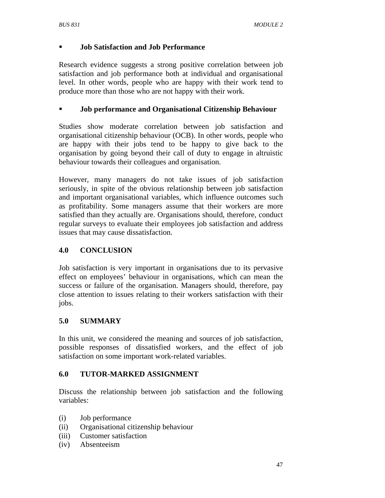## **Job Satisfaction and Job Performance**

Research evidence suggests a strong positive correlation between job satisfaction and job performance both at individual and organisational level. In other words, people who are happy with their work tend to produce more than those who are not happy with their work.

#### **Job performance and Organisational Citizenship Behaviour**

Studies show moderate correlation between job satisfaction and organisational citizenship behaviour (OCB). In other words, people who are happy with their jobs tend to be happy to give back to the organisation by going beyond their call of duty to engage in altruistic behaviour towards their colleagues and organisation.

However, many managers do not take issues of job satisfaction seriously, in spite of the obvious relationship between job satisfaction and important organisational variables, which influence outcomes such as profitability. Some managers assume that their workers are more satisfied than they actually are. Organisations should, therefore, conduct regular surveys to evaluate their employees job satisfaction and address issues that may cause dissatisfaction.

## **4.0 CONCLUSION**

Job satisfaction is very important in organisations due to its pervasive effect on employees' behaviour in organisations, which can mean the success or failure of the organisation. Managers should, therefore, pay close attention to issues relating to their workers satisfaction with their jobs.

## **5.0 SUMMARY**

In this unit, we considered the meaning and sources of job satisfaction, possible responses of dissatisfied workers, and the effect of job satisfaction on some important work-related variables.

#### **6.0 TUTOR-MARKED ASSIGNMENT**

Discuss the relationship between job satisfaction and the following variables:

- (i) Job performance
- (ii) Organisational citizenship behaviour
- (iii) Customer satisfaction
- (iv) Absenteeism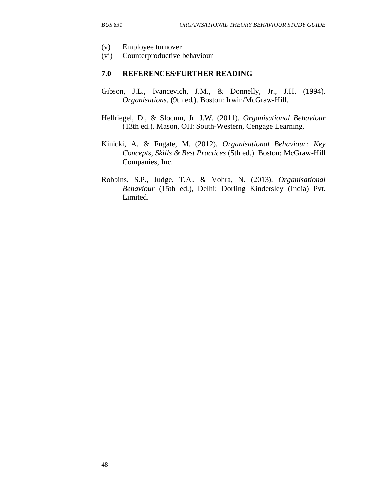- (v) Employee turnover
- (vi) Counterproductive behaviour

#### **7.0 REFERENCES/FURTHER READING**

- Gibson, J.L., Ivancevich, J.M., & Donnelly, Jr., J.H. (1994). *Organisations*, (9th ed.). Boston: Irwin/McGraw-Hill.
- Hellriegel, D., & Slocum, Jr. J.W. (2011). *Organisational Behaviour* (13th ed.). Mason, OH: South-Western, Cengage Learning.
- Kinicki, A. & Fugate, M. (2012). *Organisational Behaviour: Key Concepts, Skills & Best Practices* (5th ed.). Boston: McGraw-Hill Companies, Inc.
- Robbins, S.P., Judge, T.A., & Vohra, N. (2013). *Organisational Behaviour* (15th ed.), Delhi: Dorling Kindersley (India) Pvt. Limited.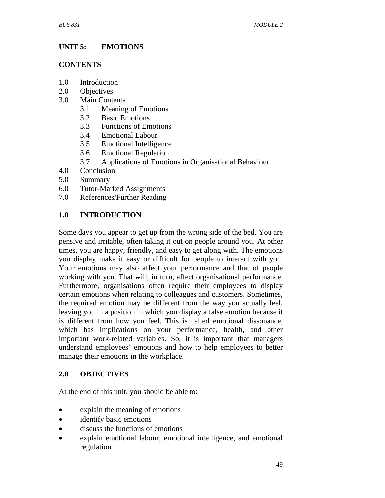# **UNIT 5: EMOTIONS**

## **CONTENTS**

- 1.0 Introduction
- 2.0 Objectives
- 3.0 Main Contents
	- 3.1 Meaning of Emotions
	- 3.2 Basic Emotions
	- 3.3 Functions of Emotions
	- 3.4 Emotional Labour
	- 3.5 Emotional Intelligence
	- 3.6 Emotional Regulation
	- 3.7 Applications of Emotions in Organisational Behaviour
- 4.0 Conclusion
- 5.0 Summary
- 6.0 Tutor-Marked Assignments
- 7.0 References/Further Reading

# **1.0 INTRODUCTION**

Some days you appear to get up from the wrong side of the bed. You are pensive and irritable, often taking it out on people around you. At other times, you are happy, friendly, and easy to get along with. The emotions you display make it easy or difficult for people to interact with you. Your emotions may also affect your performance and that of people working with you. That will, in turn, affect organisational performance. Furthermore, organisations often require their employees to display certain emotions when relating to colleagues and customers. Sometimes, the required emotion may be different from the way you actually feel, leaving you in a position in which you display a false emotion because it is different from how you feel. This is called emotional dissonance, which has implications on your performance, health, and other important work-related variables. So, it is important that managers understand employees' emotions and how to help employees to better manage their emotions in the workplace.

# **2.0 OBJECTIVES**

At the end of this unit, you should be able to:

- explain the meaning of emotions
- identify basic emotions
- discuss the functions of emotions
- explain emotional labour, emotional intelligence, and emotional regulation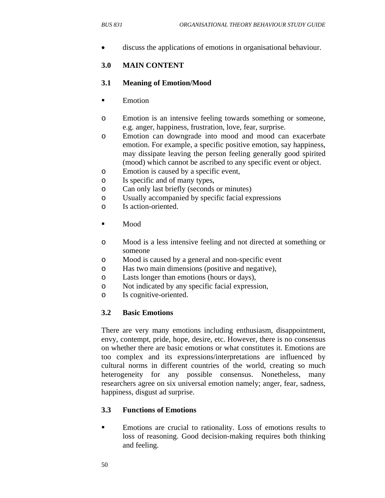• discuss the applications of emotions in organisational behaviour.

## **3.0 MAIN CONTENT**

#### **3.1 Meaning of Emotion/Mood**

- **Emotion**
- o Emotion is an intensive feeling towards something or someone, e.g. anger, happiness, frustration, love, fear, surprise.
- o Emotion can downgrade into mood and mood can exacerbate emotion. For example, a specific positive emotion, say happiness, may dissipate leaving the person feeling generally good spirited (mood) which cannot be ascribed to any specific event or object.
- o Emotion is caused by a specific event,
- o Is specific and of many types,
- o Can only last briefly (seconds or minutes)
- o Usually accompanied by specific facial expressions
- o Is action-oriented.
- $\blacksquare$  Mood
- o Mood is a less intensive feeling and not directed at something or someone
- o Mood is caused by a general and non-specific event
- o Has two main dimensions (positive and negative),
- o Lasts longer than emotions (hours or days),
- o Not indicated by any specific facial expression,
- o Is cognitive-oriented.

#### **3.2 Basic Emotions**

There are very many emotions including enthusiasm, disappointment, envy, contempt, pride, hope, desire, etc. However, there is no consensus on whether there are basic emotions or what constitutes it. Emotions are too complex and its expressions/interpretations are influenced by cultural norms in different countries of the world, creating so much heterogeneity for any possible consensus. Nonetheless, many researchers agree on six universal emotion namely; anger, fear, sadness, happiness, disgust ad surprise.

## **3.3 Functions of Emotions**

 Emotions are crucial to rationality. Loss of emotions results to loss of reasoning. Good decision-making requires both thinking and feeling.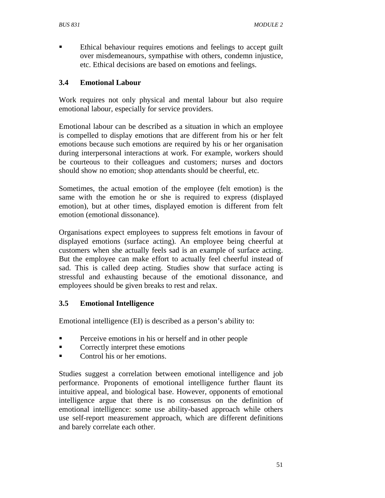Ethical behaviour requires emotions and feelings to accept guilt over misdemeanours, sympathise with others, condemn injustice, etc. Ethical decisions are based on emotions and feelings.

## **3.4 Emotional Labour**

Work requires not only physical and mental labour but also require emotional labour, especially for service providers.

Emotional labour can be described as a situation in which an employee is compelled to display emotions that are different from his or her felt emotions because such emotions are required by his or her organisation during interpersonal interactions at work. For example, workers should be courteous to their colleagues and customers; nurses and doctors should show no emotion; shop attendants should be cheerful, etc.

Sometimes, the actual emotion of the employee (felt emotion) is the same with the emotion he or she is required to express (displayed emotion), but at other times, displayed emotion is different from felt emotion (emotional dissonance).

Organisations expect employees to suppress felt emotions in favour of displayed emotions (surface acting). An employee being cheerful at customers when she actually feels sad is an example of surface acting. But the employee can make effort to actually feel cheerful instead of sad. This is called deep acting. Studies show that surface acting is stressful and exhausting because of the emotional dissonance, and employees should be given breaks to rest and relax.

## **3.5 Emotional Intelligence**

Emotional intelligence (EI) is described as a person's ability to:

- **Perceive emotions in his or herself and in other people**
- Correctly interpret these emotions
- Control his or her emotions.

Studies suggest a correlation between emotional intelligence and job performance. Proponents of emotional intelligence further flaunt its intuitive appeal, and biological base. However, opponents of emotional intelligence argue that there is no consensus on the definition of emotional intelligence: some use ability-based approach while others use self-report measurement approach, which are different definitions and barely correlate each other.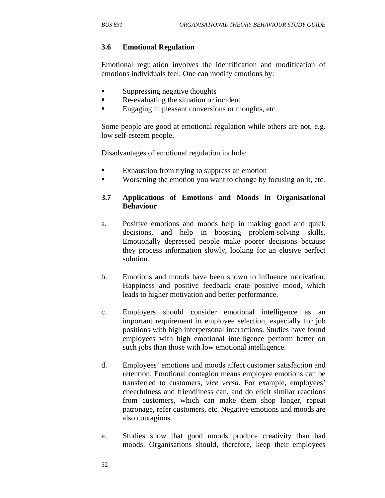#### **3.6 Emotional Regulation**

Emotional regulation involves the identification and modification of emotions individuals feel. One can modify emotions by:

- **Suppressing negative thoughts**
- Re-evaluating the situation or incident
- Engaging in pleasant conversions or thoughts, etc.

Some people are good at emotional regulation while others are not, e.g. low self-esteem people.

Disadvantages of emotional regulation include:

- **Exhaustion from trying to suppress an emotion**
- Worsening the emotion you want to change by focusing on it, etc.

## **3.7 Applications of Emotions and Moods in Organisational Behaviour**

- a. Positive emotions and moods help in making good and quick decisions, and help in boosting problem-solving skills. Emotionally depressed people make poorer decisions because they process information slowly, looking for an elusive perfect solution.
- b. Emotions and moods have been shown to influence motivation. Happiness and positive feedback crate positive mood, which leads to higher motivation and better performance.
- c. Employers should consider emotional intelligence as an important requirement in employee selection, especially for job positions with high interpersonal interactions. Studies have found employees with high emotional intelligence perform better on such jobs than those with low emotional intelligence.
- d. Employees' emotions and moods affect customer satisfaction and retention. Emotional contagion means employee emotions can be transferred to customers, *vice versa*. For example, employees' cheerfulness and friendliness can, and do elicit similar reactions from customers, which can make them shop longer, repeat patronage, refer customers, etc. Negative emotions and moods are also contagious.
- e. Studies show that good moods produce creativity than bad moods. Organisations should, therefore, keep their employees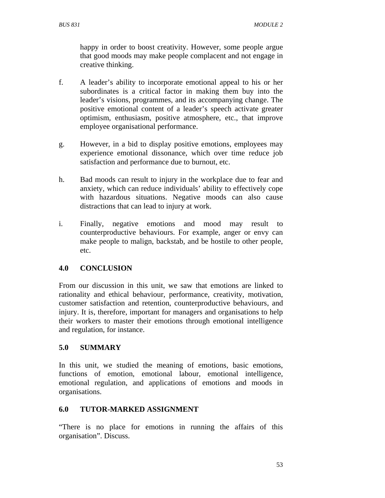happy in order to boost creativity. However, some people argue that good moods may make people complacent and not engage in creative thinking.

- f. A leader's ability to incorporate emotional appeal to his or her subordinates is a critical factor in making them buy into the leader's visions, programmes, and its accompanying change. The positive emotional content of a leader's speech activate greater optimism, enthusiasm, positive atmosphere, etc., that improve employee organisational performance.
- g. However, in a bid to display positive emotions, employees may experience emotional dissonance, which over time reduce job satisfaction and performance due to burnout, etc.
- h. Bad moods can result to injury in the workplace due to fear and anxiety, which can reduce individuals' ability to effectively cope with hazardous situations. Negative moods can also cause distractions that can lead to injury at work.
- i. Finally, negative emotions and mood may result to counterproductive behaviours. For example, anger or envy can make people to malign, backstab, and be hostile to other people, etc.

# **4.0 CONCLUSION**

From our discussion in this unit, we saw that emotions are linked to rationality and ethical behaviour, performance, creativity, motivation, customer satisfaction and retention, counterproductive behaviours, and injury. It is, therefore, important for managers and organisations to help their workers to master their emotions through emotional intelligence and regulation, for instance.

# **5.0 SUMMARY**

In this unit, we studied the meaning of emotions, basic emotions, functions of emotion, emotional labour, emotional intelligence, emotional regulation, and applications of emotions and moods in organisations.

## **6.0 TUTOR-MARKED ASSIGNMENT**

"There is no place for emotions in running the affairs of this organisation". Discuss.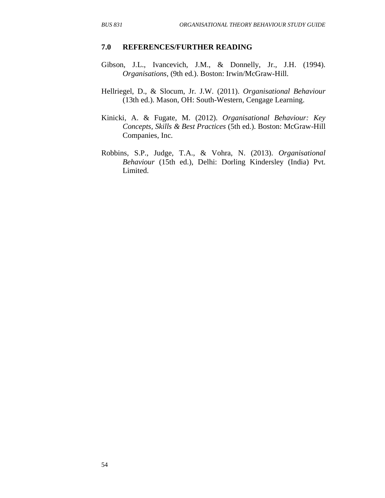#### **7.0 REFERENCES/FURTHER READING**

- Gibson, J.L., Ivancevich, J.M., & Donnelly, Jr., J.H. (1994). *Organisations*, (9th ed.). Boston: Irwin/McGraw-Hill.
- Hellriegel, D., & Slocum, Jr. J.W. (2011). *Organisational Behaviour* (13th ed.). Mason, OH: South-Western, Cengage Learning.
- Kinicki, A. & Fugate, M. (2012). *Organisational Behaviour: Key Concepts, Skills & Best Practices* (5th ed.). Boston: McGraw-Hill Companies, Inc.
- Robbins, S.P., Judge, T.A., & Vohra, N. (2013). *Organisational Behaviour* (15th ed.), Delhi: Dorling Kindersley (India) Pvt. Limited.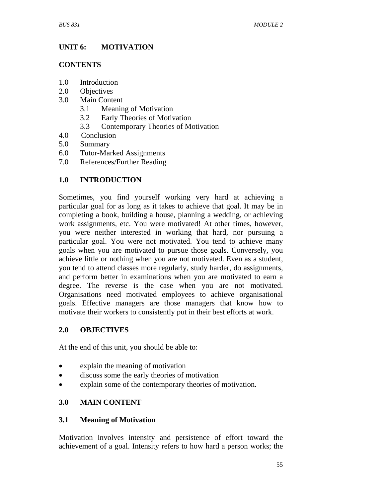## **UNIT 6: MOTIVATION**

#### **CONTENTS**

- 1.0 Introduction
- 2.0 Objectives
- 3.0 Main Content
	- 3.1 Meaning of Motivation
	- 3.2 Early Theories of Motivation
	- 3.3 Contemporary Theories of Motivation
- 4.0 Conclusion
- 5.0 Summary
- 6.0 Tutor-Marked Assignments
- 7.0 References/Further Reading

# **1.0 INTRODUCTION**

Sometimes, you find yourself working very hard at achieving a particular goal for as long as it takes to achieve that goal. It may be in completing a book, building a house, planning a wedding, or achieving work assignments, etc. You were motivated! At other times, however, you were neither interested in working that hard, nor pursuing a particular goal. You were not motivated. You tend to achieve many goals when you are motivated to pursue those goals. Conversely, you achieve little or nothing when you are not motivated. Even as a student, you tend to attend classes more regularly, study harder, do assignments, and perform better in examinations when you are motivated to earn a degree. The reverse is the case when you are not motivated. Organisations need motivated employees to achieve organisational goals. Effective managers are those managers that know how to motivate their workers to consistently put in their best efforts at work.

# **2.0 OBJECTIVES**

At the end of this unit, you should be able to:

- explain the meaning of motivation
- discuss some the early theories of motivation
- explain some of the contemporary theories of motivation.

# **3.0 MAIN CONTENT**

## **3.1 Meaning of Motivation**

Motivation involves intensity and persistence of effort toward the achievement of a goal. Intensity refers to how hard a person works; the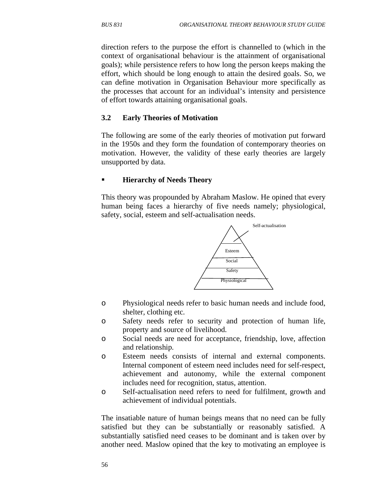direction refers to the purpose the effort is channelled to (which in the context of organisational behaviour is the attainment of organisational goals); while persistence refers to how long the person keeps making the effort, which should be long enough to attain the desired goals. So, we can define motivation in Organisation Behaviour more specifically as the processes that account for an individual's intensity and persistence of effort towards attaining organisational goals.

#### **3.2 Early Theories of Motivation**

The following are some of the early theories of motivation put forward in the 1950s and they form the foundation of contemporary theories on motivation. However, the validity of these early theories are largely unsupported by data.

#### **Hierarchy of Needs Theory**

This theory was propounded by Abraham Maslow. He opined that every human being faces a hierarchy of five needs namely; physiological, safety, social, esteem and self-actualisation needs.



- o Physiological needs refer to basic human needs and include food, shelter, clothing etc.
- o Safety needs refer to security and protection of human life, property and source of livelihood.
- o Social needs are need for acceptance, friendship, love, affection and relationship.
- o Esteem needs consists of internal and external components. Internal component of esteem need includes need for self-respect, achievement and autonomy, while the external component includes need for recognition, status, attention.
- o Self-actualisation need refers to need for fulfilment, growth and achievement of individual potentials.

The insatiable nature of human beings means that no need can be fully satisfied but they can be substantially or reasonably satisfied. A substantially satisfied need ceases to be dominant and is taken over by another need. Maslow opined that the key to motivating an employee is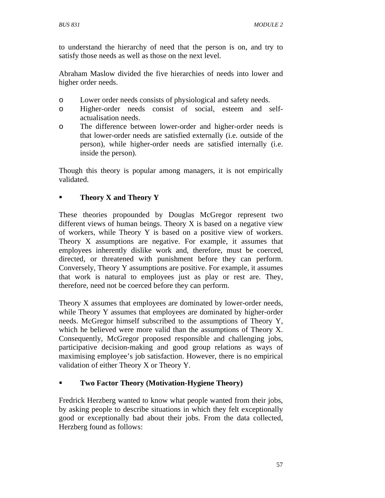to understand the hierarchy of need that the person is on, and try to satisfy those needs as well as those on the next level.

Abraham Maslow divided the five hierarchies of needs into lower and higher order needs.

- o Lower order needs consists of physiological and safety needs.
- o Higher-order needs consist of social, esteem and selfactualisation needs.
- o The difference between lower-order and higher-order needs is that lower-order needs are satisfied externally (i.e. outside of the person), while higher-order needs are satisfied internally (i.e. inside the person).

Though this theory is popular among managers, it is not empirically validated.

# **Theory X and Theory Y**

These theories propounded by Douglas McGregor represent two different views of human beings. Theory X is based on a negative view of workers, while Theory Y is based on a positive view of workers. Theory X assumptions are negative. For example, it assumes that employees inherently dislike work and, therefore, must be coerced, directed, or threatened with punishment before they can perform. Conversely, Theory Y assumptions are positive. For example, it assumes that work is natural to employees just as play or rest are. They, therefore, need not be coerced before they can perform.

Theory X assumes that employees are dominated by lower-order needs, while Theory Y assumes that employees are dominated by higher-order needs. McGregor himself subscribed to the assumptions of Theory Y, which he believed were more valid than the assumptions of Theory X. Consequently, McGregor proposed responsible and challenging jobs, participative decision-making and good group relations as ways of maximising employee's job satisfaction. However, there is no empirical validation of either Theory X or Theory Y.

# **Two Factor Theory (Motivation-Hygiene Theory)**

Fredrick Herzberg wanted to know what people wanted from their jobs, by asking people to describe situations in which they felt exceptionally good or exceptionally bad about their jobs. From the data collected, Herzberg found as follows: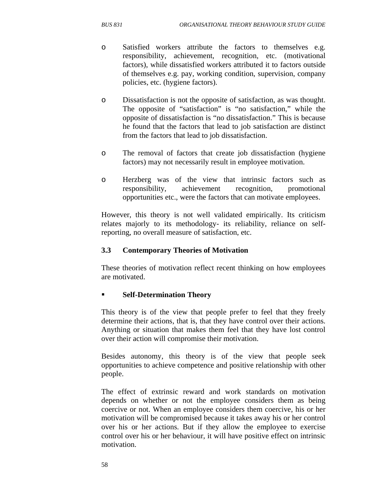- o Satisfied workers attribute the factors to themselves e.g. responsibility, achievement, recognition, etc. (motivational factors), while dissatisfied workers attributed it to factors outside of themselves e.g. pay, working condition, supervision, company policies, etc. (hygiene factors).
- o Dissatisfaction is not the opposite of satisfaction, as was thought. The opposite of "satisfaction" is "no satisfaction," while the opposite of dissatisfaction is "no dissatisfaction." This is because he found that the factors that lead to job satisfaction are distinct from the factors that lead to job dissatisfaction.
- o The removal of factors that create job dissatisfaction (hygiene factors) may not necessarily result in employee motivation.
- o Herzberg was of the view that intrinsic factors such as responsibility, achievement recognition, promotional opportunities etc., were the factors that can motivate employees.

However, this theory is not well validated empirically. Its criticism relates majorly to its methodology- its reliability, reliance on selfreporting, no overall measure of satisfaction, etc.

## **3.3 Contemporary Theories of Motivation**

These theories of motivation reflect recent thinking on how employees are motivated.

## **Self-Determination Theory**

This theory is of the view that people prefer to feel that they freely determine their actions, that is, that they have control over their actions. Anything or situation that makes them feel that they have lost control over their action will compromise their motivation.

Besides autonomy, this theory is of the view that people seek opportunities to achieve competence and positive relationship with other people.

The effect of extrinsic reward and work standards on motivation depends on whether or not the employee considers them as being coercive or not. When an employee considers them coercive, his or her motivation will be compromised because it takes away his or her control over his or her actions. But if they allow the employee to exercise control over his or her behaviour, it will have positive effect on intrinsic motivation.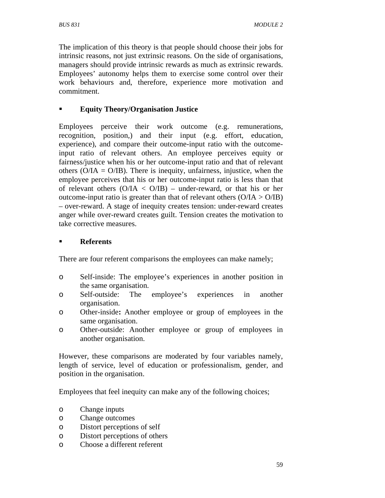The implication of this theory is that people should choose their jobs for intrinsic reasons, not just extrinsic reasons. On the side of organisations, managers should provide intrinsic rewards as much as extrinsic rewards. Employees' autonomy helps them to exercise some control over their work behaviours and, therefore, experience more motivation and commitment.

## **Equity Theory/Organisation Justice**

Employees perceive their work outcome (e.g. remunerations, recognition, position,) and their input (e.g. effort, education, experience), and compare their outcome-input ratio with the outcomeinput ratio of relevant others. An employee perceives equity or fairness/justice when his or her outcome-input ratio and that of relevant others ( $O/IA = O/IB$ ). There is inequity, unfairness, injustice, when the employee perceives that his or her outcome-input ratio is less than that of relevant others  $(O/IA < O/IB)$  – under-reward, or that his or her outcome-input ratio is greater than that of relevant others  $(O/IA > O/IB)$ – over-reward. A stage of inequity creates tension: under-reward creates anger while over-reward creates guilt. Tension creates the motivation to take corrective measures.

## **Referents**

There are four referent comparisons the employees can make namely;

- o Self-inside: The employee's experiences in another position in the same organisation.
- o Self-outside: The employee's experiences in another organisation.
- o Other-inside**:** Another employee or group of employees in the same organisation.
- o Other-outside: Another employee or group of employees in another organisation.

However, these comparisons are moderated by four variables namely, length of service, level of education or professionalism, gender, and position in the organisation.

Employees that feel inequity can make any of the following choices;

- o Change inputs
- o Change outcomes
- o Distort perceptions of self
- o Distort perceptions of others
- o Choose a different referent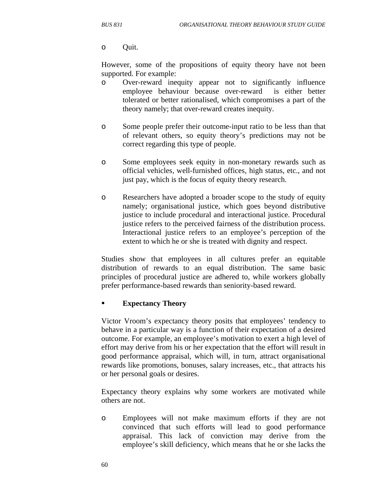o Quit.

However, some of the propositions of equity theory have not been supported. For example:

- o Over-reward inequity appear not to significantly influence employee behaviour because over-reward is either better tolerated or better rationalised, which compromises a part of the theory namely; that over-reward creates inequity.
- o Some people prefer their outcome-input ratio to be less than that of relevant others, so equity theory's predictions may not be correct regarding this type of people.
- o Some employees seek equity in non-monetary rewards such as official vehicles, well-furnished offices, high status, etc., and not just pay, which is the focus of equity theory research.
- o Researchers have adopted a broader scope to the study of equity namely; organisational justice, which goes beyond distributive justice to include procedural and interactional justice. Procedural justice refers to the perceived fairness of the distribution process. Interactional justice refers to an employee's perception of the extent to which he or she is treated with dignity and respect.

Studies show that employees in all cultures prefer an equitable distribution of rewards to an equal distribution. The same basic principles of procedural justice are adhered to, while workers globally prefer performance-based rewards than seniority-based reward.

## **Expectancy Theory**

Victor Vroom's expectancy theory posits that employees' tendency to behave in a particular way is a function of their expectation of a desired outcome. For example, an employee's motivation to exert a high level of effort may derive from his or her expectation that the effort will result in good performance appraisal, which will, in turn, attract organisational rewards like promotions, bonuses, salary increases, etc., that attracts his or her personal goals or desires.

Expectancy theory explains why some workers are motivated while others are not.

o Employees will not make maximum efforts if they are not convinced that such efforts will lead to good performance appraisal. This lack of conviction may derive from the employee's skill deficiency, which means that he or she lacks the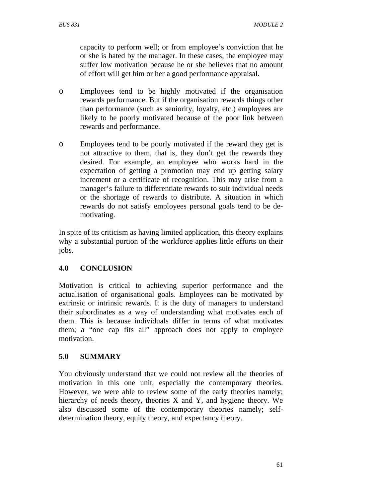capacity to perform well; or from employee's conviction that he or she is hated by the manager. In these cases, the employee may suffer low motivation because he or she believes that no amount of effort will get him or her a good performance appraisal.

- o Employees tend to be highly motivated if the organisation rewards performance. But if the organisation rewards things other than performance (such as seniority, loyalty, etc.) employees are likely to be poorly motivated because of the poor link between rewards and performance.
- o Employees tend to be poorly motivated if the reward they get is not attractive to them, that is, they don't get the rewards they desired. For example, an employee who works hard in the expectation of getting a promotion may end up getting salary increment or a certificate of recognition. This may arise from a manager's failure to differentiate rewards to suit individual needs or the shortage of rewards to distribute. A situation in which rewards do not satisfy employees personal goals tend to be demotivating.

In spite of its criticism as having limited application, this theory explains why a substantial portion of the workforce applies little efforts on their jobs.

# **4.0 CONCLUSION**

Motivation is critical to achieving superior performance and the actualisation of organisational goals. Employees can be motivated by extrinsic or intrinsic rewards. It is the duty of managers to understand their subordinates as a way of understanding what motivates each of them. This is because individuals differ in terms of what motivates them; a "one cap fits all" approach does not apply to employee motivation.

# **5.0 SUMMARY**

You obviously understand that we could not review all the theories of motivation in this one unit, especially the contemporary theories. However, we were able to review some of the early theories namely; hierarchy of needs theory, theories X and Y, and hygiene theory. We also discussed some of the contemporary theories namely; selfdetermination theory, equity theory, and expectancy theory.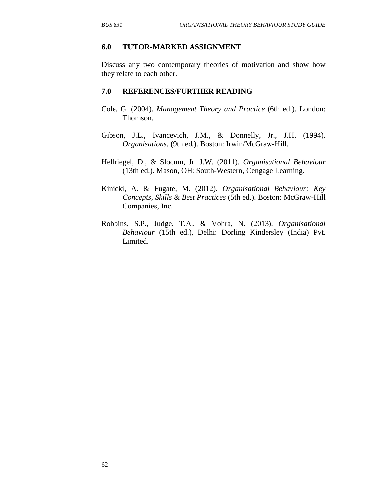#### **6.0 TUTOR-MARKED ASSIGNMENT**

Discuss any two contemporary theories of motivation and show how they relate to each other.

#### **7.0 REFERENCES/FURTHER READING**

- Cole, G. (2004). *Management Theory and Practice* (6th ed.). London: Thomson.
- Gibson, J.L., Ivancevich, J.M., & Donnelly, Jr., J.H. (1994). *Organisations*, (9th ed.). Boston: Irwin/McGraw-Hill.
- Hellriegel, D., & Slocum, Jr. J.W. (2011). *Organisational Behaviour* (13th ed.). Mason, OH: South-Western, Cengage Learning.
- Kinicki, A. & Fugate, M. (2012). *Organisational Behaviour: Key Concepts, Skills & Best Practices* (5th ed.). Boston: McGraw-Hill Companies, Inc.
- Robbins, S.P., Judge, T.A., & Vohra, N. (2013). *Organisational Behaviour* (15th ed.), Delhi: Dorling Kindersley (India) Pvt. Limited.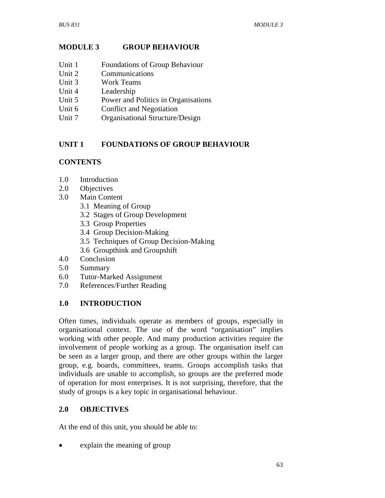# **MODULE 3 GROUP BEHAVIOUR**

- Unit 1 Foundations of Group Behaviour
- Unit 2 Communications
- Unit 3 Work Teams
- Unit 4 Leadership
- Unit 5 Power and Politics in Organisations
- Unit 6 Conflict and Negotiation
- Unit 7 Organisational Structure/Design

# **UNIT 1 FOUNDATIONS OF GROUP BEHAVIOUR**

# **CONTENTS**

- 1.0 Introduction
- 2.0 Objectives
- 3.0 Main Content
	- 3.1 Meaning of Group
	- 3.2 Stages of Group Development
	- 3.3 Group Properties
	- 3.4 Group Decision-Making
	- 3.5 Techniques of Group Decision-Making
	- 3.6 Groupthink and Groupshift
- 4.0 Conclusion
- 5.0 Summary
- 6.0 Tutor-Marked Assignment
- 7.0 References/Further Reading

# **1.0 INTRODUCTION**

Often times, individuals operate as members of groups, especially in organisational context. The use of the word "organisation" implies working with other people. And many production activities require the involvement of people working as a group. The organisation itself can be seen as a larger group, and there are other groups within the larger group, e.g. boards, committees, teams. Groups accomplish tasks that individuals are unable to accomplish, so groups are the preferred mode of operation for most enterprises. It is not surprising, therefore, that the study of groups is a key topic in organisational behaviour.

# **2.0 OBJECTIVES**

At the end of this unit, you should be able to:

• explain the meaning of group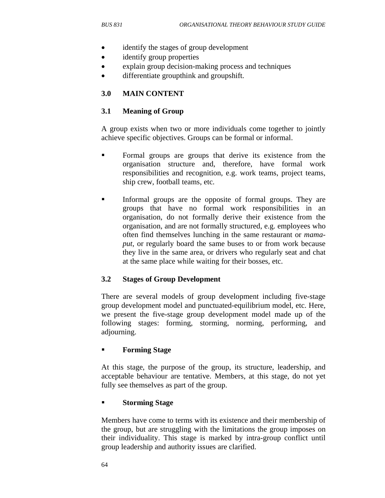- identify the stages of group development
- identify group properties
- explain group decision-making process and techniques
- differentiate groupthink and groupshift.

## **3.0 MAIN CONTENT**

#### **3.1 Meaning of Group**

A group exists when two or more individuals come together to jointly achieve specific objectives. Groups can be formal or informal.

- Formal groups are groups that derive its existence from the organisation structure and, therefore, have formal work responsibilities and recognition, e.g. work teams, project teams, ship crew, football teams, etc.
- Informal groups are the opposite of formal groups. They are groups that have no formal work responsibilities in an organisation, do not formally derive their existence from the organisation, and are not formally structured, e.g. employees who often find themselves lunching in the same restaurant or *mamaput*, or regularly board the same buses to or from work because they live in the same area, or drivers who regularly seat and chat at the same place while waiting for their bosses, etc.

## **3.2 Stages of Group Development**

There are several models of group development including five-stage group development model and punctuated-equilibrium model, etc. Here, we present the five-stage group development model made up of the following stages: forming, storming, norming, performing, and adjourning.

## **Forming Stage**

At this stage, the purpose of the group, its structure, leadership, and acceptable behaviour are tentative. Members, at this stage, do not yet fully see themselves as part of the group.

#### **Storming Stage**

Members have come to terms with its existence and their membership of the group, but are struggling with the limitations the group imposes on their individuality. This stage is marked by intra-group conflict until group leadership and authority issues are clarified.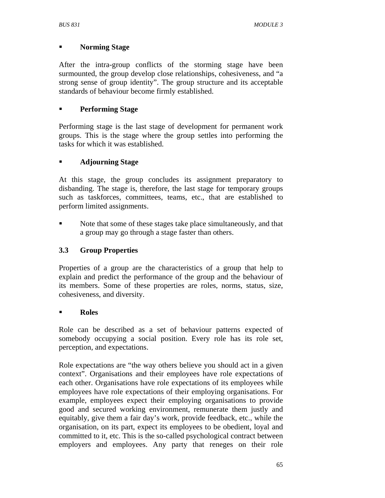## **Norming Stage**

After the intra-group conflicts of the storming stage have been surmounted, the group develop close relationships, cohesiveness, and "a strong sense of group identity". The group structure and its acceptable standards of behaviour become firmly established.

## **Performing Stage**

Performing stage is the last stage of development for permanent work groups. This is the stage where the group settles into performing the tasks for which it was established.

## **Adjourning Stage**

At this stage, the group concludes its assignment preparatory to disbanding. The stage is, therefore, the last stage for temporary groups such as taskforces, committees, teams, etc., that are established to perform limited assignments.

• Note that some of these stages take place simultaneously, and that a group may go through a stage faster than others.

# **3.3 Group Properties**

Properties of a group are the characteristics of a group that help to explain and predict the performance of the group and the behaviour of its members. Some of these properties are roles, norms, status, size, cohesiveness, and diversity.

## **Roles**

Role can be described as a set of behaviour patterns expected of somebody occupying a social position. Every role has its role set, perception, and expectations.

Role expectations are "the way others believe you should act in a given context". Organisations and their employees have role expectations of each other. Organisations have role expectations of its employees while employees have role expectations of their employing organisations. For example, employees expect their employing organisations to provide good and secured working environment, remunerate them justly and equitably, give them a fair day's work, provide feedback, etc., while the organisation, on its part, expect its employees to be obedient, loyal and committed to it, etc. This is the so-called psychological contract between employers and employees. Any party that reneges on their role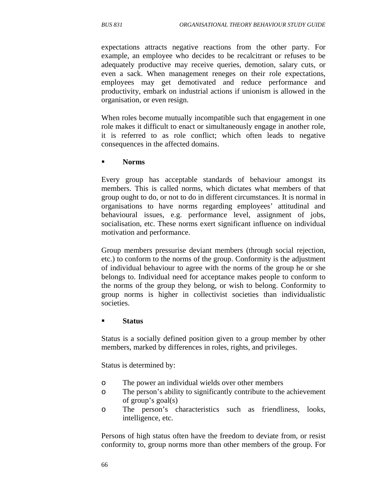expectations attracts negative reactions from the other party. For example, an employee who decides to be recalcitrant or refuses to be adequately productive may receive queries, demotion, salary cuts, or even a sack. When management reneges on their role expectations, employees may get demotivated and reduce performance and productivity, embark on industrial actions if unionism is allowed in the organisation, or even resign.

When roles become mutually incompatible such that engagement in one role makes it difficult to enact or simultaneously engage in another role, it is referred to as role conflict; which often leads to negative consequences in the affected domains.

**Norms**

Every group has acceptable standards of behaviour amongst its members. This is called norms, which dictates what members of that group ought to do, or not to do in different circumstances. It is normal in organisations to have norms regarding employees' attitudinal and behavioural issues, e.g. performance level, assignment of jobs, socialisation, etc. These norms exert significant influence on individual motivation and performance.

Group members pressurise deviant members (through social rejection, etc.) to conform to the norms of the group. Conformity is the adjustment of individual behaviour to agree with the norms of the group he or she belongs to. Individual need for acceptance makes people to conform to the norms of the group they belong, or wish to belong. Conformity to group norms is higher in collectivist societies than individualistic societies.

#### **Status**

Status is a socially defined position given to a group member by other members, marked by differences in roles, rights, and privileges.

Status is determined by:

- o The power an individual wields over other members
- o The person's ability to significantly contribute to the achievement of group's goal(s)
- o The person's characteristics such as friendliness, looks, intelligence, etc.

Persons of high status often have the freedom to deviate from, or resist conformity to, group norms more than other members of the group. For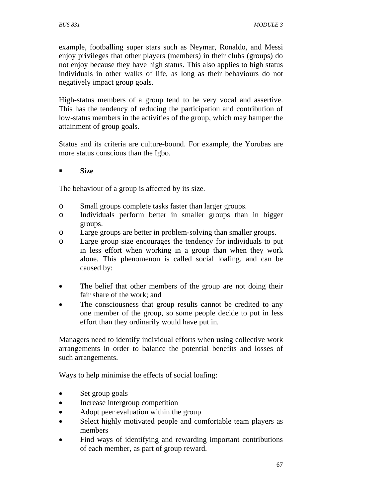example, footballing super stars such as Neymar, Ronaldo, and Messi enjoy privileges that other players (members) in their clubs (groups) do not enjoy because they have high status. This also applies to high status individuals in other walks of life, as long as their behaviours do not negatively impact group goals.

High-status members of a group tend to be very vocal and assertive. This has the tendency of reducing the participation and contribution of low-status members in the activities of the group, which may hamper the attainment of group goals.

Status and its criteria are culture-bound. For example, the Yorubas are more status conscious than the Igbo.

## **Size**

The behaviour of a group is affected by its size.

- o Small groups complete tasks faster than larger groups.
- o Individuals perform better in smaller groups than in bigger groups.
- o Large groups are better in problem-solving than smaller groups.
- o Large group size encourages the tendency for individuals to put in less effort when working in a group than when they work alone. This phenomenon is called social loafing, and can be caused by:
- The belief that other members of the group are not doing their fair share of the work; and
- The consciousness that group results cannot be credited to any one member of the group, so some people decide to put in less effort than they ordinarily would have put in.

Managers need to identify individual efforts when using collective work arrangements in order to balance the potential benefits and losses of such arrangements.

Ways to help minimise the effects of social loafing:

- Set group goals
- Increase intergroup competition
- Adopt peer evaluation within the group
- Select highly motivated people and comfortable team players as members
- Find ways of identifying and rewarding important contributions of each member, as part of group reward.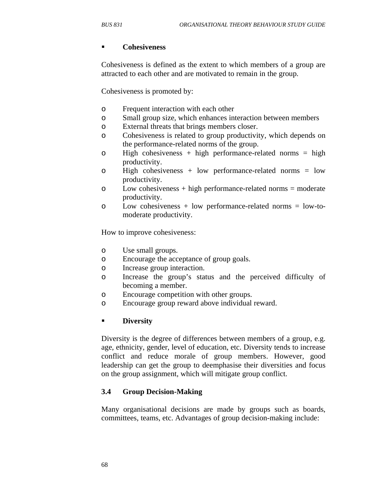#### **Cohesiveness**

Cohesiveness is defined as the extent to which members of a group are attracted to each other and are motivated to remain in the group.

Cohesiveness is promoted by:

- o Frequent interaction with each other
- o Small group size, which enhances interaction between members
- o External threats that brings members closer.
- o Cohesiveness is related to group productivity, which depends on the performance-related norms of the group.
- o High cohesiveness + high performance-related norms = high productivity.
- o High cohesiveness + low performance-related norms = low productivity.
- o Low cohesiveness + high performance-related norms = moderate productivity.
- o Low cohesiveness + low performance-related norms = low-tomoderate productivity.

How to improve cohesiveness:

- o Use small groups.
- o Encourage the acceptance of group goals.
- o Increase group interaction.
- o Increase the group's status and the perceived difficulty of becoming a member.
- o Encourage competition with other groups.
- o Encourage group reward above individual reward.

## **Diversity**

Diversity is the degree of differences between members of a group, e.g. age, ethnicity, gender, level of education, etc. Diversity tends to increase conflict and reduce morale of group members. However, good leadership can get the group to deemphasise their diversities and focus on the group assignment, which will mitigate group conflict.

## **3.4 Group Decision-Making**

Many organisational decisions are made by groups such as boards, committees, teams, etc. Advantages of group decision-making include: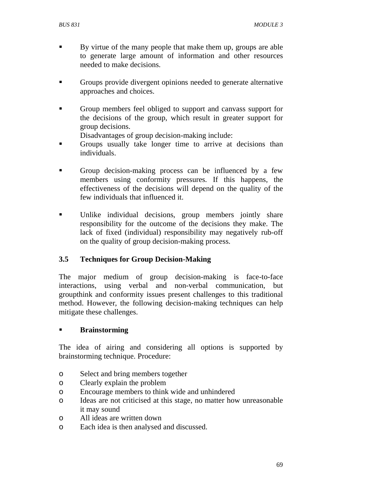- By virtue of the many people that make them up, groups are able to generate large amount of information and other resources needed to make decisions.
- Groups provide divergent opinions needed to generate alternative approaches and choices.
- Group members feel obliged to support and canvass support for the decisions of the group, which result in greater support for group decisions.
	- Disadvantages of group decision-making include:
- Groups usually take longer time to arrive at decisions than individuals.
- Group decision-making process can be influenced by a few members using conformity pressures. If this happens, the effectiveness of the decisions will depend on the quality of the few individuals that influenced it.
- Unlike individual decisions, group members jointly share responsibility for the outcome of the decisions they make. The lack of fixed (individual) responsibility may negatively rub-off on the quality of group decision-making process.

# **3.5 Techniques for Group Decision-Making**

The major medium of group decision-making is face-to-face interactions, using verbal and non-verbal communication, but groupthink and conformity issues present challenges to this traditional method. However, the following decision-making techniques can help mitigate these challenges.

## **Brainstorming**

The idea of airing and considering all options is supported by brainstorming technique. Procedure:

- o Select and bring members together
- o Clearly explain the problem
- o Encourage members to think wide and unhindered
- o Ideas are not criticised at this stage, no matter how unreasonable it may sound
- o All ideas are written down
- o Each idea is then analysed and discussed.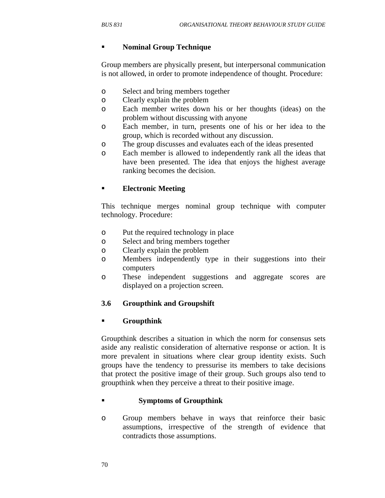## **Nominal Group Technique**

Group members are physically present, but interpersonal communication is not allowed, in order to promote independence of thought. Procedure:

- o Select and bring members together
- o Clearly explain the problem
- o Each member writes down his or her thoughts (ideas) on the problem without discussing with anyone
- o Each member, in turn, presents one of his or her idea to the group, which is recorded without any discussion.
- o The group discusses and evaluates each of the ideas presented
- o Each member is allowed to independently rank all the ideas that have been presented. The idea that enjoys the highest average ranking becomes the decision.

## **Electronic Meeting**

This technique merges nominal group technique with computer technology. Procedure:

- o Put the required technology in place
- o Select and bring members together
- o Clearly explain the problem
- o Members independently type in their suggestions into their computers
- o These independent suggestions and aggregate scores are displayed on a projection screen.

## **3.6 Groupthink and Groupshift**

## **Groupthink**

Groupthink describes a situation in which the norm for consensus sets aside any realistic consideration of alternative response or action. It is more prevalent in situations where clear group identity exists. Such groups have the tendency to pressurise its members to take decisions that protect the positive image of their group. Such groups also tend to groupthink when they perceive a threat to their positive image.

## **Symptoms of Groupthink**

o Group members behave in ways that reinforce their basic assumptions, irrespective of the strength of evidence that contradicts those assumptions.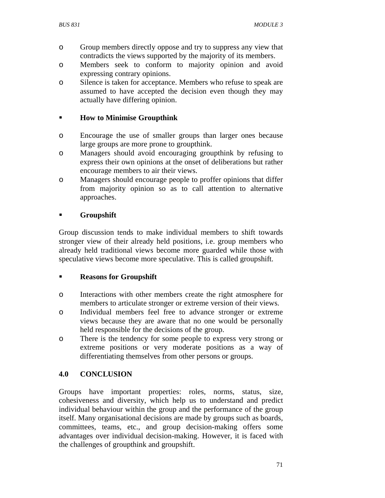- o Group members directly oppose and try to suppress any view that contradicts the views supported by the majority of its members.
- o Members seek to conform to majority opinion and avoid expressing contrary opinions.
- o Silence is taken for acceptance. Members who refuse to speak are assumed to have accepted the decision even though they may actually have differing opinion.

# **How to Minimise Groupthink**

- o Encourage the use of smaller groups than larger ones because large groups are more prone to groupthink.
- o Managers should avoid encouraging groupthink by refusing to express their own opinions at the onset of deliberations but rather encourage members to air their views.
- o Managers should encourage people to proffer opinions that differ from majority opinion so as to call attention to alternative approaches.

## **Groupshift**

Group discussion tends to make individual members to shift towards stronger view of their already held positions, i.e. group members who already held traditional views become more guarded while those with speculative views become more speculative. This is called groupshift.

## **Reasons for Groupshift**

- o Interactions with other members create the right atmosphere for members to articulate stronger or extreme version of their views.
- o Individual members feel free to advance stronger or extreme views because they are aware that no one would be personally held responsible for the decisions of the group.
- o There is the tendency for some people to express very strong or extreme positions or very moderate positions as a way of differentiating themselves from other persons or groups.

# **4.0 CONCLUSION**

Groups have important properties: roles, norms, status, size, cohesiveness and diversity, which help us to understand and predict individual behaviour within the group and the performance of the group itself. Many organisational decisions are made by groups such as boards, committees, teams, etc., and group decision-making offers some advantages over individual decision-making. However, it is faced with the challenges of groupthink and groupshift.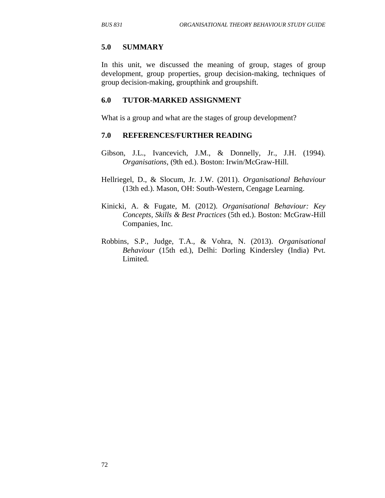#### **5.0 SUMMARY**

In this unit, we discussed the meaning of group, stages of group development, group properties, group decision-making, techniques of group decision-making, groupthink and groupshift.

#### **6.0 TUTOR-MARKED ASSIGNMENT**

What is a group and what are the stages of group development?

#### **7.0 REFERENCES/FURTHER READING**

- Gibson, J.L., Ivancevich, J.M., & Donnelly, Jr., J.H. (1994). *Organisations*, (9th ed.). Boston: Irwin/McGraw-Hill.
- Hellriegel, D., & Slocum, Jr. J.W. (2011). *Organisational Behaviour* (13th ed.). Mason, OH: South-Western, Cengage Learning.
- Kinicki, A. & Fugate, M. (2012). *Organisational Behaviour: Key Concepts, Skills & Best Practices* (5th ed.). Boston: McGraw-Hill Companies, Inc.
- Robbins, S.P., Judge, T.A., & Vohra, N. (2013). *Organisational Behaviour* (15th ed.), Delhi: Dorling Kindersley (India) Pvt. Limited.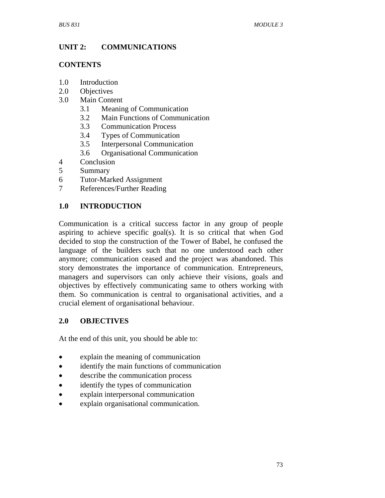# **UNIT 2: COMMUNICATIONS**

## **CONTENTS**

- 1.0 Introduction
- 2.0 Objectives
- 3.0 Main Content
	- 3.1 Meaning of Communication
	- 3.2 Main Functions of Communication
	- 3.3 Communication Process
	- 3.4 Types of Communication
	- 3.5 Interpersonal Communication
	- 3.6 Organisational Communication
- 4 Conclusion<br>5 Summary
- **Summary**
- 6 Tutor-Marked Assignment
- 7 References/Further Reading

## **1.0 INTRODUCTION**

Communication is a critical success factor in any group of people aspiring to achieve specific goal(s). It is so critical that when God decided to stop the construction of the Tower of Babel, he confused the language of the builders such that no one understood each other anymore; communication ceased and the project was abandoned. This story demonstrates the importance of communication. Entrepreneurs, managers and supervisors can only achieve their visions, goals and objectives by effectively communicating same to others working with them. So communication is central to organisational activities, and a crucial element of organisational behaviour.

## **2.0 OBJECTIVES**

At the end of this unit, you should be able to:

- explain the meaning of communication
- identify the main functions of communication
- describe the communication process
- identify the types of communication
- explain interpersonal communication
- explain organisational communication.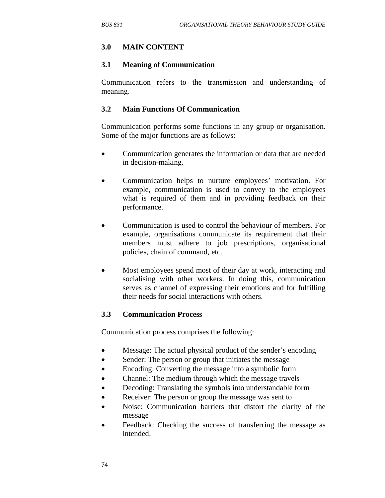## **3.0 MAIN CONTENT**

### **3.1 Meaning of Communication**

Communication refers to the transmission and understanding of meaning.

### **3.2 Main Functions Of Communication**

Communication performs some functions in any group or organisation. Some of the major functions are as follows:

- Communication generates the information or data that are needed in decision-making.
- Communication helps to nurture employees' motivation. For example, communication is used to convey to the employees what is required of them and in providing feedback on their performance.
- Communication is used to control the behaviour of members. For example, organisations communicate its requirement that their members must adhere to job prescriptions, organisational policies, chain of command, etc.
- Most employees spend most of their day at work, interacting and socialising with other workers. In doing this, communication serves as channel of expressing their emotions and for fulfilling their needs for social interactions with others.

## **3.3 Communication Process**

Communication process comprises the following:

- Message: The actual physical product of the sender's encoding
- Sender: The person or group that initiates the message
- Encoding: Converting the message into a symbolic form
- Channel: The medium through which the message travels
- Decoding: Translating the symbols into understandable form
- Receiver: The person or group the message was sent to
- Noise: Communication barriers that distort the clarity of the message
- Feedback: Checking the success of transferring the message as intended.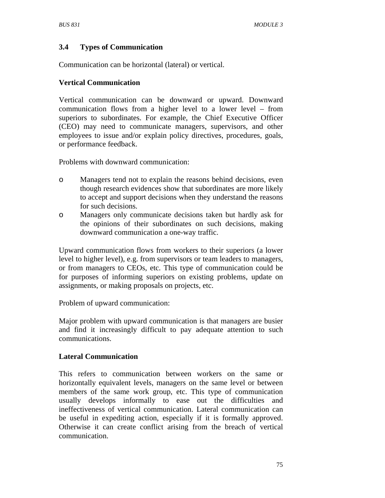# **3.4 Types of Communication**

Communication can be horizontal (lateral) or vertical.

## **Vertical Communication**

Vertical communication can be downward or upward. Downward communication flows from a higher level to a lower level – from superiors to subordinates. For example, the Chief Executive Officer (CEO) may need to communicate managers, supervisors, and other employees to issue and/or explain policy directives, procedures, goals, or performance feedback.

Problems with downward communication:

- o Managers tend not to explain the reasons behind decisions, even though research evidences show that subordinates are more likely to accept and support decisions when they understand the reasons for such decisions.
- o Managers only communicate decisions taken but hardly ask for the opinions of their subordinates on such decisions, making downward communication a one-way traffic.

Upward communication flows from workers to their superiors (a lower level to higher level), e.g. from supervisors or team leaders to managers, or from managers to CEOs, etc. This type of communication could be for purposes of informing superiors on existing problems, update on assignments, or making proposals on projects, etc.

Problem of upward communication:

Major problem with upward communication is that managers are busier and find it increasingly difficult to pay adequate attention to such communications.

# **Lateral Communication**

This refers to communication between workers on the same or horizontally equivalent levels, managers on the same level or between members of the same work group, etc. This type of communication usually develops informally to ease out the difficulties and ineffectiveness of vertical communication. Lateral communication can be useful in expediting action, especially if it is formally approved. Otherwise it can create conflict arising from the breach of vertical communication.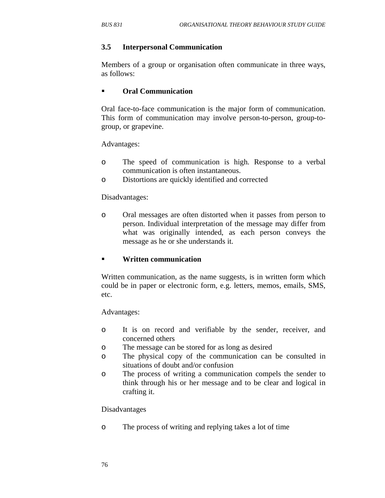#### **3.5 Interpersonal Communication**

Members of a group or organisation often communicate in three ways, as follows:

#### **Oral Communication**

Oral face-to-face communication is the major form of communication. This form of communication may involve person-to-person, group-togroup, or grapevine.

Advantages:

- o The speed of communication is high. Response to a verbal communication is often instantaneous.
- o Distortions are quickly identified and corrected

#### Disadvantages:

o Oral messages are often distorted when it passes from person to person. Individual interpretation of the message may differ from what was originally intended, as each person conveys the message as he or she understands it.

#### **Written communication**

Written communication, as the name suggests, is in written form which could be in paper or electronic form, e.g. letters, memos, emails, SMS, etc.

Advantages:

- o It is on record and verifiable by the sender, receiver, and concerned others
- o The message can be stored for as long as desired
- o The physical copy of the communication can be consulted in situations of doubt and/or confusion
- o The process of writing a communication compels the sender to think through his or her message and to be clear and logical in crafting it.

#### Disadvantages

o The process of writing and replying takes a lot of time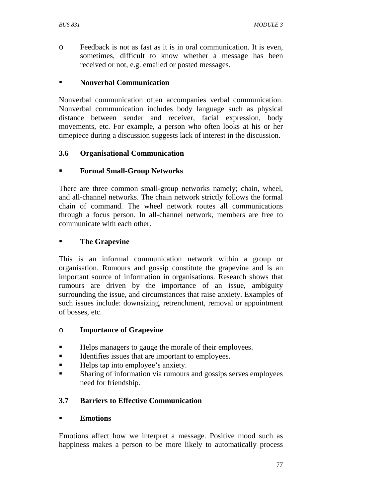o Feedback is not as fast as it is in oral communication. It is even, sometimes, difficult to know whether a message has been received or not, e.g. emailed or posted messages.

### **Nonverbal Communication**

Nonverbal communication often accompanies verbal communication. Nonverbal communication includes body language such as physical distance between sender and receiver, facial expression, body movements, etc. For example, a person who often looks at his or her timepiece during a discussion suggests lack of interest in the discussion.

#### **3.6 Organisational Communication**

## **Formal Small-Group Networks**

There are three common small-group networks namely; chain, wheel, and all-channel networks. The chain network strictly follows the formal chain of command. The wheel network routes all communications through a focus person. In all-channel network, members are free to communicate with each other.

#### **The Grapevine**

This is an informal communication network within a group or organisation. Rumours and gossip constitute the grapevine and is an important source of information in organisations. Research shows that rumours are driven by the importance of an issue, ambiguity surrounding the issue, and circumstances that raise anxiety. Examples of such issues include: downsizing, retrenchment, removal or appointment of bosses, etc.

#### o **Importance of Grapevine**

- Helps managers to gauge the morale of their employees.
- Identifies issues that are important to employees.
- Helps tap into employee's anxiety.
- Sharing of information via rumours and gossips serves employees need for friendship.

## **3.7 Barriers to Effective Communication**

#### **Emotions**

Emotions affect how we interpret a message. Positive mood such as happiness makes a person to be more likely to automatically process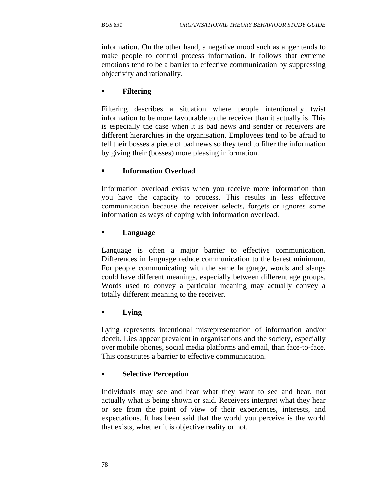information. On the other hand, a negative mood such as anger tends to make people to control process information. It follows that extreme emotions tend to be a barrier to effective communication by suppressing objectivity and rationality.

#### **Filtering**

Filtering describes a situation where people intentionally twist information to be more favourable to the receiver than it actually is. This is especially the case when it is bad news and sender or receivers are different hierarchies in the organisation. Employees tend to be afraid to tell their bosses a piece of bad news so they tend to filter the information by giving their (bosses) more pleasing information.

## **Information Overload**

Information overload exists when you receive more information than you have the capacity to process. This results in less effective communication because the receiver selects, forgets or ignores some information as ways of coping with information overload.

#### **Language**

Language is often a major barrier to effective communication. Differences in language reduce communication to the barest minimum. For people communicating with the same language, words and slangs could have different meanings, especially between different age groups. Words used to convey a particular meaning may actually convey a totally different meaning to the receiver.

#### **Lying**

Lying represents intentional misrepresentation of information and/or deceit. Lies appear prevalent in organisations and the society, especially over mobile phones, social media platforms and email, than face-to-face. This constitutes a barrier to effective communication.

#### **Selective Perception**

Individuals may see and hear what they want to see and hear, not actually what is being shown or said. Receivers interpret what they hear or see from the point of view of their experiences, interests, and expectations. It has been said that the world you perceive is the world that exists, whether it is objective reality or not.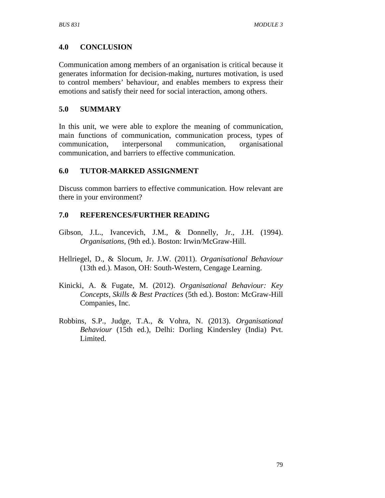## **4.0 CONCLUSION**

Communication among members of an organisation is critical because it generates information for decision-making, nurtures motivation, is used to control members' behaviour, and enables members to express their emotions and satisfy their need for social interaction, among others.

## **5.0 SUMMARY**

In this unit, we were able to explore the meaning of communication, main functions of communication, communication process, types of communication, interpersonal communication, organisational communication, and barriers to effective communication.

## **6.0 TUTOR-MARKED ASSIGNMENT**

Discuss common barriers to effective communication. How relevant are there in your environment?

## **7.0 REFERENCES/FURTHER READING**

- Gibson, J.L., Ivancevich, J.M., & Donnelly, Jr., J.H. (1994). *Organisations*, (9th ed.). Boston: Irwin/McGraw-Hill.
- Hellriegel, D., & Slocum, Jr. J.W. (2011). *Organisational Behaviour* (13th ed.). Mason, OH: South-Western, Cengage Learning.
- Kinicki, A. & Fugate, M. (2012). *Organisational Behaviour: Key Concepts, Skills & Best Practices* (5th ed.). Boston: McGraw-Hill Companies, Inc.
- Robbins, S.P., Judge, T.A., & Vohra, N. (2013). *Organisational Behaviour* (15th ed.), Delhi: Dorling Kindersley (India) Pvt. Limited.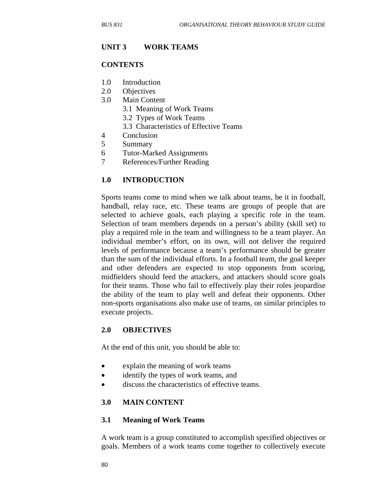#### **UNIT 3 WORK TEAMS**

#### **CONTENTS**

- 1.0 Introduction
- 2.0 Objectives
- 3.0 Main Content
	- 3.1 Meaning of Work Teams
	- 3.2 Types of Work Teams
	- 3.3 Characteristics of Effective Teams
- 4 Conclusion
- 5 Summary
- 6 Tutor-Marked Assignments
- 7 References/Further Reading

#### **1.0 INTRODUCTION**

Sports teams come to mind when we talk about teams, be it in football, handball, relay race, etc. These teams are groups of people that are selected to achieve goals, each playing a specific role in the team. Selection of team members depends on a person's ability (skill set) to play a required role in the team and willingness to be a team player. An individual member's effort, on its own, will not deliver the required levels of performance because a team's performance should be greater than the sum of the individual efforts. In a football team, the goal keeper and other defenders are expected to stop opponents from scoring, midfielders should feed the attackers, and attackers should score goals for their teams. Those who fail to effectively play their roles jeopardise the ability of the team to play well and defeat their opponents. Other non-sports organisations also make use of teams, on similar principles to execute projects.

#### **2.0 OBJECTIVES**

At the end of this unit, you should be able to:

- explain the meaning of work teams
- identify the types of work teams, and
- discuss the characteristics of effective teams.

#### **3.0 MAIN CONTENT**

#### **3.1 Meaning of Work Teams**

A work team is a group constituted to accomplish specified objectives or goals. Members of a work teams come together to collectively execute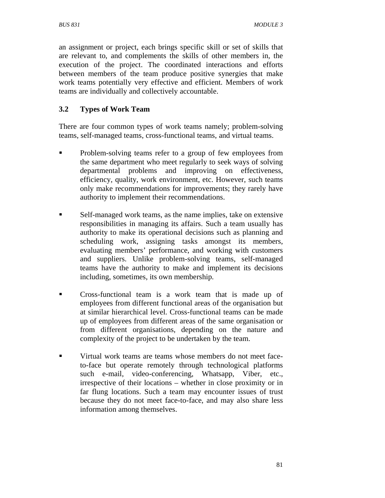an assignment or project, each brings specific skill or set of skills that are relevant to, and complements the skills of other members in, the execution of the project. The coordinated interactions and efforts between members of the team produce positive synergies that make work teams potentially very effective and efficient. Members of work teams are individually and collectively accountable.

# **3.2 Types of Work Team**

There are four common types of work teams namely; problem-solving teams, self-managed teams, cross-functional teams, and virtual teams.

- **•** Problem-solving teams refer to a group of few employees from the same department who meet regularly to seek ways of solving departmental problems and improving on effectiveness, efficiency, quality, work environment, etc. However, such teams only make recommendations for improvements; they rarely have authority to implement their recommendations.
- Self-managed work teams, as the name implies, take on extensive responsibilities in managing its affairs. Such a team usually has authority to make its operational decisions such as planning and scheduling work, assigning tasks amongst its members, evaluating members' performance, and working with customers and suppliers. Unlike problem-solving teams, self-managed teams have the authority to make and implement its decisions including, sometimes, its own membership.
- Cross-functional team is a work team that is made up of employees from different functional areas of the organisation but at similar hierarchical level. Cross-functional teams can be made up of employees from different areas of the same organisation or from different organisations, depending on the nature and complexity of the project to be undertaken by the team.
- Virtual work teams are teams whose members do not meet faceto-face but operate remotely through technological platforms such e-mail, video-conferencing, Whatsapp, Viber, etc., irrespective of their locations – whether in close proximity or in far flung locations. Such a team may encounter issues of trust because they do not meet face-to-face, and may also share less information among themselves.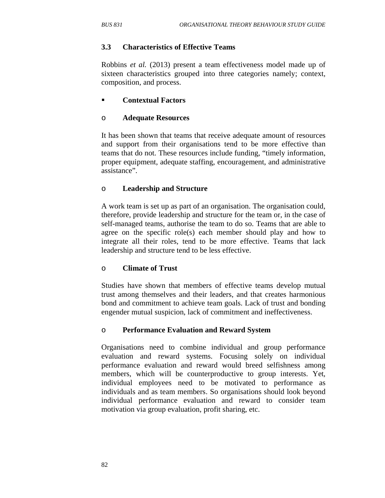## **3.3 Characteristics of Effective Teams**

Robbins *et al.* (2013) present a team effectiveness model made up of sixteen characteristics grouped into three categories namely; context, composition, and process.

## **Contextual Factors**

## o **Adequate Resources**

It has been shown that teams that receive adequate amount of resources and support from their organisations tend to be more effective than teams that do not. These resources include funding, "timely information, proper equipment, adequate staffing, encouragement, and administrative assistance".

## o **Leadership and Structure**

A work team is set up as part of an organisation. The organisation could, therefore, provide leadership and structure for the team or, in the case of self-managed teams, authorise the team to do so. Teams that are able to agree on the specific role(s) each member should play and how to integrate all their roles, tend to be more effective. Teams that lack leadership and structure tend to be less effective.

## o **Climate of Trust**

Studies have shown that members of effective teams develop mutual trust among themselves and their leaders, and that creates harmonious bond and commitment to achieve team goals. Lack of trust and bonding engender mutual suspicion, lack of commitment and ineffectiveness.

## o **Performance Evaluation and Reward System**

Organisations need to combine individual and group performance evaluation and reward systems. Focusing solely on individual performance evaluation and reward would breed selfishness among members, which will be counterproductive to group interests. Yet, individual employees need to be motivated to performance as individuals and as team members. So organisations should look beyond individual performance evaluation and reward to consider team motivation via group evaluation, profit sharing, etc.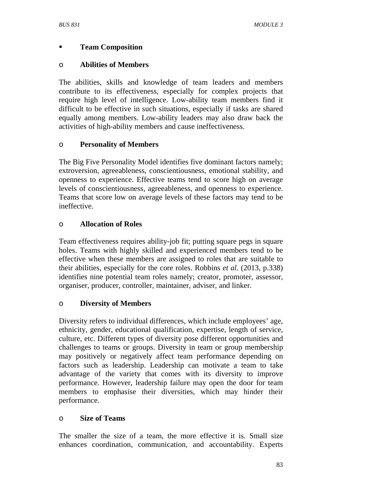# **Team Composition**

## o **Abilities of Members**

The abilities, skills and knowledge of team leaders and members contribute to its effectiveness, especially for complex projects that require high level of intelligence. Low-ability team members find it difficult to be effective in such situations, especially if tasks are shared equally among members. Low-ability leaders may also draw back the activities of high-ability members and cause ineffectiveness.

# o **Personality of Members**

The Big Five Personality Model identifies five dominant factors namely; extroversion, agreeableness, conscientiousness, emotional stability, and openness to experience. Effective teams tend to score high on average levels of conscientiousness, agreeableness, and openness to experience. Teams that score low on average levels of these factors may tend to be ineffective.

# o **Allocation of Roles**

Team effectiveness requires ability-job fit; putting square pegs in square holes. Teams with highly skilled and experienced members tend to be effective when these members are assigned to roles that are suitable to their abilities, especially for the core roles. Robbins *et al.* (2013, p.338) identifies nine potential team roles namely; creator, promoter, assessor, organiser, producer, controller, maintainer, adviser, and linker.

# o **Diversity of Members**

Diversity refers to individual differences, which include employees' age, ethnicity, gender, educational qualification, expertise, length of service, culture, etc. Different types of diversity pose different opportunities and challenges to teams or groups. Diversity in team or group membership may positively or negatively affect team performance depending on factors such as leadership. Leadership can motivate a team to take advantage of the variety that comes with its diversity to improve performance. However, leadership failure may open the door for team members to emphasise their diversities, which may hinder their performance.

# o **Size of Teams**

The smaller the size of a team, the more effective it is. Small size enhances coordination, communication, and accountability. Experts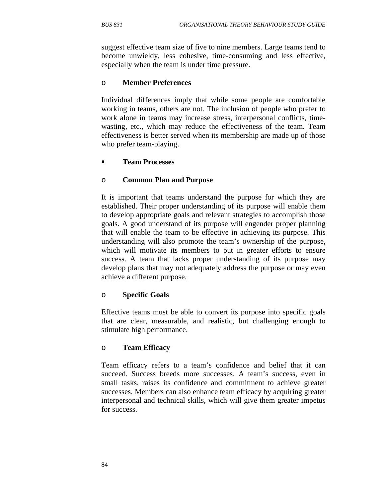suggest effective team size of five to nine members. Large teams tend to become unwieldy, less cohesive, time-consuming and less effective, especially when the team is under time pressure.

#### o **Member Preferences**

Individual differences imply that while some people are comfortable working in teams, others are not. The inclusion of people who prefer to work alone in teams may increase stress, interpersonal conflicts, timewasting, etc., which may reduce the effectiveness of the team. Team effectiveness is better served when its membership are made up of those who prefer team-playing.

## **Team Processes**

#### o **Common Plan and Purpose**

It is important that teams understand the purpose for which they are established. Their proper understanding of its purpose will enable them to develop appropriate goals and relevant strategies to accomplish those goals. A good understand of its purpose will engender proper planning that will enable the team to be effective in achieving its purpose. This understanding will also promote the team's ownership of the purpose, which will motivate its members to put in greater efforts to ensure success. A team that lacks proper understanding of its purpose may develop plans that may not adequately address the purpose or may even achieve a different purpose.

#### o **Specific Goals**

Effective teams must be able to convert its purpose into specific goals that are clear, measurable, and realistic, but challenging enough to stimulate high performance.

#### o **Team Efficacy**

Team efficacy refers to a team's confidence and belief that it can succeed. Success breeds more successes. A team's success, even in small tasks, raises its confidence and commitment to achieve greater successes. Members can also enhance team efficacy by acquiring greater interpersonal and technical skills, which will give them greater impetus for success.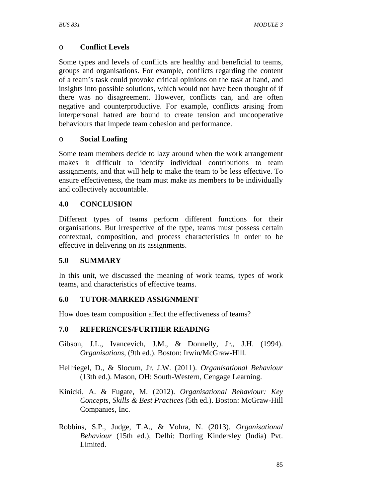## o **Conflict Levels**

Some types and levels of conflicts are healthy and beneficial to teams, groups and organisations. For example, conflicts regarding the content of a team's task could provoke critical opinions on the task at hand, and insights into possible solutions, which would not have been thought of if there was no disagreement. However, conflicts can, and are often negative and counterproductive. For example, conflicts arising from interpersonal hatred are bound to create tension and uncooperative behaviours that impede team cohesion and performance.

## o **Social Loafing**

Some team members decide to lazy around when the work arrangement makes it difficult to identify individual contributions to team assignments, and that will help to make the team to be less effective. To ensure effectiveness, the team must make its members to be individually and collectively accountable.

# **4.0 CONCLUSION**

Different types of teams perform different functions for their organisations. But irrespective of the type, teams must possess certain contextual, composition, and process characteristics in order to be effective in delivering on its assignments.

# **5.0 SUMMARY**

In this unit, we discussed the meaning of work teams, types of work teams, and characteristics of effective teams.

## **6.0 TUTOR-MARKED ASSIGNMENT**

How does team composition affect the effectiveness of teams?

## **7.0 REFERENCES/FURTHER READING**

- Gibson, J.L., Ivancevich, J.M., & Donnelly, Jr., J.H. (1994). *Organisations*, (9th ed.). Boston: Irwin/McGraw-Hill.
- Hellriegel, D., & Slocum, Jr. J.W. (2011). *Organisational Behaviour* (13th ed.). Mason, OH: South-Western, Cengage Learning.
- Kinicki, A. & Fugate, M. (2012). *Organisational Behaviour: Key Concepts, Skills & Best Practices* (5th ed.). Boston: McGraw-Hill Companies, Inc.
- Robbins, S.P., Judge, T.A., & Vohra, N. (2013). *Organisational Behaviour* (15th ed.), Delhi: Dorling Kindersley (India) Pvt. Limited.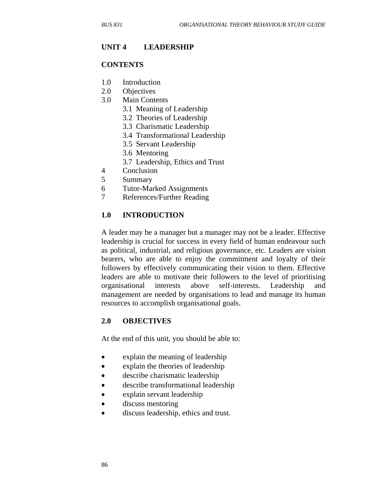#### **UNIT 4 LEADERSHIP**

#### **CONTENTS**

- 1.0 Introduction
- 2.0 Objectives
- 3.0 Main Contents
	- 3.1 Meaning of Leadership
	- 3.2 Theories of Leadership
	- 3.3 Charismatic Leadership
	- 3.4 Transformational Leadership
	- 3.5 Servant Leadership
	- 3.6 Mentoring
	- 3.7 Leadership, Ethics and Trust
- 4 Conclusion
- 5 Summary
- 6 Tutor-Marked Assignments
- 7 References/Further Reading

#### **1.0 INTRODUCTION**

A leader may be a manager but a manager may not be a leader. Effective leadership is crucial for success in every field of human endeavour such as political, industrial, and religious governance, etc. Leaders are vision bearers, who are able to enjoy the commitment and loyalty of their followers by effectively communicating their vision to them. Effective leaders are able to motivate their followers to the level of prioritising organisational interests above self-interests. Leadership and management are needed by organisations to lead and manage its human resources to accomplish organisational goals.

#### **2.0 OBJECTIVES**

At the end of this unit, you should be able to:

- explain the meaning of leadership
- explain the theories of leadership
- describe charismatic leadership
- describe transformational leadership
- explain servant leadership
- discuss mentoring
- discuss leadership, ethics and trust.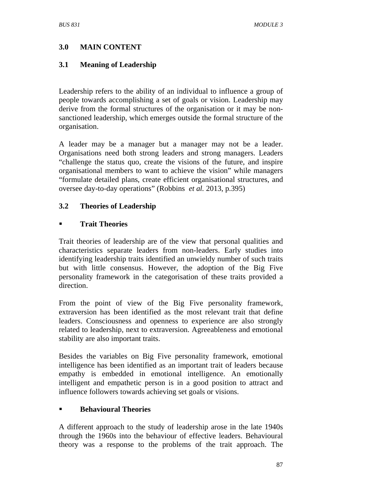## **3.0 MAIN CONTENT**

## **3.1 Meaning of Leadership**

Leadership refers to the ability of an individual to influence a group of people towards accomplishing a set of goals or vision. Leadership may derive from the formal structures of the organisation or it may be nonsanctioned leadership, which emerges outside the formal structure of the organisation.

A leader may be a manager but a manager may not be a leader. Organisations need both strong leaders and strong managers. Leaders "challenge the status quo, create the visions of the future, and inspire organisational members to want to achieve the vision" while managers "formulate detailed plans, create efficient organisational structures, and oversee day-to-day operations" (Robbins *et al.* 2013, p.395)

## **3.2 Theories of Leadership**

#### **Trait Theories**

Trait theories of leadership are of the view that personal qualities and characteristics separate leaders from non-leaders. Early studies into identifying leadership traits identified an unwieldy number of such traits but with little consensus. However, the adoption of the Big Five personality framework in the categorisation of these traits provided a direction.

From the point of view of the Big Five personality framework, extraversion has been identified as the most relevant trait that define leaders. Consciousness and openness to experience are also strongly related to leadership, next to extraversion. Agreeableness and emotional stability are also important traits.

Besides the variables on Big Five personality framework, emotional intelligence has been identified as an important trait of leaders because empathy is embedded in emotional intelligence. An emotionally intelligent and empathetic person is in a good position to attract and influence followers towards achieving set goals or visions.

## **Behavioural Theories**

A different approach to the study of leadership arose in the late 1940s through the 1960s into the behaviour of effective leaders. Behavioural theory was a response to the problems of the trait approach. The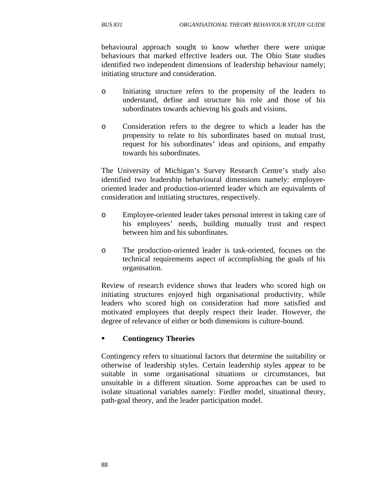behavioural approach sought to know whether there were unique behaviours that marked effective leaders out. The Ohio State studies identified two independent dimensions of leadership behaviour namely; initiating structure and consideration.

- o Initiating structure refers to the propensity of the leaders to understand, define and structure his role and those of his subordinates towards achieving his goals and visions.
- o Consideration refers to the degree to which a leader has the propensity to relate to his subordinates based on mutual trust, request for his subordinates' ideas and opinions, and empathy towards his subordinates.

The University of Michigan's Survey Research Centre's study also identified two leadership behavioural dimensions namely: employeeoriented leader and production-oriented leader which are equivalents of consideration and initiating structures, respectively.

- o Employee-oriented leader takes personal interest in taking care of his employees' needs, building mutually trust and respect between him and his subordinates.
- o The production-oriented leader is task-oriented, focuses on the technical requirements aspect of accomplishing the goals of his organisation.

Review of research evidence shows that leaders who scored high on initiating structures enjoyed high organisational productivity, while leaders who scored high on consideration had more satisfied and motivated employees that deeply respect their leader. However, the degree of relevance of either or both dimensions is culture-bound.

## **Contingency Theories**

Contingency refers to situational factors that determine the suitability or otherwise of leadership styles. Certain leadership styles appear to be suitable in some organisational situations or circumstances, but unsuitable in a different situation. Some approaches can be used to isolate situational variables namely: Fiedler model, situational theory, path-goal theory, and the leader participation model.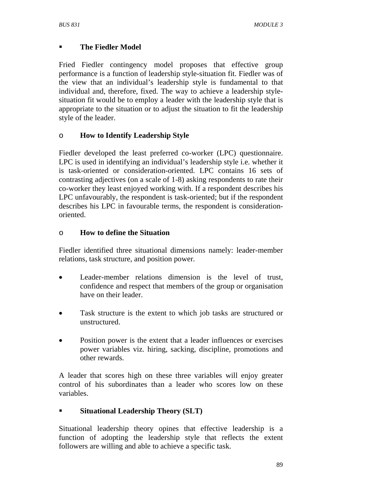# **The Fiedler Model**

Fried Fiedler contingency model proposes that effective group performance is a function of leadership style-situation fit. Fiedler was of the view that an individual's leadership style is fundamental to that individual and, therefore, fixed. The way to achieve a leadership stylesituation fit would be to employ a leader with the leadership style that is appropriate to the situation or to adjust the situation to fit the leadership style of the leader.

# o **How to Identify Leadership Style**

Fiedler developed the least preferred co-worker (LPC) questionnaire. LPC is used in identifying an individual's leadership style i.e. whether it is task-oriented or consideration-oriented. LPC contains 16 sets of contrasting adjectives (on a scale of 1-8) asking respondents to rate their co-worker they least enjoyed working with. If a respondent describes his LPC unfavourably, the respondent is task-oriented; but if the respondent describes his LPC in favourable terms, the respondent is considerationoriented.

## o **How to define the Situation**

Fiedler identified three situational dimensions namely: leader-member relations, task structure, and position power.

- Leader-member relations dimension is the level of trust, confidence and respect that members of the group or organisation have on their leader.
- Task structure is the extent to which job tasks are structured or unstructured.
- Position power is the extent that a leader influences or exercises power variables viz. hiring, sacking, discipline, promotions and other rewards.

A leader that scores high on these three variables will enjoy greater control of his subordinates than a leader who scores low on these variables.

# **Situational Leadership Theory (SLT)**

Situational leadership theory opines that effective leadership is a function of adopting the leadership style that reflects the extent followers are willing and able to achieve a specific task.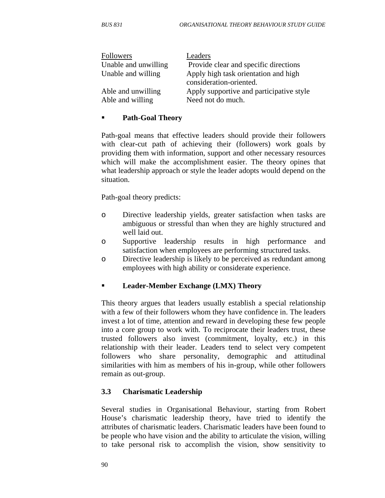| <b>Followers</b><br>Unable and unwilling | Leaders<br>Provide clear and specific directions                    |
|------------------------------------------|---------------------------------------------------------------------|
| Unable and willing                       | Apply high task orientation and high                                |
| Able and unwilling                       | consideration-oriented.<br>Apply supportive and participative style |
| Able and willing                         | Need not do much.                                                   |

#### **Path-Goal Theory**

Path-goal means that effective leaders should provide their followers with clear-cut path of achieving their (followers) work goals by providing them with information, support and other necessary resources which will make the accomplishment easier. The theory opines that what leadership approach or style the leader adopts would depend on the situation.

Path-goal theory predicts:

- o Directive leadership yields, greater satisfaction when tasks are ambiguous or stressful than when they are highly structured and well laid out.
- o Supportive leadership results in high performance and satisfaction when employees are performing structured tasks.
- o Directive leadership is likely to be perceived as redundant among employees with high ability or considerate experience.

## **Leader-Member Exchange (LMX) Theory**

This theory argues that leaders usually establish a special relationship with a few of their followers whom they have confidence in. The leaders invest a lot of time, attention and reward in developing these few people into a core group to work with. To reciprocate their leaders trust, these trusted followers also invest (commitment, loyalty, etc.) in this relationship with their leader. Leaders tend to select very competent followers who share personality, demographic and attitudinal similarities with him as members of his in-group, while other followers remain as out-group.

## **3.3 Charismatic Leadership**

Several studies in Organisational Behaviour, starting from Robert House's charismatic leadership theory, have tried to identify the attributes of charismatic leaders. Charismatic leaders have been found to be people who have vision and the ability to articulate the vision, willing to take personal risk to accomplish the vision, show sensitivity to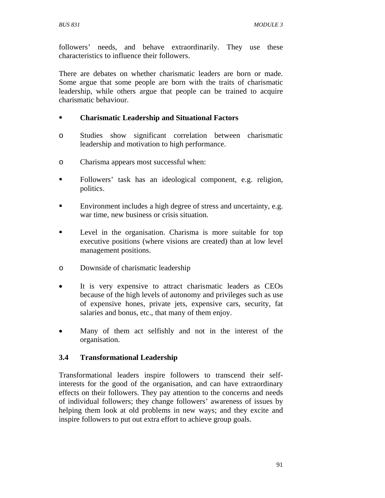followers' needs, and behave extraordinarily. They use these characteristics to influence their followers.

There are debates on whether charismatic leaders are born or made. Some argue that some people are born with the traits of charismatic leadership, while others argue that people can be trained to acquire charismatic behaviour.

## **Charismatic Leadership and Situational Factors**

- o Studies show significant correlation between charismatic leadership and motivation to high performance.
- o Charisma appears most successful when:
- Followers' task has an ideological component, e.g. religion, politics.
- Environment includes a high degree of stress and uncertainty, e.g. war time, new business or crisis situation.
- **Level in the organisation.** Charisma is more suitable for top executive positions (where visions are created) than at low level management positions.
- o Downside of charismatic leadership
- It is very expensive to attract charismatic leaders as CEOs because of the high levels of autonomy and privileges such as use of expensive hones, private jets, expensive cars, security, fat salaries and bonus, etc., that many of them enjoy.
- Many of them act selfishly and not in the interest of the organisation.

# **3.4 Transformational Leadership**

Transformational leaders inspire followers to transcend their selfinterests for the good of the organisation, and can have extraordinary effects on their followers. They pay attention to the concerns and needs of individual followers; they change followers' awareness of issues by helping them look at old problems in new ways; and they excite and inspire followers to put out extra effort to achieve group goals.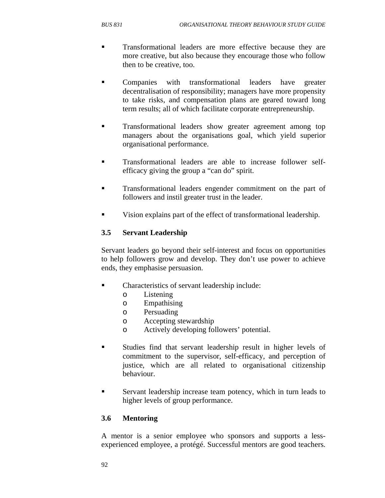- **Transformational leaders are more effective because they are** more creative, but also because they encourage those who follow then to be creative, too.
- Companies with transformational leaders have greater decentralisation of responsibility; managers have more propensity to take risks, and compensation plans are geared toward long term results; all of which facilitate corporate entrepreneurship.
- **Transformational leaders show greater agreement among top** managers about the organisations goal, which yield superior organisational performance.
- Transformational leaders are able to increase follower selfefficacy giving the group a "can do" spirit.
- Transformational leaders engender commitment on the part of followers and instil greater trust in the leader.
- Vision explains part of the effect of transformational leadership.

## **3.5 Servant Leadership**

Servant leaders go beyond their self-interest and focus on opportunities to help followers grow and develop. They don't use power to achieve ends, they emphasise persuasion.

- Characteristics of servant leadership include:
	- o Listening
	- o Empathising
	- o Persuading
	- o Accepting stewardship
	- o Actively developing followers' potential.
- Studies find that servant leadership result in higher levels of commitment to the supervisor, self-efficacy, and perception of justice, which are all related to organisational citizenship behaviour.
- Servant leadership increase team potency, which in turn leads to higher levels of group performance.

## **3.6 Mentoring**

A mentor is a senior employee who sponsors and supports a lessexperienced employee, a protégé. Successful mentors are good teachers.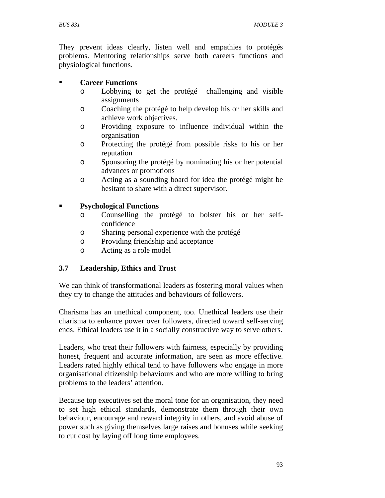They prevent ideas clearly, listen well and empathies to protégés problems. Mentoring relationships serve both careers functions and physiological functions.

## **Career Functions**

- o Lobbying to get the protégé challenging and visible assignments
- o Coaching the protégé to help develop his or her skills and achieve work objectives.
- o Providing exposure to influence individual within the organisation
- o Protecting the protégé from possible risks to his or her reputation
- o Sponsoring the protégé by nominating his or her potential advances or promotions
- o Acting as a sounding board for idea the protégé might be hesitant to share with a direct supervisor.

# **Psychological Functions**

- o Counselling the protégé to bolster his or her selfconfidence
- o Sharing personal experience with the protégé
- o Providing friendship and acceptance
- o Acting as a role model

# **3.7 Leadership, Ethics and Trust**

We can think of transformational leaders as fostering moral values when they try to change the attitudes and behaviours of followers.

Charisma has an unethical component, too. Unethical leaders use their charisma to enhance power over followers, directed toward self-serving ends. Ethical leaders use it in a socially constructive way to serve others.

Leaders, who treat their followers with fairness, especially by providing honest, frequent and accurate information, are seen as more effective. Leaders rated highly ethical tend to have followers who engage in more organisational citizenship behaviours and who are more willing to bring problems to the leaders' attention.

Because top executives set the moral tone for an organisation, they need to set high ethical standards, demonstrate them through their own behaviour, encourage and reward integrity in others, and avoid abuse of power such as giving themselves large raises and bonuses while seeking to cut cost by laying off long time employees.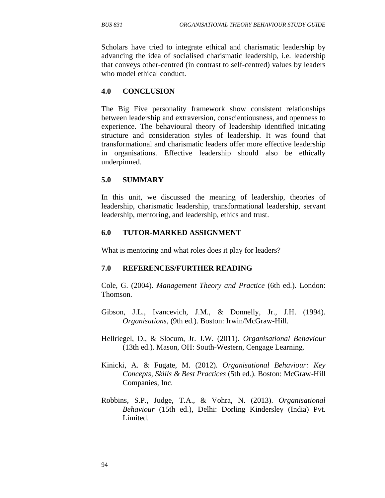Scholars have tried to integrate ethical and charismatic leadership by advancing the idea of socialised charismatic leadership, i.e. leadership that conveys other-centred (in contrast to self-centred) values by leaders who model ethical conduct.

#### **4.0 CONCLUSION**

The Big Five personality framework show consistent relationships between leadership and extraversion, conscientiousness, and openness to experience. The behavioural theory of leadership identified initiating structure and consideration styles of leadership. It was found that transformational and charismatic leaders offer more effective leadership in organisations. Effective leadership should also be ethically underpinned.

## **5.0 SUMMARY**

In this unit, we discussed the meaning of leadership, theories of leadership, charismatic leadership, transformational leadership, servant leadership, mentoring, and leadership, ethics and trust.

#### **6.0 TUTOR-MARKED ASSIGNMENT**

What is mentoring and what roles does it play for leaders?

#### **7.0 REFERENCES/FURTHER READING**

Cole, G. (2004). *Management Theory and Practice* (6th ed.). London: Thomson.

- Gibson, J.L., Ivancevich, J.M., & Donnelly, Jr., J.H. (1994). *Organisations*, (9th ed.). Boston: Irwin/McGraw-Hill.
- Hellriegel, D., & Slocum, Jr. J.W. (2011). *Organisational Behaviour* (13th ed.). Mason, OH: South-Western, Cengage Learning.
- Kinicki, A. & Fugate, M. (2012). *Organisational Behaviour: Key Concepts, Skills & Best Practices* (5th ed.). Boston: McGraw-Hill Companies, Inc.
- Robbins, S.P., Judge, T.A., & Vohra, N. (2013). *Organisational Behaviour* (15th ed.), Delhi: Dorling Kindersley (India) Pvt. Limited.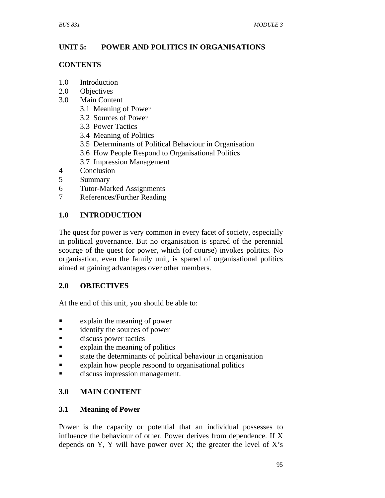## **UNIT 5: POWER AND POLITICS IN ORGANISATIONS**

### **CONTENTS**

- 1.0 Introduction
- 2.0 Objectives
- 3.0 Main Content
	- 3.1 Meaning of Power
	- 3.2 Sources of Power
	- 3.3 Power Tactics
	- 3.4 Meaning of Politics
	- 3.5 Determinants of Political Behaviour in Organisation
	- 3.6 How People Respond to Organisational Politics
	- 3.7 Impression Management
- 4 Conclusion
- 5 Summary
- 6 Tutor-Marked Assignments
- 7 References/Further Reading

## **1.0 INTRODUCTION**

The quest for power is very common in every facet of society, especially in political governance. But no organisation is spared of the perennial scourge of the quest for power, which (of course) invokes politics. No organisation, even the family unit, is spared of organisational politics aimed at gaining advantages over other members.

# **2.0 OBJECTIVES**

At the end of this unit, you should be able to:

- **Explain the meaning of power**
- **identify the sources of power**
- **discuss power tactics**
- explain the meaning of politics
- state the determinants of political behaviour in organisation
- explain how people respond to organisational politics
- discuss impression management.

# **3.0 MAIN CONTENT**

## **3.1 Meaning of Power**

Power is the capacity or potential that an individual possesses to influence the behaviour of other. Power derives from dependence. If X depends on Y, Y will have power over X; the greater the level of  $X$ 's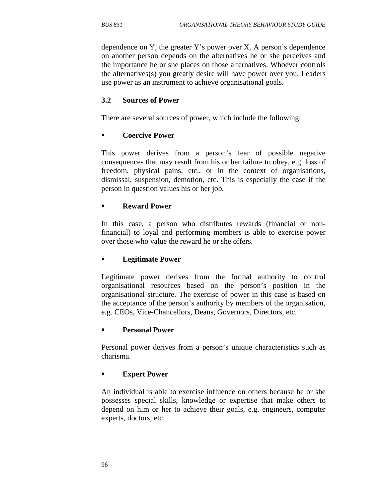dependence on Y, the greater Y's power over X. A person's dependence on another person depends on the alternatives he or she perceives and the importance he or she places on those alternatives. Whoever controls the alternatives(s) you greatly desire will have power over you. Leaders use power as an instrument to achieve organisational goals.

## **3.2 Sources of Power**

There are several sources of power, which include the following:

## **Coercive Power**

This power derives from a person's fear of possible negative consequences that may result from his or her failure to obey, e.g. loss of freedom, physical pains, etc., or in the context of organisations, dismissal, suspension, demotion, etc. This is especially the case if the person in question values his or her job.

## **Reward Power**

In this case, a person who distributes rewards (financial or nonfinancial) to loyal and performing members is able to exercise power over those who value the reward he or she offers.

## **Legitimate Power**

Legitimate power derives from the formal authority to control organisational resources based on the person's position in the organisational structure. The exercise of power in this case is based on the acceptance of the person's authority by members of the organisation, e.g. CEOs, Vice-Chancellors, Deans, Governors, Directors, etc.

#### **Personal Power**

Personal power derives from a person's unique characteristics such as charisma.

## **Expert Power**

An individual is able to exercise influence on others because he or she possesses special skills, knowledge or expertise that make others to depend on him or her to achieve their goals, e.g. engineers, computer experts, doctors, etc.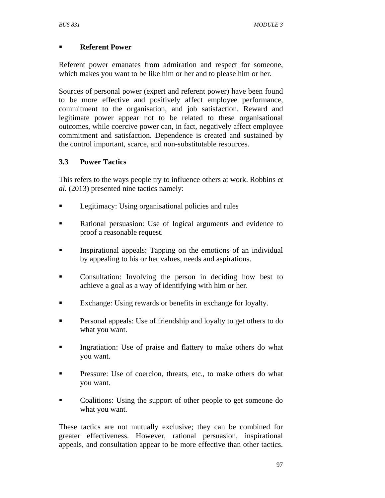## **Referent Power**

Referent power emanates from admiration and respect for someone, which makes you want to be like him or her and to please him or her.

Sources of personal power (expert and referent power) have been found to be more effective and positively affect employee performance, commitment to the organisation, and job satisfaction. Reward and legitimate power appear not to be related to these organisational outcomes, while coercive power can, in fact, negatively affect employee commitment and satisfaction. Dependence is created and sustained by the control important, scarce, and non-substitutable resources.

# **3.3 Power Tactics**

This refers to the ways people try to influence others at work. Robbins *et al.* (2013) presented nine tactics namely:

- **Legitimacy:** Using organisational policies and rules
- **Rational persuasion:** Use of logical arguments and evidence to proof a reasonable request.
- Inspirational appeals: Tapping on the emotions of an individual by appealing to his or her values, needs and aspirations.
- Consultation: Involving the person in deciding how best to achieve a goal as a way of identifying with him or her.
- Exchange: Using rewards or benefits in exchange for loyalty.
- Personal appeals: Use of friendship and loyalty to get others to do what you want.
- Ingratiation: Use of praise and flattery to make others do what you want.
- Pressure: Use of coercion, threats, etc., to make others do what you want.
- Coalitions: Using the support of other people to get someone do what you want.

These tactics are not mutually exclusive; they can be combined for greater effectiveness. However, rational persuasion, inspirational appeals, and consultation appear to be more effective than other tactics.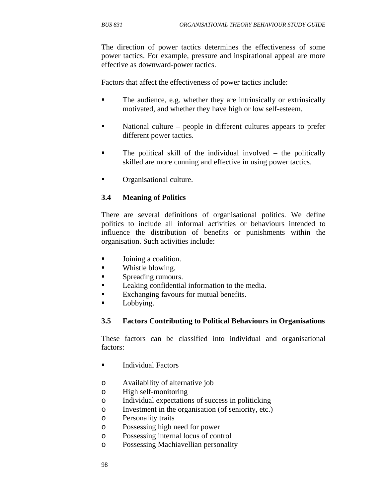The direction of power tactics determines the effectiveness of some power tactics. For example, pressure and inspirational appeal are more effective as downward-power tactics.

Factors that affect the effectiveness of power tactics include:

- The audience, e.g. whether they are intrinsically or extrinsically motivated, and whether they have high or low self-esteem.
- National culture people in different cultures appears to prefer different power tactics.
- The political skill of the individual involved the politically skilled are more cunning and effective in using power tactics.
- **•** Organisational culture.

## **3.4 Meaning of Politics**

There are several definitions of organisational politics. We define politics to include all informal activities or behaviours intended to influence the distribution of benefits or punishments within the organisation. Such activities include:

- **Joining a coalition.**
- **Network Whistle blowing.**
- **Spreading rumours.**
- **Leaking confidential information to the media.**
- Exchanging favours for mutual benefits.
- **Lobbying.**

#### **3.5 Factors Contributing to Political Behaviours in Organisations**

These factors can be classified into individual and organisational factors:

- **Individual Factors**
- o Availability of alternative job
- o High self-monitoring
- o Individual expectations of success in politicking
- o Investment in the organisation (of seniority, etc.)
- o Personality traits
- o Possessing high need for power
- o Possessing internal locus of control
- o Possessing Machiavellian personality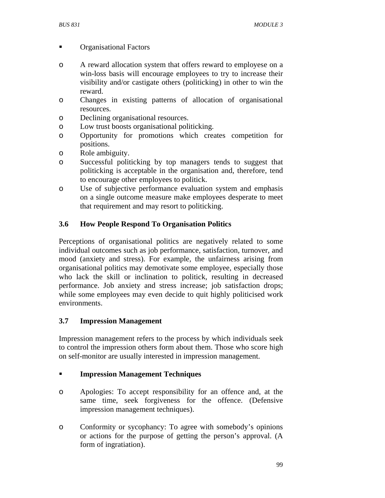- **Communister Communist Communist Communist Communist Communist Communist Communist Communist Communist Communist Communist Communist Communist Communist Communist Communist Communist Communist Communist Communist Communist**
- o A reward allocation system that offers reward to employese on a win-loss basis will encourage employees to try to increase their visibility and/or castigate others (politicking) in other to win the reward.
- o Changes in existing patterns of allocation of organisational resources.
- o Declining organisational resources.
- o Low trust boosts organisational politicking.
- o Opportunity for promotions which creates competition for positions.
- o Role ambiguity.
- o Successful politicking by top managers tends to suggest that politicking is acceptable in the organisation and, therefore, tend to encourage other employees to politick.
- o Use of subjective performance evaluation system and emphasis on a single outcome measure make employees desperate to meet that requirement and may resort to politicking.

# **3.6 How People Respond To Organisation Politics**

Perceptions of organisational politics are negatively related to some individual outcomes such as job performance, satisfaction, turnover, and mood (anxiety and stress). For example, the unfairness arising from organisational politics may demotivate some employee, especially those who lack the skill or inclination to politick, resulting in decreased performance. Job anxiety and stress increase; job satisfaction drops; while some employees may even decide to quit highly politicised work environments.

## **3.7 Impression Management**

Impression management refers to the process by which individuals seek to control the impression others form about them. Those who score high on self-monitor are usually interested in impression management.

## **Impression Management Techniques**

- o Apologies: To accept responsibility for an offence and, at the same time, seek forgiveness for the offence. (Defensive impression management techniques).
- o Conformity or sycophancy: To agree with somebody's opinions or actions for the purpose of getting the person's approval. (A form of ingratiation).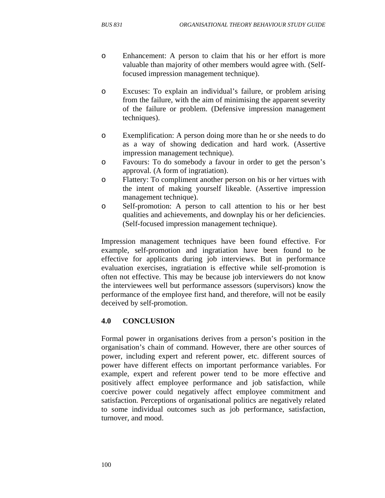- o Enhancement: A person to claim that his or her effort is more valuable than majority of other members would agree with. (Selffocused impression management technique).
- o Excuses: To explain an individual's failure, or problem arising from the failure, with the aim of minimising the apparent severity of the failure or problem. (Defensive impression management techniques).
- o Exemplification: A person doing more than he or she needs to do as a way of showing dedication and hard work. (Assertive impression management technique).
- o Favours: To do somebody a favour in order to get the person's approval. (A form of ingratiation).
- o Flattery: To compliment another person on his or her virtues with the intent of making yourself likeable. (Assertive impression management technique).
- o Self-promotion: A person to call attention to his or her best qualities and achievements, and downplay his or her deficiencies. (Self-focused impression management technique).

Impression management techniques have been found effective. For example, self-promotion and ingratiation have been found to be effective for applicants during job interviews. But in performance evaluation exercises, ingratiation is effective while self-promotion is often not effective. This may be because job interviewers do not know the interviewees well but performance assessors (supervisors) know the performance of the employee first hand, and therefore, will not be easily deceived by self-promotion.

## **4.0 CONCLUSION**

Formal power in organisations derives from a person's position in the organisation's chain of command. However, there are other sources of power, including expert and referent power, etc. different sources of power have different effects on important performance variables. For example, expert and referent power tend to be more effective and positively affect employee performance and job satisfaction, while coercive power could negatively affect employee commitment and satisfaction. Perceptions of organisational politics are negatively related to some individual outcomes such as job performance, satisfaction, turnover, and mood.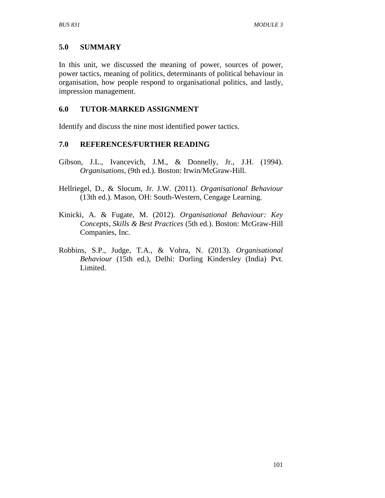# **5.0 SUMMARY**

In this unit, we discussed the meaning of power, sources of power, power tactics, meaning of politics, determinants of political behaviour in organisation, how people respond to organisational politics, and lastly, impression management.

## **6.0 TUTOR-MARKED ASSIGNMENT**

Identify and discuss the nine most identified power tactics.

### **7.0 REFERENCES/FURTHER READING**

- Gibson, J.L., Ivancevich, J.M., & Donnelly, Jr., J.H. (1994). *Organisations*, (9th ed.). Boston: Irwin/McGraw-Hill.
- Hellriegel, D., & Slocum, Jr. J.W. (2011). *Organisational Behaviour* (13th ed.). Mason, OH: South-Western, Cengage Learning.
- Kinicki, A. & Fugate, M. (2012). *Organisational Behaviour: Key Concepts, Skills & Best Practices* (5th ed.). Boston: McGraw-Hill Companies, Inc.
- Robbins, S.P., Judge, T.A., & Vohra, N. (2013). *Organisational Behaviour* (15th ed.), Delhi: Dorling Kindersley (India) Pvt. Limited.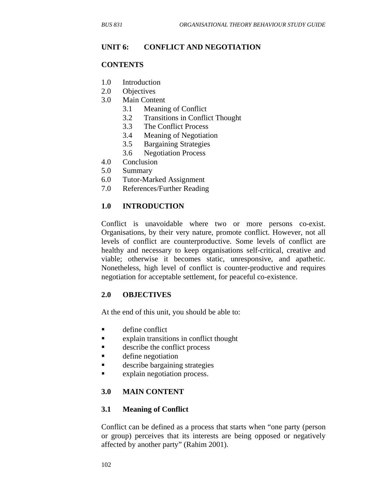#### **UNIT 6: CONFLICT AND NEGOTIATION**

#### **CONTENTS**

- 1.0 Introduction
- 2.0 Objectives
- 3.0 Main Content
	- 3.1 Meaning of Conflict
	- 3.2 Transitions in Conflict Thought
	- 3.3 The Conflict Process
	- 3.4 Meaning of Negotiation
	- 3.5 Bargaining Strategies
	- 3.6 Negotiation Process
- 4.0 Conclusion
- 5.0 Summary
- 6.0 Tutor-Marked Assignment
- 7.0 References/Further Reading

#### **1.0 INTRODUCTION**

Conflict is unavoidable where two or more persons co-exist. Organisations, by their very nature, promote conflict. However, not all levels of conflict are counterproductive. Some levels of conflict are healthy and necessary to keep organisations self-critical, creative and viable; otherwise it becomes static, unresponsive, and apathetic. Nonetheless, high level of conflict is counter-productive and requires negotiation for acceptable settlement, for peaceful co-existence.

#### **2.0 OBJECTIVES**

At the end of this unit, you should be able to:

- **define conflict**
- **Explain transitions in conflict thought**
- **describe the conflict process**
- **define negotiation**
- **describe bargaining strategies**
- **Explain negotiation process.**

#### **3.0 MAIN CONTENT**

#### **3.1 Meaning of Conflict**

Conflict can be defined as a process that starts when "one party (person or group) perceives that its interests are being opposed or negatively affected by another party" (Rahim 2001).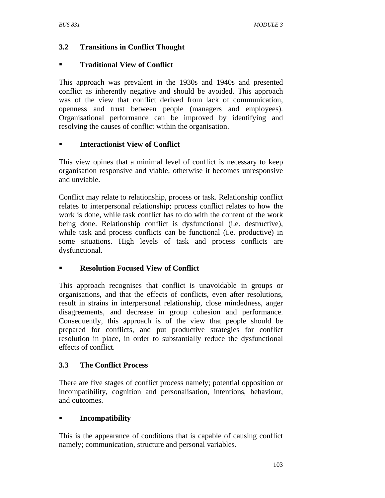# **3.2 Transitions in Conflict Thought**

## **Traditional View of Conflict**

This approach was prevalent in the 1930s and 1940s and presented conflict as inherently negative and should be avoided. This approach was of the view that conflict derived from lack of communication, openness and trust between people (managers and employees). Organisational performance can be improved by identifying and resolving the causes of conflict within the organisation.

## **Interactionist View of Conflict**

This view opines that a minimal level of conflict is necessary to keep organisation responsive and viable, otherwise it becomes unresponsive and unviable.

Conflict may relate to relationship, process or task. Relationship conflict relates to interpersonal relationship; process conflict relates to how the work is done, while task conflict has to do with the content of the work being done. Relationship conflict is dysfunctional (i.e. destructive), while task and process conflicts can be functional (i.e. productive) in some situations. High levels of task and process conflicts are dysfunctional.

### **Resolution Focused View of Conflict**

This approach recognises that conflict is unavoidable in groups or organisations, and that the effects of conflicts, even after resolutions, result in strains in interpersonal relationship, close mindedness, anger disagreements, and decrease in group cohesion and performance. Consequently, this approach is of the view that people should be prepared for conflicts, and put productive strategies for conflict resolution in place, in order to substantially reduce the dysfunctional effects of conflict.

### **3.3 The Conflict Process**

There are five stages of conflict process namely; potential opposition or incompatibility, cognition and personalisation, intentions, behaviour, and outcomes.

# **Incompatibility**

This is the appearance of conditions that is capable of causing conflict namely; communication, structure and personal variables.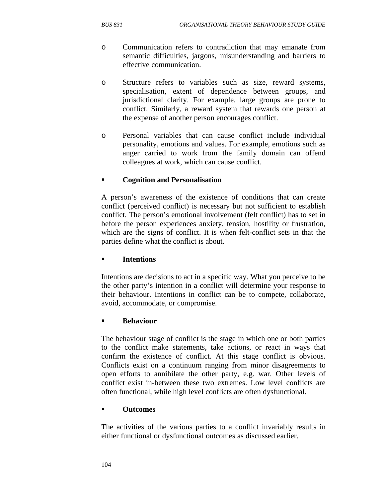- o Communication refers to contradiction that may emanate from semantic difficulties, jargons, misunderstanding and barriers to effective communication.
- o Structure refers to variables such as size, reward systems, specialisation, extent of dependence between groups, and jurisdictional clarity. For example, large groups are prone to conflict. Similarly, a reward system that rewards one person at the expense of another person encourages conflict.
- o Personal variables that can cause conflict include individual personality, emotions and values. For example, emotions such as anger carried to work from the family domain can offend colleagues at work, which can cause conflict.

### **Cognition and Personalisation**

A person's awareness of the existence of conditions that can create conflict (perceived conflict) is necessary but not sufficient to establish conflict. The person's emotional involvement (felt conflict) has to set in before the person experiences anxiety, tension, hostility or frustration, which are the signs of conflict. It is when felt-conflict sets in that the parties define what the conflict is about.

#### **Intentions**

Intentions are decisions to act in a specific way. What you perceive to be the other party's intention in a conflict will determine your response to their behaviour. Intentions in conflict can be to compete, collaborate, avoid, accommodate, or compromise.

#### **Behaviour**

The behaviour stage of conflict is the stage in which one or both parties to the conflict make statements, take actions, or react in ways that confirm the existence of conflict. At this stage conflict is obvious. Conflicts exist on a continuum ranging from minor disagreements to open efforts to annihilate the other party, e.g. war. Other levels of conflict exist in-between these two extremes. Low level conflicts are often functional, while high level conflicts are often dysfunctional.

#### **Outcomes**

The activities of the various parties to a conflict invariably results in either functional or dysfunctional outcomes as discussed earlier.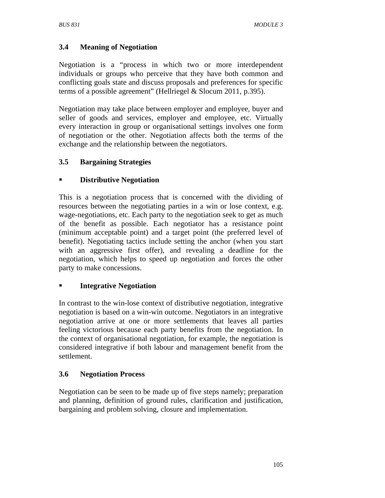# **3.4 Meaning of Negotiation**

Negotiation is a "process in which two or more interdependent individuals or groups who perceive that they have both common and conflicting goals state and discuss proposals and preferences for specific terms of a possible agreement" (Hellriegel & Slocum 2011, p.395).

Negotiation may take place between employer and employee, buyer and seller of goods and services, employer and employee, etc. Virtually every interaction in group or organisational settings involves one form of negotiation or the other. Negotiation affects both the terms of the exchange and the relationship between the negotiators.

# **3.5 Bargaining Strategies**

## **Distributive Negotiation**

This is a negotiation process that is concerned with the dividing of resources between the negotiating parties in a win or lose context, e.g. wage-negotiations, etc. Each party to the negotiation seek to get as much of the benefit as possible. Each negotiator has a resistance point (minimum acceptable point) and a target point (the preferred level of benefit). Negotiating tactics include setting the anchor (when you start with an aggressive first offer), and revealing a deadline for the negotiation, which helps to speed up negotiation and forces the other party to make concessions.

### **Integrative Negotiation**

In contrast to the win-lose context of distributive negotiation, integrative negotiation is based on a win-win outcome. Negotiators in an integrative negotiation arrive at one or more settlements that leaves all parties feeling victorious because each party benefits from the negotiation. In the context of organisational negotiation, for example, the negotiation is considered integrative if both labour and management benefit from the settlement.

### **3.6 Negotiation Process**

Negotiation can be seen to be made up of five steps namely; preparation and planning, definition of ground rules, clarification and justification, bargaining and problem solving, closure and implementation.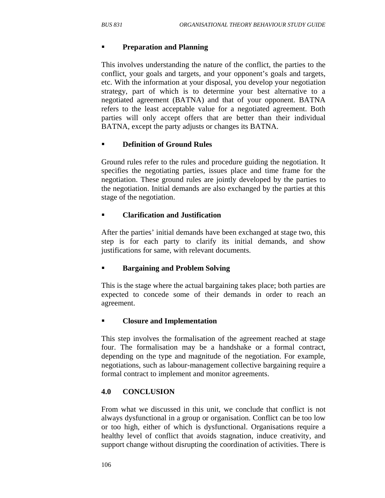#### **Preparation and Planning**

This involves understanding the nature of the conflict, the parties to the conflict, your goals and targets, and your opponent's goals and targets, etc. With the information at your disposal, you develop your negotiation strategy, part of which is to determine your best alternative to a negotiated agreement (BATNA) and that of your opponent. BATNA refers to the least acceptable value for a negotiated agreement. Both parties will only accept offers that are better than their individual BATNA, except the party adjusts or changes its BATNA.

### **Definition of Ground Rules**

Ground rules refer to the rules and procedure guiding the negotiation. It specifies the negotiating parties, issues place and time frame for the negotiation. These ground rules are jointly developed by the parties to the negotiation. Initial demands are also exchanged by the parties at this stage of the negotiation.

#### **Clarification and Justification**

After the parties' initial demands have been exchanged at stage two, this step is for each party to clarify its initial demands, and show justifications for same, with relevant documents.

#### **Bargaining and Problem Solving**

This is the stage where the actual bargaining takes place; both parties are expected to concede some of their demands in order to reach an agreement.

#### **Closure and Implementation**

This step involves the formalisation of the agreement reached at stage four. The formalisation may be a handshake or a formal contract, depending on the type and magnitude of the negotiation. For example, negotiations, such as labour-management collective bargaining require a formal contract to implement and monitor agreements.

#### **4.0 CONCLUSION**

From what we discussed in this unit, we conclude that conflict is not always dysfunctional in a group or organisation. Conflict can be too low or too high, either of which is dysfunctional. Organisations require a healthy level of conflict that avoids stagnation, induce creativity, and support change without disrupting the coordination of activities. There is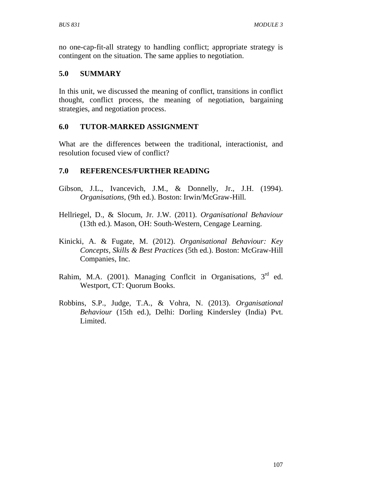no one-cap-fit-all strategy to handling conflict; appropriate strategy is contingent on the situation. The same applies to negotiation.

## **5.0 SUMMARY**

In this unit, we discussed the meaning of conflict, transitions in conflict thought, conflict process, the meaning of negotiation, bargaining strategies, and negotiation process.

## **6.0 TUTOR-MARKED ASSIGNMENT**

What are the differences between the traditional, interactionist, and resolution focused view of conflict?

# **7.0 REFERENCES/FURTHER READING**

- Gibson, J.L., Ivancevich, J.M., & Donnelly, Jr., J.H. (1994). *Organisations*, (9th ed.). Boston: Irwin/McGraw-Hill.
- Hellriegel, D., & Slocum, Jr. J.W. (2011). *Organisational Behaviour* (13th ed.). Mason, OH: South-Western, Cengage Learning.
- Kinicki, A. & Fugate, M. (2012). *Organisational Behaviour: Key Concepts, Skills & Best Practices* (5th ed.). Boston: McGraw-Hill Companies, Inc.
- Rahim, M.A. (2001). Managing Conflcit in Organisations, 3<sup>rd</sup> ed. Westport, CT: Quorum Books.
- Robbins, S.P., Judge, T.A., & Vohra, N. (2013). *Organisational Behaviour* (15th ed.), Delhi: Dorling Kindersley (India) Pvt. Limited.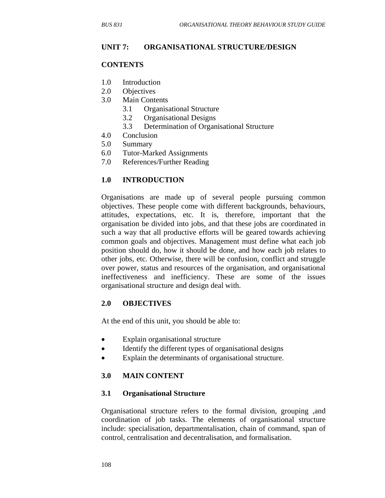#### **UNIT 7: ORGANISATIONAL STRUCTURE/DESIGN**

#### **CONTENTS**

- 1.0 Introduction
- 2.0 Objectives
- 3.0 Main Contents
	- 3.1 Organisational Structure
	- 3.2 Organisational Designs
	- 3.3 Determination of Organisational Structure
- 4.0 Conclusion
- 5.0 Summary
- 6.0 Tutor-Marked Assignments
- 7.0 References/Further Reading

#### **1.0 INTRODUCTION**

Organisations are made up of several people pursuing common objectives. These people come with different backgrounds, behaviours, attitudes, expectations, etc. It is, therefore, important that the organisation be divided into jobs, and that these jobs are coordinated in such a way that all productive efforts will be geared towards achieving common goals and objectives. Management must define what each job position should do, how it should be done, and how each job relates to other jobs, etc. Otherwise, there will be confusion, conflict and struggle over power, status and resources of the organisation, and organisational ineffectiveness and inefficiency. These are some of the issues organisational structure and design deal with.

#### **2.0 OBJECTIVES**

At the end of this unit, you should be able to:

- Explain organisational structure
- Identify the different types of organisational designs
- Explain the determinants of organisational structure.

#### **3.0 MAIN CONTENT**

#### **3.1 Organisational Structure**

Organisational structure refers to the formal division, grouping ,and coordination of job tasks. The elements of organisational structure include: specialisation, departmentalisation, chain of command, span of control, centralisation and decentralisation, and formalisation.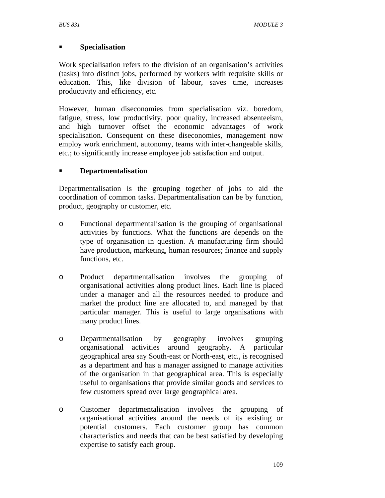### **Specialisation**

Work specialisation refers to the division of an organisation's activities (tasks) into distinct jobs, performed by workers with requisite skills or education. This, like division of labour, saves time, increases productivity and efficiency, etc.

However, human diseconomies from specialisation viz. boredom, fatigue, stress, low productivity, poor quality, increased absenteeism, and high turnover offset the economic advantages of work specialisation. Consequent on these diseconomies, management now employ work enrichment, autonomy, teams with inter-changeable skills, etc.; to significantly increase employee job satisfaction and output.

## **Departmentalisation**

Departmentalisation is the grouping together of jobs to aid the coordination of common tasks. Departmentalisation can be by function, product, geography or customer, etc.

- o Functional departmentalisation is the grouping of organisational activities by functions. What the functions are depends on the type of organisation in question. A manufacturing firm should have production, marketing, human resources; finance and supply functions, etc.
- o Product departmentalisation involves the grouping of organisational activities along product lines. Each line is placed under a manager and all the resources needed to produce and market the product line are allocated to, and managed by that particular manager. This is useful to large organisations with many product lines.
- o Departmentalisation by geography involves grouping organisational activities around geography. A particular geographical area say South-east or North-east, etc., is recognised as a department and has a manager assigned to manage activities of the organisation in that geographical area. This is especially useful to organisations that provide similar goods and services to few customers spread over large geographical area.
- o Customer departmentalisation involves the grouping of organisational activities around the needs of its existing or potential customers. Each customer group has common characteristics and needs that can be best satisfied by developing expertise to satisfy each group.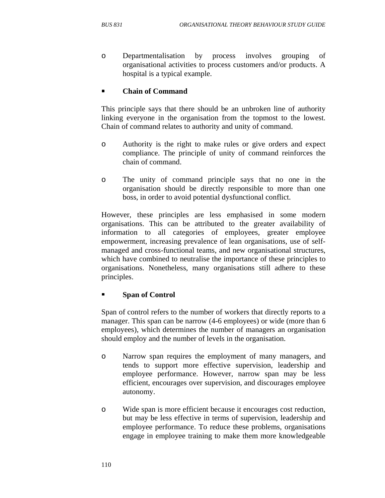o Departmentalisation by process involves grouping of organisational activities to process customers and/or products. A hospital is a typical example.

### **Chain of Command**

This principle says that there should be an unbroken line of authority linking everyone in the organisation from the topmost to the lowest. Chain of command relates to authority and unity of command.

- o Authority is the right to make rules or give orders and expect compliance. The principle of unity of command reinforces the chain of command.
- o The unity of command principle says that no one in the organisation should be directly responsible to more than one boss, in order to avoid potential dysfunctional conflict.

However, these principles are less emphasised in some modern organisations. This can be attributed to the greater availability of information to all categories of employees, greater employee empowerment, increasing prevalence of lean organisations, use of selfmanaged and cross-functional teams, and new organisational structures, which have combined to neutralise the importance of these principles to organisations. Nonetheless, many organisations still adhere to these principles.

#### **Span of Control**

Span of control refers to the number of workers that directly reports to a manager. This span can be narrow (4-6 employees) or wide (more than 6 employees), which determines the number of managers an organisation should employ and the number of levels in the organisation.

- o Narrow span requires the employment of many managers, and tends to support more effective supervision, leadership and employee performance. However, narrow span may be less efficient, encourages over supervision, and discourages employee autonomy.
- o Wide span is more efficient because it encourages cost reduction, but may be less effective in terms of supervision, leadership and employee performance. To reduce these problems, organisations engage in employee training to make them more knowledgeable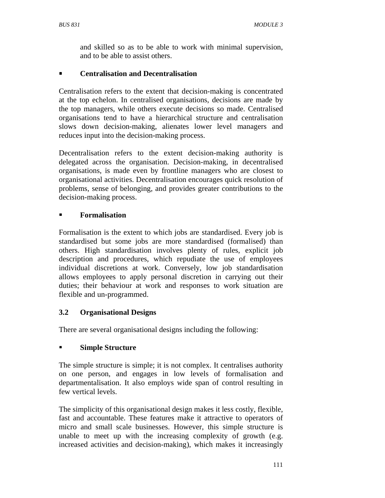and skilled so as to be able to work with minimal supervision, and to be able to assist others.

## **Centralisation and Decentralisation**

Centralisation refers to the extent that decision-making is concentrated at the top echelon. In centralised organisations, decisions are made by the top managers, while others execute decisions so made. Centralised organisations tend to have a hierarchical structure and centralisation slows down decision-making, alienates lower level managers and reduces input into the decision-making process.

Decentralisation refers to the extent decision-making authority is delegated across the organisation. Decision-making, in decentralised organisations, is made even by frontline managers who are closest to organisational activities. Decentralisation encourages quick resolution of problems, sense of belonging, and provides greater contributions to the decision-making process.

## **Formalisation**

Formalisation is the extent to which jobs are standardised. Every job is standardised but some jobs are more standardised (formalised) than others. High standardisation involves plenty of rules, explicit job description and procedures, which repudiate the use of employees individual discretions at work. Conversely, low job standardisation allows employees to apply personal discretion in carrying out their duties; their behaviour at work and responses to work situation are flexible and un-programmed.

# **3.2 Organisational Designs**

There are several organisational designs including the following:

# **Simple Structure**

The simple structure is simple; it is not complex. It centralises authority on one person, and engages in low levels of formalisation and departmentalisation. It also employs wide span of control resulting in few vertical levels.

The simplicity of this organisational design makes it less costly, flexible, fast and accountable. These features make it attractive to operators of micro and small scale businesses. However, this simple structure is unable to meet up with the increasing complexity of growth (e.g. increased activities and decision-making), which makes it increasingly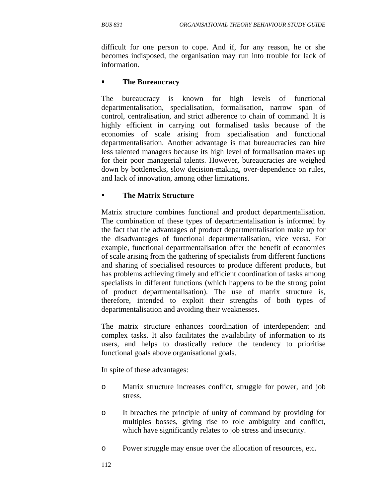difficult for one person to cope. And if, for any reason, he or she becomes indisposed, the organisation may run into trouble for lack of information.

#### **The Bureaucracy**

The bureaucracy is known for high levels of functional departmentalisation, specialisation, formalisation, narrow span of control, centralisation, and strict adherence to chain of command. It is highly efficient in carrying out formalised tasks because of the economies of scale arising from specialisation and functional departmentalisation. Another advantage is that bureaucracies can hire less talented managers because its high level of formalisation makes up for their poor managerial talents. However, bureaucracies are weighed down by bottlenecks, slow decision-making, over-dependence on rules, and lack of innovation, among other limitations.

### **The Matrix Structure**

Matrix structure combines functional and product departmentalisation. The combination of these types of departmentalisation is informed by the fact that the advantages of product departmentalisation make up for the disadvantages of functional departmentalisation, vice versa. For example, functional departmentalisation offer the benefit of economies of scale arising from the gathering of specialists from different functions and sharing of specialised resources to produce different products, but has problems achieving timely and efficient coordination of tasks among specialists in different functions (which happens to be the strong point of product departmentalisation). The use of matrix structure is, therefore, intended to exploit their strengths of both types of departmentalisation and avoiding their weaknesses.

The matrix structure enhances coordination of interdependent and complex tasks. It also facilitates the availability of information to its users, and helps to drastically reduce the tendency to prioritise functional goals above organisational goals.

In spite of these advantages:

- o Matrix structure increases conflict, struggle for power, and job stress.
- o It breaches the principle of unity of command by providing for multiples bosses, giving rise to role ambiguity and conflict, which have significantly relates to job stress and insecurity.
- o Power struggle may ensue over the allocation of resources, etc.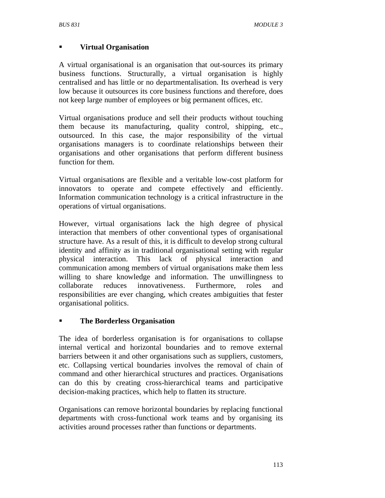## **Virtual Organisation**

A virtual organisational is an organisation that out-sources its primary business functions. Structurally, a virtual organisation is highly centralised and has little or no departmentalisation. Its overhead is very low because it outsources its core business functions and therefore, does not keep large number of employees or big permanent offices, etc.

Virtual organisations produce and sell their products without touching them because its manufacturing, quality control, shipping, etc., outsourced. In this case, the major responsibility of the virtual organisations managers is to coordinate relationships between their organisations and other organisations that perform different business function for them.

Virtual organisations are flexible and a veritable low-cost platform for innovators to operate and compete effectively and efficiently. Information communication technology is a critical infrastructure in the operations of virtual organisations.

However, virtual organisations lack the high degree of physical interaction that members of other conventional types of organisational structure have. As a result of this, it is difficult to develop strong cultural identity and affinity as in traditional organisational setting with regular physical interaction. This lack of physical interaction and communication among members of virtual organisations make them less willing to share knowledge and information. The unwillingness to collaborate reduces innovativeness. Furthermore, roles and responsibilities are ever changing, which creates ambiguities that fester organisational politics.

### **The Borderless Organisation**

The idea of borderless organisation is for organisations to collapse internal vertical and horizontal boundaries and to remove external barriers between it and other organisations such as suppliers, customers, etc. Collapsing vertical boundaries involves the removal of chain of command and other hierarchical structures and practices. Organisations can do this by creating cross-hierarchical teams and participative decision-making practices, which help to flatten its structure.

Organisations can remove horizontal boundaries by replacing functional departments with cross-functional work teams and by organising its activities around processes rather than functions or departments.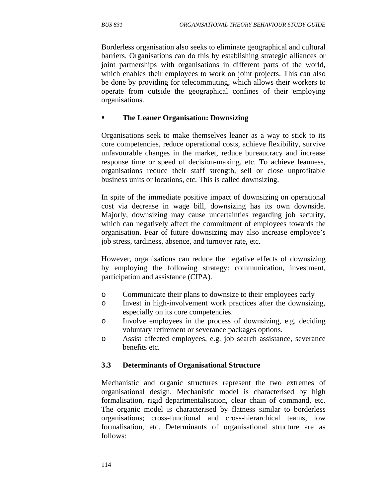Borderless organisation also seeks to eliminate geographical and cultural barriers. Organisations can do this by establishing strategic alliances or joint partnerships with organisations in different parts of the world, which enables their employees to work on joint projects. This can also be done by providing for telecommuting, which allows their workers to operate from outside the geographical confines of their employing organisations.

#### **The Leaner Organisation: Downsizing**

Organisations seek to make themselves leaner as a way to stick to its core competencies, reduce operational costs, achieve flexibility, survive unfavourable changes in the market, reduce bureaucracy and increase response time or speed of decision-making, etc. To achieve leanness, organisations reduce their staff strength, sell or close unprofitable business units or locations, etc. This is called downsizing.

In spite of the immediate positive impact of downsizing on operational cost via decrease in wage bill, downsizing has its own downside. Majorly, downsizing may cause uncertainties regarding job security, which can negatively affect the commitment of employees towards the organisation. Fear of future downsizing may also increase employee's job stress, tardiness, absence, and turnover rate, etc.

However, organisations can reduce the negative effects of downsizing by employing the following strategy: communication, investment, participation and assistance (CIPA).

- o Communicate their plans to downsize to their employees early
- o Invest in high-involvement work practices after the downsizing, especially on its core competencies.
- o Involve employees in the process of downsizing, e.g. deciding voluntary retirement or severance packages options.
- o Assist affected employees, e.g. job search assistance, severance benefits etc.

### **3.3 Determinants of Organisational Structure**

Mechanistic and organic structures represent the two extremes of organisational design. Mechanistic model is characterised by high formalisation, rigid departmentalisation, clear chain of command, etc. The organic model is characterised by flatness similar to borderless organisations; cross-functional and cross-hierarchical teams, low formalisation, etc. Determinants of organisational structure are as follows: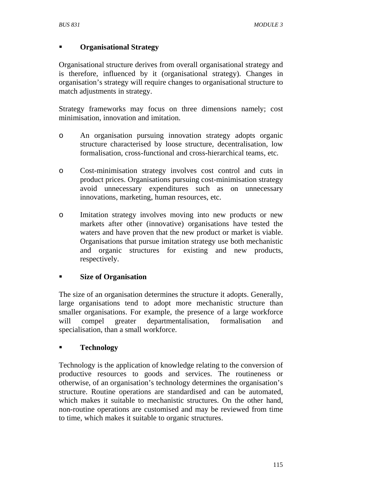## **Organisational Strategy**

Organisational structure derives from overall organisational strategy and is therefore, influenced by it (organisational strategy). Changes in organisation's strategy will require changes to organisational structure to match adjustments in strategy.

Strategy frameworks may focus on three dimensions namely; cost minimisation, innovation and imitation.

- o An organisation pursuing innovation strategy adopts organic structure characterised by loose structure, decentralisation, low formalisation, cross-functional and cross-hierarchical teams, etc.
- o Cost-minimisation strategy involves cost control and cuts in product prices. Organisations pursuing cost-minimisation strategy avoid unnecessary expenditures such as on unnecessary innovations, marketing, human resources, etc.
- o Imitation strategy involves moving into new products or new markets after other (innovative) organisations have tested the waters and have proven that the new product or market is viable. Organisations that pursue imitation strategy use both mechanistic and organic structures for existing and new products, respectively.

### **Size of Organisation**

The size of an organisation determines the structure it adopts. Generally, large organisations tend to adopt more mechanistic structure than smaller organisations. For example, the presence of a large workforce will compel greater departmentalisation, formalisation and specialisation, than a small workforce.

# **Technology**

Technology is the application of knowledge relating to the conversion of productive resources to goods and services. The routineness or otherwise, of an organisation's technology determines the organisation's structure. Routine operations are standardised and can be automated, which makes it suitable to mechanistic structures. On the other hand, non-routine operations are customised and may be reviewed from time to time, which makes it suitable to organic structures.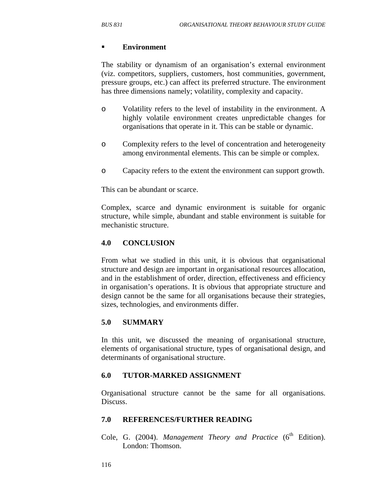#### **Environment**

The stability or dynamism of an organisation's external environment (viz. competitors, suppliers, customers, host communities, government, pressure groups, etc.) can affect its preferred structure. The environment has three dimensions namely; volatility, complexity and capacity.

- o Volatility refers to the level of instability in the environment. A highly volatile environment creates unpredictable changes for organisations that operate in it. This can be stable or dynamic.
- o Complexity refers to the level of concentration and heterogeneity among environmental elements. This can be simple or complex.
- o Capacity refers to the extent the environment can support growth.

This can be abundant or scarce.

Complex, scarce and dynamic environment is suitable for organic structure, while simple, abundant and stable environment is suitable for mechanistic structure.

#### **4.0 CONCLUSION**

From what we studied in this unit, it is obvious that organisational structure and design are important in organisational resources allocation, and in the establishment of order, direction, effectiveness and efficiency in organisation's operations. It is obvious that appropriate structure and design cannot be the same for all organisations because their strategies, sizes, technologies, and environments differ.

#### **5.0 SUMMARY**

In this unit, we discussed the meaning of organisational structure, elements of organisational structure, types of organisational design, and determinants of organisational structure.

#### **6.0 TUTOR-MARKED ASSIGNMENT**

Organisational structure cannot be the same for all organisations. Discuss.

#### **7.0 REFERENCES/FURTHER READING**

Cole, G. (2004). *Management Theory and Practice* (6<sup>th</sup> Edition). London: Thomson.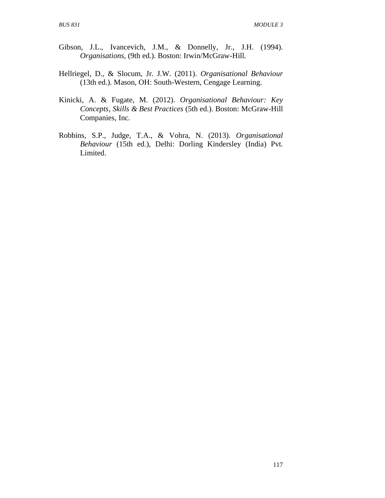- Gibson, J.L., Ivancevich, J.M., & Donnelly, Jr., J.H. (1994). *Organisations*, (9th ed.). Boston: Irwin/McGraw-Hill.
- Hellriegel, D., & Slocum, Jr. J.W. (2011). *Organisational Behaviour* (13th ed.). Mason, OH: South-Western, Cengage Learning.
- Kinicki, A. & Fugate, M. (2012). *Organisational Behaviour: Key Concepts, Skills & Best Practices* (5th ed.). Boston: McGraw-Hill Companies, Inc.
- Robbins, S.P., Judge, T.A., & Vohra, N. (2013). *Organisational Behaviour* (15th ed.), Delhi: Dorling Kindersley (India) Pvt. Limited.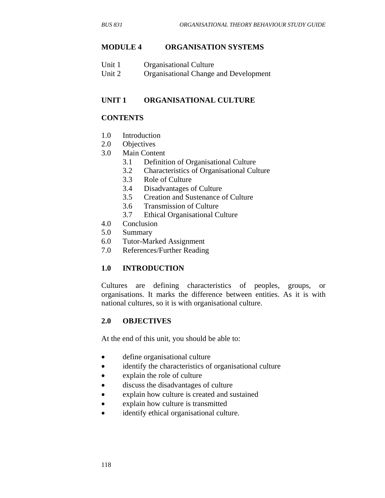### **MODULE 4 ORGANISATION SYSTEMS**

| Unit 1 | <b>Organisational Culture</b>         |
|--------|---------------------------------------|
| Unit 2 | Organisational Change and Development |

## **UNIT 1 ORGANISATIONAL CULTURE**

## **CONTENTS**

- 1.0 Introduction
- 2.0 Objectives
- 3.0 Main Content
	- 3.1 Definition of Organisational Culture
	- 3.2 Characteristics of Organisational Culture
	- 3.3 Role of Culture
	- 3.4 Disadvantages of Culture
	- 3.5 Creation and Sustenance of Culture
	- 3.6 Transmission of Culture
	- 3.7 Ethical Organisational Culture
- 4.0 Conclusion
- 5.0 Summary
- 6.0 Tutor-Marked Assignment
- 7.0 References/Further Reading

### **1.0 INTRODUCTION**

Cultures are defining characteristics of peoples, groups, or organisations. It marks the difference between entities. As it is with national cultures, so it is with organisational culture.

### **2.0 OBJECTIVES**

At the end of this unit, you should be able to:

- define organisational culture
- identify the characteristics of organisational culture
- explain the role of culture
- discuss the disadvantages of culture
- explain how culture is created and sustained
- explain how culture is transmitted
- identify ethical organisational culture.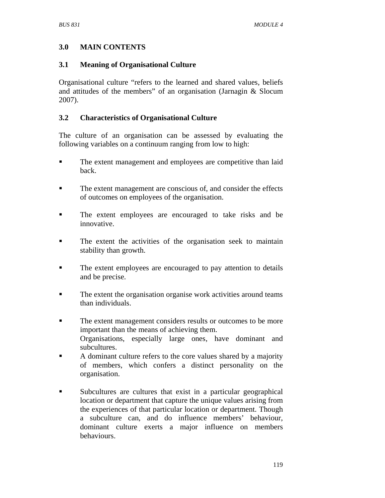# **3.0 MAIN CONTENTS**

## **3.1 Meaning of Organisational Culture**

Organisational culture "refers to the learned and shared values, beliefs and attitudes of the members" of an organisation (Jarnagin & Slocum 2007).

# **3.2 Characteristics of Organisational Culture**

The culture of an organisation can be assessed by evaluating the following variables on a continuum ranging from low to high:

- The extent management and employees are competitive than laid back.
- The extent management are conscious of, and consider the effects of outcomes on employees of the organisation.
- The extent employees are encouraged to take risks and be innovative.
- The extent the activities of the organisation seek to maintain stability than growth.
- The extent employees are encouraged to pay attention to details and be precise.
- The extent the organisation organise work activities around teams than individuals.
- The extent management considers results or outcomes to be more important than the means of achieving them. Organisations, especially large ones, have dominant and subcultures.
- A dominant culture refers to the core values shared by a majority of members, which confers a distinct personality on the organisation.
- Subcultures are cultures that exist in a particular geographical location or department that capture the unique values arising from the experiences of that particular location or department. Though a subculture can, and do influence members' behaviour, dominant culture exerts a major influence on members behaviours.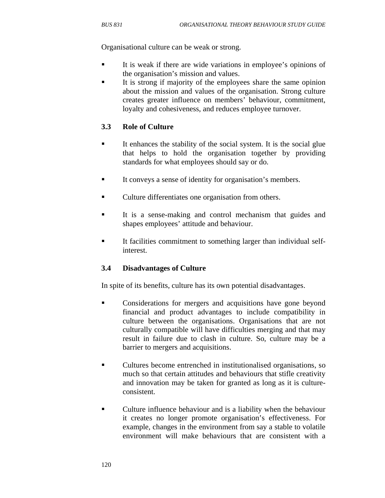Organisational culture can be weak or strong.

- It is weak if there are wide variations in employee's opinions of the organisation's mission and values.
- It is strong if majority of the employees share the same opinion about the mission and values of the organisation. Strong culture creates greater influence on members' behaviour, commitment, loyalty and cohesiveness, and reduces employee turnover.

### **3.3 Role of Culture**

- It enhances the stability of the social system. It is the social glue that helps to hold the organisation together by providing standards for what employees should say or do.
- It conveys a sense of identity for organisation's members.
- **•** Culture differentiates one organisation from others.
- It is a sense-making and control mechanism that guides and shapes employees' attitude and behaviour.
- It facilities commitment to something larger than individual selfinterest.

### **3.4 Disadvantages of Culture**

In spite of its benefits, culture has its own potential disadvantages.

- Considerations for mergers and acquisitions have gone beyond financial and product advantages to include compatibility in culture between the organisations. Organisations that are not culturally compatible will have difficulties merging and that may result in failure due to clash in culture. So, culture may be a barrier to mergers and acquisitions.
- Cultures become entrenched in institutionalised organisations, so much so that certain attitudes and behaviours that stifle creativity and innovation may be taken for granted as long as it is cultureconsistent.
- Culture influence behaviour and is a liability when the behaviour it creates no longer promote organisation's effectiveness. For example, changes in the environment from say a stable to volatile environment will make behaviours that are consistent with a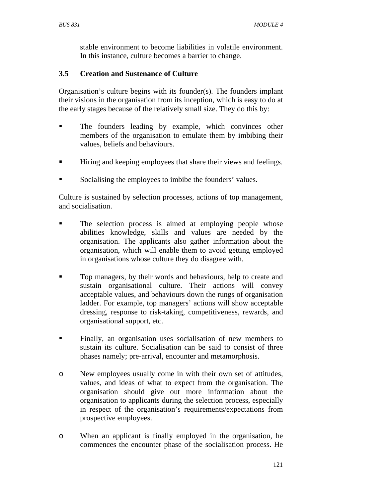stable environment to become liabilities in volatile environment. In this instance, culture becomes a barrier to change.

## **3.5 Creation and Sustenance of Culture**

Organisation's culture begins with its founder(s). The founders implant their visions in the organisation from its inception, which is easy to do at the early stages because of the relatively small size. They do this by:

- **The founders leading by example, which convinces other** members of the organisation to emulate them by imbibing their values, beliefs and behaviours.
- Hiring and keeping employees that share their views and feelings.
- Socialising the employees to imbibe the founders' values.

Culture is sustained by selection processes, actions of top management, and socialisation.

- **The selection process is aimed at employing people whose** abilities knowledge, skills and values are needed by the organisation. The applicants also gather information about the organisation, which will enable them to avoid getting employed in organisations whose culture they do disagree with.
- Top managers, by their words and behaviours, help to create and sustain organisational culture. Their actions will convey acceptable values, and behaviours down the rungs of organisation ladder. For example, top managers' actions will show acceptable dressing, response to risk-taking, competitiveness, rewards, and organisational support, etc.
- **Finally, an organisation uses socialisation of new members to** sustain its culture. Socialisation can be said to consist of three phases namely; pre-arrival, encounter and metamorphosis.
- o New employees usually come in with their own set of attitudes, values, and ideas of what to expect from the organisation. The organisation should give out more information about the organisation to applicants during the selection process, especially in respect of the organisation's requirements/expectations from prospective employees.
- o When an applicant is finally employed in the organisation, he commences the encounter phase of the socialisation process. He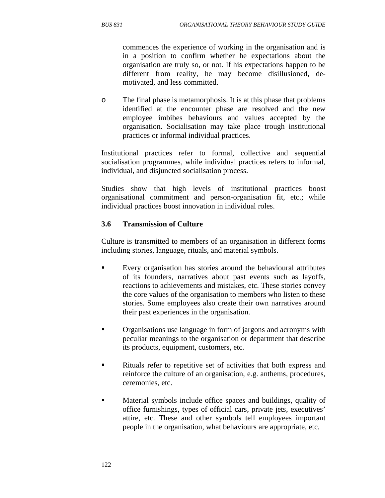commences the experience of working in the organisation and is in a position to confirm whether he expectations about the organisation are truly so, or not. If his expectations happen to be different from reality, he may become disillusioned, demotivated, and less committed.

o The final phase is metamorphosis. It is at this phase that problems identified at the encounter phase are resolved and the new employee imbibes behaviours and values accepted by the organisation. Socialisation may take place trough institutional practices or informal individual practices.

Institutional practices refer to formal, collective and sequential socialisation programmes, while individual practices refers to informal, individual, and disjuncted socialisation process.

Studies show that high levels of institutional practices boost organisational commitment and person-organisation fit, etc.; while individual practices boost innovation in individual roles.

### **3.6 Transmission of Culture**

Culture is transmitted to members of an organisation in different forms including stories, language, rituals, and material symbols.

- Every organisation has stories around the behavioural attributes of its founders, narratives about past events such as layoffs, reactions to achievements and mistakes, etc. These stories convey the core values of the organisation to members who listen to these stories. Some employees also create their own narratives around their past experiences in the organisation.
- Organisations use language in form of jargons and acronyms with peculiar meanings to the organisation or department that describe its products, equipment, customers, etc.
- Rituals refer to repetitive set of activities that both express and reinforce the culture of an organisation, e.g. anthems, procedures, ceremonies, etc.
- Material symbols include office spaces and buildings, quality of office furnishings, types of official cars, private jets, executives' attire, etc. These and other symbols tell employees important people in the organisation, what behaviours are appropriate, etc.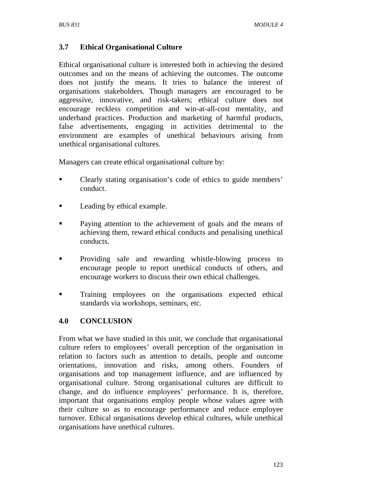## **3.7 Ethical Organisational Culture**

Ethical organisational culture is interested both in achieving the desired outcomes and on the means of achieving the outcomes. The outcome does not justify the means. It tries to balance the interest of organisations stakeholders. Though managers are encouraged to be aggressive, innovative, and risk-takers; ethical culture does not encourage reckless competition and win-at-all-cost mentality, and underhand practices. Production and marketing of harmful products, false advertisements, engaging in activities detrimental to the environment are examples of unethical behaviours arising from unethical organisational cultures.

Managers can create ethical organisational culture by:

- Clearly stating organisation's code of ethics to guide members' conduct.
- **Leading by ethical example.**
- Paying attention to the achievement of goals and the means of achieving them, reward ethical conducts and penalising unethical conducts.
- **Providing safe and rewarding whistle-blowing process to** encourage people to report unethical conducts of others, and encourage workers to discuss their own ethical challenges.
- Training employees on the organisations expected ethical standards via workshops, seminars, etc.

### **4.0 CONCLUSION**

From what we have studied in this unit, we conclude that organisational culture refers to employees' overall perception of the organisation in relation to factors such as attention to details, people and outcome orientations, innovation and risks, among others. Founders of organisations and top management influence, and are influenced by organisational culture. Strong organisational cultures are difficult to change, and do influence employees' performance. It is, therefore, important that organisations employ people whose values agree with their culture so as to encourage performance and reduce employee turnover. Ethical organisations develop ethical cultures, while unethical organisations have unethical cultures.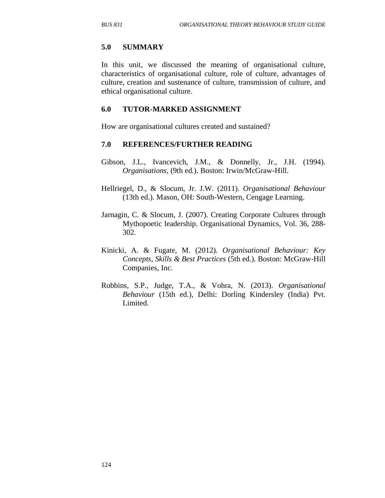#### **5.0 SUMMARY**

In this unit, we discussed the meaning of organisational culture, characteristics of organisational culture, role of culture, advantages of culture, creation and sustenance of culture, transmission of culture, and ethical organisational culture.

#### **6.0 TUTOR-MARKED ASSIGNMENT**

How are organisational cultures created and sustained?

#### **7.0 REFERENCES/FURTHER READING**

- Gibson, J.L., Ivancevich, J.M., & Donnelly, Jr., J.H. (1994). *Organisations*, (9th ed.). Boston: Irwin/McGraw-Hill.
- Hellriegel, D., & Slocum, Jr. J.W. (2011). *Organisational Behaviour* (13th ed.). Mason, OH: South-Western, Cengage Learning.
- Jarnagin, C. & Slocum, J. (2007). Creating Corporate Cultures through Mythopoetic leadership. Organisational Dynamics, Vol. 36, 288- 302.
- Kinicki, A. & Fugate, M. (2012). *Organisational Behaviour: Key Concepts, Skills & Best Practices* (5th ed.). Boston: McGraw-Hill Companies, Inc.
- Robbins, S.P., Judge, T.A., & Vohra, N. (2013). *Organisational Behaviour* (15th ed.), Delhi: Dorling Kindersley (India) Pvt. Limited.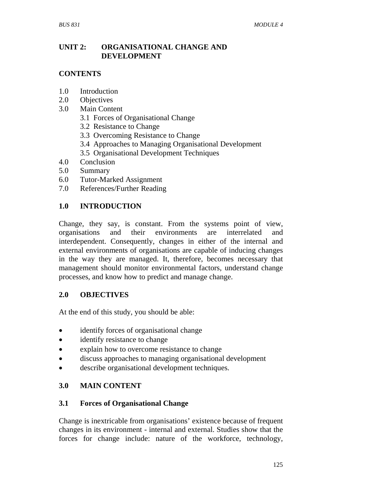## **UNIT 2: ORGANISATIONAL CHANGE AND DEVELOPMENT**

## **CONTENTS**

- 1.0 Introduction
- 2.0 Objectives
- 3.0 Main Content
	- 3.1 Forces of Organisational Change
	- 3.2 Resistance to Change
	- 3.3 Overcoming Resistance to Change
	- 3.4 Approaches to Managing Organisational Development
	- 3.5 Organisational Development Techniques
- 4.0 Conclusion
- 5.0 Summary
- 6.0 Tutor-Marked Assignment
- 7.0 References/Further Reading

## **1.0 INTRODUCTION**

Change, they say, is constant. From the systems point of view, organisations and their environments are interrelated and interdependent. Consequently, changes in either of the internal and external environments of organisations are capable of inducing changes in the way they are managed. It, therefore, becomes necessary that management should monitor environmental factors, understand change processes, and know how to predict and manage change.

# **2.0 OBJECTIVES**

At the end of this study, you should be able:

- identify forces of organisational change
- identify resistance to change
- explain how to overcome resistance to change
- discuss approaches to managing organisational development
- describe organisational development techniques.

# **3.0 MAIN CONTENT**

### **3.1 Forces of Organisational Change**

Change is inextricable from organisations' existence because of frequent changes in its environment - internal and external. Studies show that the forces for change include: nature of the workforce, technology,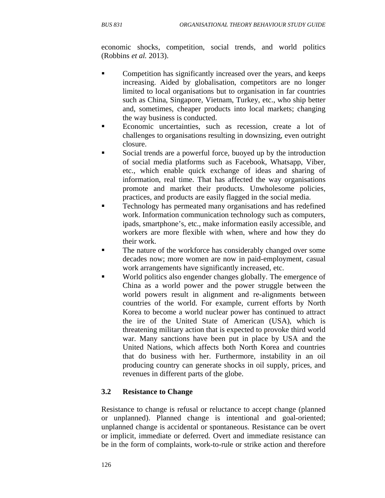economic shocks, competition, social trends, and world politics (Robbins *et al.* 2013).

- Competition has significantly increased over the years, and keeps increasing. Aided by globalisation, competitors are no longer limited to local organisations but to organisation in far countries such as China, Singapore, Vietnam, Turkey, etc., who ship better and, sometimes, cheaper products into local markets; changing the way business is conducted.
- Economic uncertainties, such as recession, create a lot of challenges to organisations resulting in downsizing, even outright closure.
- Social trends are a powerful force, buoyed up by the introduction of social media platforms such as Facebook, Whatsapp, Viber, etc., which enable quick exchange of ideas and sharing of information, real time. That has affected the way organisations promote and market their products. Unwholesome policies, practices, and products are easily flagged in the social media.
- Technology has permeated many organisations and has redefined work. Information communication technology such as computers, ipads, smartphone's, etc., make information easily accessible, and workers are more flexible with when, where and how they do their work.
- The nature of the workforce has considerably changed over some decades now; more women are now in paid-employment, casual work arrangements have significantly increased, etc.
- World politics also engender changes globally. The emergence of China as a world power and the power struggle between the world powers result in alignment and re-alignments between countries of the world. For example, current efforts by North Korea to become a world nuclear power has continued to attract the ire of the United State of American (USA), which is threatening military action that is expected to provoke third world war. Many sanctions have been put in place by USA and the United Nations, which affects both North Korea and countries that do business with her. Furthermore, instability in an oil producing country can generate shocks in oil supply, prices, and revenues in different parts of the globe.

# **3.2 Resistance to Change**

Resistance to change is refusal or reluctance to accept change (planned or unplanned). Planned change is intentional and goal-oriented; unplanned change is accidental or spontaneous. Resistance can be overt or implicit, immediate or deferred. Overt and immediate resistance can be in the form of complaints, work-to-rule or strike action and therefore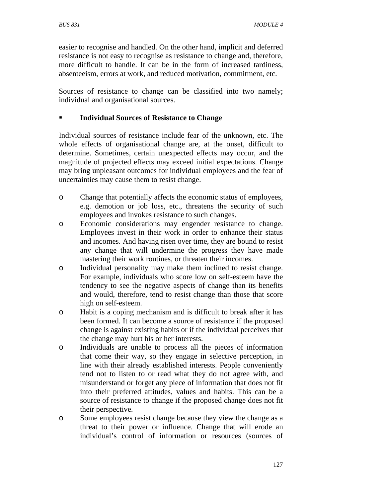easier to recognise and handled. On the other hand, implicit and deferred resistance is not easy to recognise as resistance to change and, therefore, more difficult to handle. It can be in the form of increased tardiness, absenteeism, errors at work, and reduced motivation, commitment, etc.

Sources of resistance to change can be classified into two namely; individual and organisational sources.

## **Individual Sources of Resistance to Change**

Individual sources of resistance include fear of the unknown, etc. The whole effects of organisational change are, at the onset, difficult to determine. Sometimes, certain unexpected effects may occur, and the magnitude of projected effects may exceed initial expectations. Change may bring unpleasant outcomes for individual employees and the fear of uncertainties may cause them to resist change.

- o Change that potentially affects the economic status of employees, e.g. demotion or job loss, etc., threatens the security of such employees and invokes resistance to such changes.
- o Economic considerations may engender resistance to change. Employees invest in their work in order to enhance their status and incomes. And having risen over time, they are bound to resist any change that will undermine the progress they have made mastering their work routines, or threaten their incomes.
- o Individual personality may make them inclined to resist change. For example, individuals who score low on self-esteem have the tendency to see the negative aspects of change than its benefits and would, therefore, tend to resist change than those that score high on self-esteem.
- o Habit is a coping mechanism and is difficult to break after it has been formed. It can become a source of resistance if the proposed change is against existing habits or if the individual perceives that the change may hurt his or her interests.
- o Individuals are unable to process all the pieces of information that come their way, so they engage in selective perception, in line with their already established interests. People conveniently tend not to listen to or read what they do not agree with, and misunderstand or forget any piece of information that does not fit into their preferred attitudes, values and habits. This can be a source of resistance to change if the proposed change does not fit their perspective.
- o Some employees resist change because they view the change as a threat to their power or influence. Change that will erode an individual's control of information or resources (sources of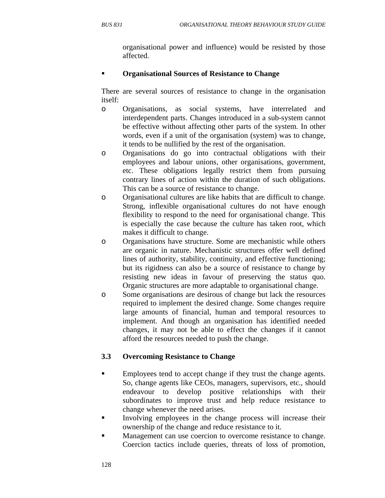organisational power and influence) would be resisted by those affected.

# **Organisational Sources of Resistance to Change**

There are several sources of resistance to change in the organisation itself:

- o Organisations, as social systems, have interrelated and interdependent parts. Changes introduced in a sub-system cannot be effective without affecting other parts of the system. In other words, even if a unit of the organisation (system) was to change, it tends to be nullified by the rest of the organisation.
- o Organisations do go into contractual obligations with their employees and labour unions, other organisations, government, etc. These obligations legally restrict them from pursuing contrary lines of action within the duration of such obligations. This can be a source of resistance to change.
- o Organisational cultures are like habits that are difficult to change. Strong, inflexible organisational cultures do not have enough flexibility to respond to the need for organisational change. This is especially the case because the culture has taken root, which makes it difficult to change.
- o Organisations have structure. Some are mechanistic while others are organic in nature. Mechanistic structures offer well defined lines of authority, stability, continuity, and effective functioning; but its rigidness can also be a source of resistance to change by resisting new ideas in favour of preserving the status quo. Organic structures are more adaptable to organisational change.
- o Some organisations are desirous of change but lack the resources required to implement the desired change. Some changes require large amounts of financial, human and temporal resources to implement. And though an organisation has identified needed changes, it may not be able to effect the changes if it cannot afford the resources needed to push the change.

# **3.3 Overcoming Resistance to Change**

- **Employees tend to accept change if they trust the change agents.** So, change agents like CEOs, managers, supervisors, etc., should endeavour to develop positive relationships with their subordinates to improve trust and help reduce resistance to change whenever the need arises.
- Involving employees in the change process will increase their ownership of the change and reduce resistance to it.
- Management can use coercion to overcome resistance to change. Coercion tactics include queries, threats of loss of promotion,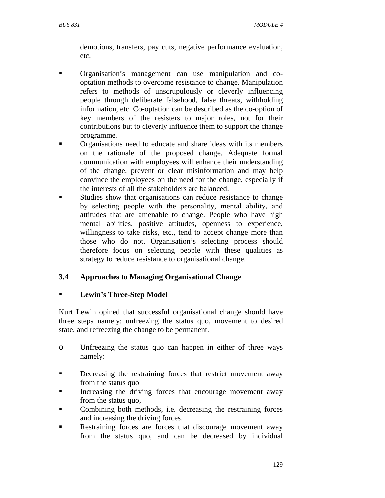demotions, transfers, pay cuts, negative performance evaluation, etc.

- **•** Organisation's management can use manipulation and cooptation methods to overcome resistance to change. Manipulation refers to methods of unscrupulously or cleverly influencing people through deliberate falsehood, false threats, withholding information, etc. Co-optation can be described as the co-option of key members of the resisters to major roles, not for their contributions but to cleverly influence them to support the change programme.
- Organisations need to educate and share ideas with its members on the rationale of the proposed change. Adequate formal communication with employees will enhance their understanding of the change, prevent or clear misinformation and may help convince the employees on the need for the change, especially if the interests of all the stakeholders are balanced.
- Studies show that organisations can reduce resistance to change by selecting people with the personality, mental ability, and attitudes that are amenable to change. People who have high mental abilities, positive attitudes, openness to experience, willingness to take risks, etc., tend to accept change more than those who do not. Organisation's selecting process should therefore focus on selecting people with these qualities as strategy to reduce resistance to organisational change.

# **3.4 Approaches to Managing Organisational Change**

### **Lewin's Three-Step Model**

Kurt Lewin opined that successful organisational change should have three steps namely: unfreezing the status quo, movement to desired state, and refreezing the change to be permanent.

- o Unfreezing the status quo can happen in either of three ways namely:
- Decreasing the restraining forces that restrict movement away from the status quo
- Increasing the driving forces that encourage movement away from the status quo,
- Combining both methods, i.e. decreasing the restraining forces and increasing the driving forces.
- Restraining forces are forces that discourage movement away from the status quo, and can be decreased by individual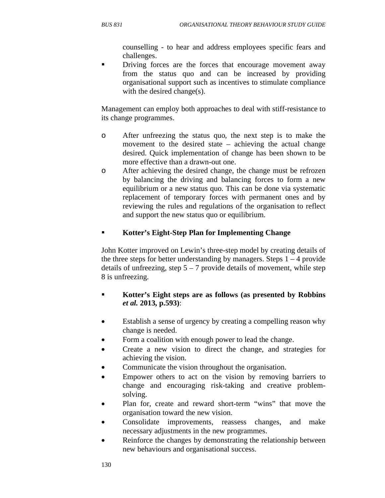counselling - to hear and address employees specific fears and challenges.

 Driving forces are the forces that encourage movement away from the status quo and can be increased by providing organisational support such as incentives to stimulate compliance with the desired change(s).

Management can employ both approaches to deal with stiff-resistance to its change programmes.

- o After unfreezing the status quo, the next step is to make the movement to the desired state – achieving the actual change desired. Quick implementation of change has been shown to be more effective than a drawn-out one.
- o After achieving the desired change, the change must be refrozen by balancing the driving and balancing forces to form a new equilibrium or a new status quo. This can be done via systematic replacement of temporary forces with permanent ones and by reviewing the rules and regulations of the organisation to reflect and support the new status quo or equilibrium.

## **Kotter's Eight-Step Plan for Implementing Change**

John Kotter improved on Lewin's three-step model by creating details of the three steps for better understanding by managers. Steps  $1 - 4$  provide details of unfreezing, step  $5 - 7$  provide details of movement, while step 8 is unfreezing.

- **Kotter's Eight steps are as follows (as presented by Robbins**  *et al.* **2013, p.593)**:
- Establish a sense of urgency by creating a compelling reason why change is needed.
- Form a coalition with enough power to lead the change.
- Create a new vision to direct the change, and strategies for achieving the vision.
- Communicate the vision throughout the organisation.
- Empower others to act on the vision by removing barriers to change and encouraging risk-taking and creative problemsolving.
- Plan for, create and reward short-term "wins" that move the organisation toward the new vision.
- Consolidate improvements, reassess changes, and make necessary adjustments in the new programmes.
- Reinforce the changes by demonstrating the relationship between new behaviours and organisational success.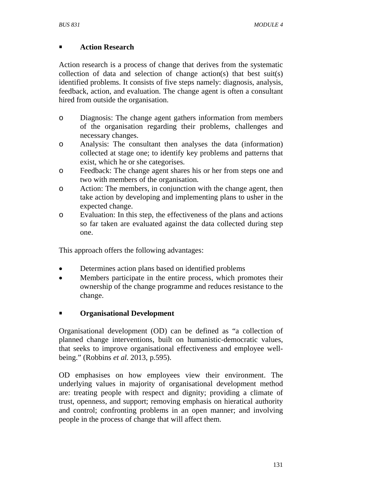## **Action Research**

Action research is a process of change that derives from the systematic collection of data and selection of change action(s) that best suit(s) identified problems. It consists of five steps namely: diagnosis, analysis, feedback, action, and evaluation. The change agent is often a consultant hired from outside the organisation.

- o Diagnosis: The change agent gathers information from members of the organisation regarding their problems, challenges and necessary changes.
- o Analysis: The consultant then analyses the data (information) collected at stage one; to identify key problems and patterns that exist, which he or she categorises.
- o Feedback: The change agent shares his or her from steps one and two with members of the organisation.
- o Action: The members, in conjunction with the change agent, then take action by developing and implementing plans to usher in the expected change.
- o Evaluation: In this step, the effectiveness of the plans and actions so far taken are evaluated against the data collected during step one.

This approach offers the following advantages:

- Determines action plans based on identified problems
- Members participate in the entire process, which promotes their ownership of the change programme and reduces resistance to the change.

# **Organisational Development**

Organisational development (OD) can be defined as "a collection of planned change interventions, built on humanistic-democratic values, that seeks to improve organisational effectiveness and employee wellbeing." (Robbins *et al.* 2013, p.595).

OD emphasises on how employees view their environment. The underlying values in majority of organisational development method are: treating people with respect and dignity; providing a climate of trust, openness, and support; removing emphasis on hieratical authority and control; confronting problems in an open manner; and involving people in the process of change that will affect them.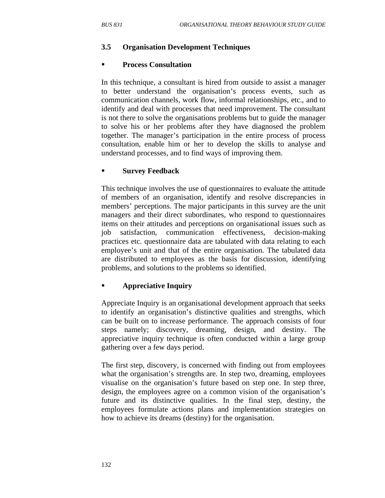#### **3.5 Organisation Development Techniques**

#### **Process Consultation**

In this technique, a consultant is hired from outside to assist a manager to better understand the organisation's process events, such as communication channels, work flow, informal relationships, etc., and to identify and deal with processes that need improvement. The consultant is not there to solve the organisations problems but to guide the manager to solve his or her problems after they have diagnosed the problem together. The manager's participation in the entire process of process consultation, enable him or her to develop the skills to analyse and understand processes, and to find ways of improving them.

#### **Survey Feedback**

This technique involves the use of questionnaires to evaluate the attitude of members of an organisation, identify and resolve discrepancies in members' perceptions. The major participants in this survey are the unit managers and their direct subordinates, who respond to questionnaires items on their attitudes and perceptions on organisational issues such as job satisfaction, communication effectiveness, decision-making practices etc. questionnaire data are tabulated with data relating to each employee's unit and that of the entire organisation. The tabulated data are distributed to employees as the basis for discussion, identifying problems, and solutions to the problems so identified.

#### **Appreciative Inquiry**

Appreciate Inquiry is an organisational development approach that seeks to identify an organisation's distinctive qualities and strengths, which can be built on to increase performance. The approach consists of four steps namely; discovery, dreaming, design, and destiny. The appreciative inquiry technique is often conducted within a large group gathering over a few days period.

The first step, discovery, is concerned with finding out from employees what the organisation's strengths are. In step two, dreaming, employees visualise on the organisation's future based on step one. In step three, design, the employees agree on a common vision of the organisation's future and its distinctive qualities. In the final step, destiny, the employees formulate actions plans and implementation strategies on how to achieve its dreams (destiny) for the organisation.